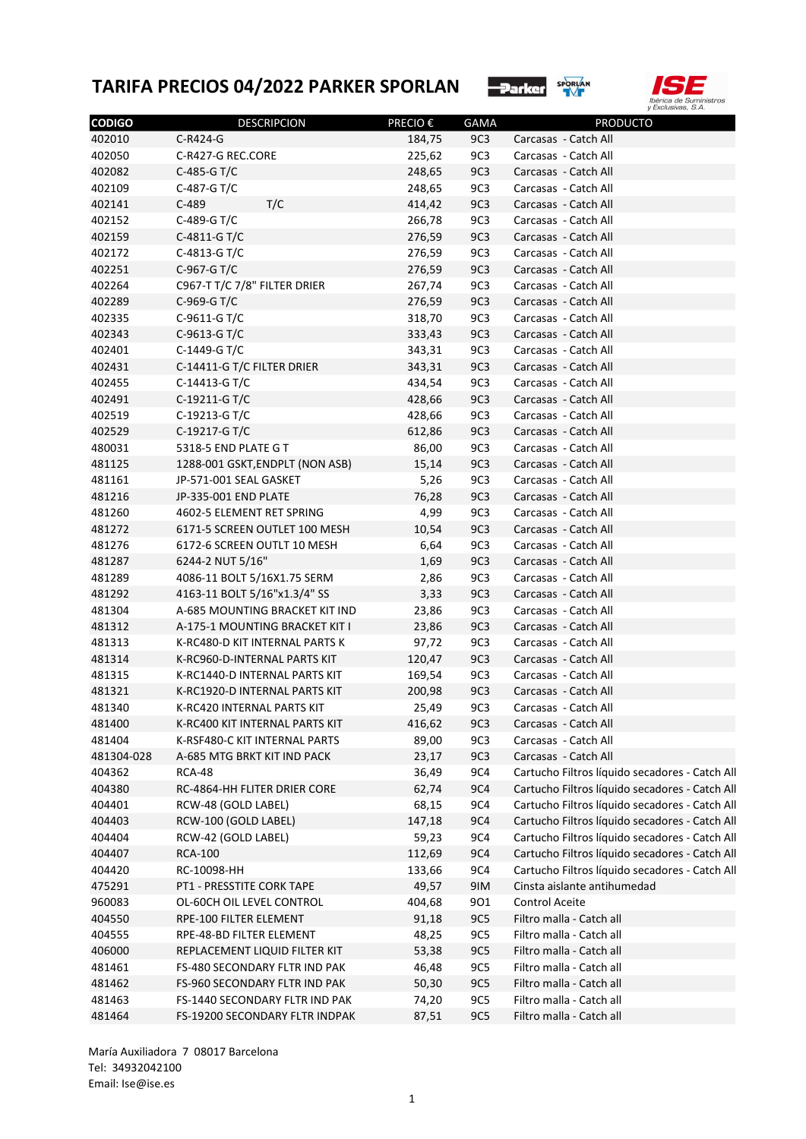



| 402010<br>C-R424-G<br>9C <sub>3</sub><br>Carcasas - Catch All<br>184,75<br>402050<br>9C3<br>C-R427-G REC.CORE<br>225,62<br>Carcasas - Catch All<br>9C3<br>C-485-G T/C<br>248,65<br>Carcasas - Catch All<br>9C3<br>402109<br>C-487-G T/C<br>248,65<br>Carcasas - Catch All<br>T/C<br>9C3<br>402141<br>$C-489$<br>Carcasas - Catch All<br>414,42<br>C-489-G T/C<br>9C3<br>402152<br>266,78<br>Carcasas - Catch All<br>9C3<br>402159<br>C-4811-G T/C<br>276,59<br>Carcasas - Catch All<br>9C3<br>402172<br>C-4813-G T/C<br>276,59<br>Carcasas - Catch All<br>9C3<br>C-967-G T/C<br>Carcasas - Catch All<br>276,59<br>402264<br>C967-T T/C 7/8" FILTER DRIER<br>9C3<br>267,74<br>Carcasas - Catch All<br>9C3<br>C-969-G T/C<br>Carcasas - Catch All<br>276,59<br>9C3<br>402335<br>C-9611-G T/C<br>318,70<br>Carcasas - Catch All<br>9C3<br>C-9613-G T/C<br>Carcasas - Catch All<br>333,43<br>9C3<br>402401<br>C-1449-G T/C<br>343,31<br>Carcasas - Catch All<br>9C3<br>402431<br>C-14411-G T/C FILTER DRIER<br>Carcasas - Catch All<br>343,31<br>9C3<br>402455<br>C-14413-G T/C<br>434,54<br>Carcasas - Catch All<br>9C3<br>402491<br>C-19211-G T/C<br>Carcasas - Catch All<br>428,66<br>9C3<br>402519<br>C-19213-G T/C<br>428,66<br>Carcasas - Catch All<br>9C3<br>402529<br>C-19217-G T/C<br>Carcasas - Catch All<br>612,86<br>9C3<br>480031<br>5318-5 END PLATE GT<br>86,00<br>Carcasas - Catch All<br>9C3<br>481125<br>1288-001 GSKT, ENDPLT (NON ASB)<br>15,14<br>Carcasas - Catch All<br>9C3<br>481161<br>JP-571-001 SEAL GASKET<br>5,26<br>Carcasas - Catch All<br>9C3<br>481216<br>JP-335-001 END PLATE<br>76,28<br>Carcasas - Catch All<br>9C3<br>4602-5 ELEMENT RET SPRING<br>4,99<br>Carcasas - Catch All<br>9C3<br>481272<br>6171-5 SCREEN OUTLET 100 MESH<br>10,54<br>Carcasas - Catch All<br>9C3<br>6172-6 SCREEN OUTLT 10 MESH<br>6,64<br>Carcasas - Catch All<br>9C3<br>481287<br>6244-2 NUT 5/16"<br>1,69<br>Carcasas - Catch All<br>9C3<br>481289<br>4086-11 BOLT 5/16X1.75 SERM<br>2,86<br>Carcasas - Catch All<br>9C3<br>4163-11 BOLT 5/16"x1.3/4" SS<br>3,33<br>Carcasas - Catch All<br>9C3<br>A-685 MOUNTING BRACKET KIT IND<br>23,86<br>Carcasas - Catch All<br>9C3<br>481312<br>Carcasas - Catch All<br>A-175-1 MOUNTING BRACKET KIT I<br>23,86<br>9C3<br>K-RC480-D KIT INTERNAL PARTS K<br>97,72<br>Carcasas - Catch All<br>9C3<br>Carcasas - Catch All<br>K-RC960-D-INTERNAL PARTS KIT<br>120,47<br>9C3<br>K-RC1440-D INTERNAL PARTS KIT<br>169,54<br>Carcasas - Catch All<br>9C3<br>Carcasas - Catch All<br>K-RC1920-D INTERNAL PARTS KIT<br>200,98<br>9C3<br>481340<br>K-RC420 INTERNAL PARTS KIT<br>25,49<br>Carcasas - Catch All<br>Carcasas - Catch All<br>481400<br>K-RC400 KIT INTERNAL PARTS KIT<br>416,62<br>9C3<br>K-RSF480-C KIT INTERNAL PARTS<br>89,00<br>9C3<br>Carcasas - Catch All<br>481304-028<br>A-685 MTG BRKT KIT IND PACK<br>23,17<br>9C3<br>Carcasas - Catch All<br>9C4<br>404362<br><b>RCA-48</b><br>36,49<br>RC-4864-HH FLITER DRIER CORE<br>62,74<br>9C4<br>9C4<br>404401<br>RCW-48 (GOLD LABEL)<br>68,15<br>404403<br>RCW-100 (GOLD LABEL)<br>147,18<br>9C4<br>404404<br>RCW-42 (GOLD LABEL)<br>59,23<br>9C4<br>404407<br><b>RCA-100</b><br>112,69<br>9C4<br>Cartucho Filtros líquido secadores - Catch All<br>404420<br>RC-10098-HH<br>133,66<br>9C4<br>475291<br>PT1 - PRESSTITE CORK TAPE<br>49,57<br>9IM<br>Cinsta aislante antihumedad<br>960083<br>OL-60CH OIL LEVEL CONTROL<br>404,68<br>901<br>Control Aceite<br>404550<br>RPE-100 FILTER ELEMENT<br>91,18<br>9C5<br>Filtro malla - Catch all<br>Filtro malla - Catch all<br>404555<br>RPE-48-BD FILTER ELEMENT<br>48,25<br>9C5<br>406000<br>REPLACEMENT LIQUID FILTER KIT<br>53,38<br>9C5<br>Filtro malla - Catch all<br>Filtro malla - Catch all<br>481461<br>FS-480 SECONDARY FLTR IND PAK<br>46,48<br>9C5<br>481462<br>FS-960 SECONDARY FLTR IND PAK<br>50,30<br>9C5<br>Filtro malla - Catch all<br>Filtro malla - Catch all<br>481463<br>FS-1440 SECONDARY FLTR IND PAK<br>74,20<br>9C5 | <b>CODIGO</b> | <b>DESCRIPCION</b>             | PRECIO € | <b>GAMA</b> | <b>PRODUCTO</b>          |
|-------------------------------------------------------------------------------------------------------------------------------------------------------------------------------------------------------------------------------------------------------------------------------------------------------------------------------------------------------------------------------------------------------------------------------------------------------------------------------------------------------------------------------------------------------------------------------------------------------------------------------------------------------------------------------------------------------------------------------------------------------------------------------------------------------------------------------------------------------------------------------------------------------------------------------------------------------------------------------------------------------------------------------------------------------------------------------------------------------------------------------------------------------------------------------------------------------------------------------------------------------------------------------------------------------------------------------------------------------------------------------------------------------------------------------------------------------------------------------------------------------------------------------------------------------------------------------------------------------------------------------------------------------------------------------------------------------------------------------------------------------------------------------------------------------------------------------------------------------------------------------------------------------------------------------------------------------------------------------------------------------------------------------------------------------------------------------------------------------------------------------------------------------------------------------------------------------------------------------------------------------------------------------------------------------------------------------------------------------------------------------------------------------------------------------------------------------------------------------------------------------------------------------------------------------------------------------------------------------------------------------------------------------------------------------------------------------------------------------------------------------------------------------------------------------------------------------------------------------------------------------------------------------------------------------------------------------------------------------------------------------------------------------------------------------------------------------------------------------------------------------------------------------------------------------------------------------------------------------------------------------------------------------------------------------------------------------------------------------------------------------------------------------------------------------------------------------------------------------------------------------------------------------------------------------------------------------------------------------------------------------------------------------------------------------------------------------------------------------------------------------------------------------------------------------------------------------------------------------------------------------------------------------------------------------------------------------------------------------------------------------|---------------|--------------------------------|----------|-------------|--------------------------|
|                                                                                                                                                                                                                                                                                                                                                                                                                                                                                                                                                                                                                                                                                                                                                                                                                                                                                                                                                                                                                                                                                                                                                                                                                                                                                                                                                                                                                                                                                                                                                                                                                                                                                                                                                                                                                                                                                                                                                                                                                                                                                                                                                                                                                                                                                                                                                                                                                                                                                                                                                                                                                                                                                                                                                                                                                                                                                                                                                                                                                                                                                                                                                                                                                                                                                                                                                                                                                                                                                                                                                                                                                                                                                                                                                                                                                                                                                                                                                                                                       |               |                                |          |             |                          |
| Cartucho Filtros líquido secadores - Catch All<br>Cartucho Filtros líquido secadores - Catch All<br>Cartucho Filtros líquido secadores - Catch All<br>Cartucho Filtros líquido secadores - Catch All<br>Cartucho Filtros líquido secadores - Catch All<br>Cartucho Filtros líquido secadores - Catch All                                                                                                                                                                                                                                                                                                                                                                                                                                                                                                                                                                                                                                                                                                                                                                                                                                                                                                                                                                                                                                                                                                                                                                                                                                                                                                                                                                                                                                                                                                                                                                                                                                                                                                                                                                                                                                                                                                                                                                                                                                                                                                                                                                                                                                                                                                                                                                                                                                                                                                                                                                                                                                                                                                                                                                                                                                                                                                                                                                                                                                                                                                                                                                                                                                                                                                                                                                                                                                                                                                                                                                                                                                                                                              |               |                                |          |             |                          |
|                                                                                                                                                                                                                                                                                                                                                                                                                                                                                                                                                                                                                                                                                                                                                                                                                                                                                                                                                                                                                                                                                                                                                                                                                                                                                                                                                                                                                                                                                                                                                                                                                                                                                                                                                                                                                                                                                                                                                                                                                                                                                                                                                                                                                                                                                                                                                                                                                                                                                                                                                                                                                                                                                                                                                                                                                                                                                                                                                                                                                                                                                                                                                                                                                                                                                                                                                                                                                                                                                                                                                                                                                                                                                                                                                                                                                                                                                                                                                                                                       | 402082        |                                |          |             |                          |
|                                                                                                                                                                                                                                                                                                                                                                                                                                                                                                                                                                                                                                                                                                                                                                                                                                                                                                                                                                                                                                                                                                                                                                                                                                                                                                                                                                                                                                                                                                                                                                                                                                                                                                                                                                                                                                                                                                                                                                                                                                                                                                                                                                                                                                                                                                                                                                                                                                                                                                                                                                                                                                                                                                                                                                                                                                                                                                                                                                                                                                                                                                                                                                                                                                                                                                                                                                                                                                                                                                                                                                                                                                                                                                                                                                                                                                                                                                                                                                                                       |               |                                |          |             |                          |
|                                                                                                                                                                                                                                                                                                                                                                                                                                                                                                                                                                                                                                                                                                                                                                                                                                                                                                                                                                                                                                                                                                                                                                                                                                                                                                                                                                                                                                                                                                                                                                                                                                                                                                                                                                                                                                                                                                                                                                                                                                                                                                                                                                                                                                                                                                                                                                                                                                                                                                                                                                                                                                                                                                                                                                                                                                                                                                                                                                                                                                                                                                                                                                                                                                                                                                                                                                                                                                                                                                                                                                                                                                                                                                                                                                                                                                                                                                                                                                                                       |               |                                |          |             |                          |
|                                                                                                                                                                                                                                                                                                                                                                                                                                                                                                                                                                                                                                                                                                                                                                                                                                                                                                                                                                                                                                                                                                                                                                                                                                                                                                                                                                                                                                                                                                                                                                                                                                                                                                                                                                                                                                                                                                                                                                                                                                                                                                                                                                                                                                                                                                                                                                                                                                                                                                                                                                                                                                                                                                                                                                                                                                                                                                                                                                                                                                                                                                                                                                                                                                                                                                                                                                                                                                                                                                                                                                                                                                                                                                                                                                                                                                                                                                                                                                                                       |               |                                |          |             |                          |
|                                                                                                                                                                                                                                                                                                                                                                                                                                                                                                                                                                                                                                                                                                                                                                                                                                                                                                                                                                                                                                                                                                                                                                                                                                                                                                                                                                                                                                                                                                                                                                                                                                                                                                                                                                                                                                                                                                                                                                                                                                                                                                                                                                                                                                                                                                                                                                                                                                                                                                                                                                                                                                                                                                                                                                                                                                                                                                                                                                                                                                                                                                                                                                                                                                                                                                                                                                                                                                                                                                                                                                                                                                                                                                                                                                                                                                                                                                                                                                                                       |               |                                |          |             |                          |
|                                                                                                                                                                                                                                                                                                                                                                                                                                                                                                                                                                                                                                                                                                                                                                                                                                                                                                                                                                                                                                                                                                                                                                                                                                                                                                                                                                                                                                                                                                                                                                                                                                                                                                                                                                                                                                                                                                                                                                                                                                                                                                                                                                                                                                                                                                                                                                                                                                                                                                                                                                                                                                                                                                                                                                                                                                                                                                                                                                                                                                                                                                                                                                                                                                                                                                                                                                                                                                                                                                                                                                                                                                                                                                                                                                                                                                                                                                                                                                                                       |               |                                |          |             |                          |
|                                                                                                                                                                                                                                                                                                                                                                                                                                                                                                                                                                                                                                                                                                                                                                                                                                                                                                                                                                                                                                                                                                                                                                                                                                                                                                                                                                                                                                                                                                                                                                                                                                                                                                                                                                                                                                                                                                                                                                                                                                                                                                                                                                                                                                                                                                                                                                                                                                                                                                                                                                                                                                                                                                                                                                                                                                                                                                                                                                                                                                                                                                                                                                                                                                                                                                                                                                                                                                                                                                                                                                                                                                                                                                                                                                                                                                                                                                                                                                                                       | 402251        |                                |          |             |                          |
|                                                                                                                                                                                                                                                                                                                                                                                                                                                                                                                                                                                                                                                                                                                                                                                                                                                                                                                                                                                                                                                                                                                                                                                                                                                                                                                                                                                                                                                                                                                                                                                                                                                                                                                                                                                                                                                                                                                                                                                                                                                                                                                                                                                                                                                                                                                                                                                                                                                                                                                                                                                                                                                                                                                                                                                                                                                                                                                                                                                                                                                                                                                                                                                                                                                                                                                                                                                                                                                                                                                                                                                                                                                                                                                                                                                                                                                                                                                                                                                                       |               |                                |          |             |                          |
|                                                                                                                                                                                                                                                                                                                                                                                                                                                                                                                                                                                                                                                                                                                                                                                                                                                                                                                                                                                                                                                                                                                                                                                                                                                                                                                                                                                                                                                                                                                                                                                                                                                                                                                                                                                                                                                                                                                                                                                                                                                                                                                                                                                                                                                                                                                                                                                                                                                                                                                                                                                                                                                                                                                                                                                                                                                                                                                                                                                                                                                                                                                                                                                                                                                                                                                                                                                                                                                                                                                                                                                                                                                                                                                                                                                                                                                                                                                                                                                                       | 402289        |                                |          |             |                          |
|                                                                                                                                                                                                                                                                                                                                                                                                                                                                                                                                                                                                                                                                                                                                                                                                                                                                                                                                                                                                                                                                                                                                                                                                                                                                                                                                                                                                                                                                                                                                                                                                                                                                                                                                                                                                                                                                                                                                                                                                                                                                                                                                                                                                                                                                                                                                                                                                                                                                                                                                                                                                                                                                                                                                                                                                                                                                                                                                                                                                                                                                                                                                                                                                                                                                                                                                                                                                                                                                                                                                                                                                                                                                                                                                                                                                                                                                                                                                                                                                       |               |                                |          |             |                          |
|                                                                                                                                                                                                                                                                                                                                                                                                                                                                                                                                                                                                                                                                                                                                                                                                                                                                                                                                                                                                                                                                                                                                                                                                                                                                                                                                                                                                                                                                                                                                                                                                                                                                                                                                                                                                                                                                                                                                                                                                                                                                                                                                                                                                                                                                                                                                                                                                                                                                                                                                                                                                                                                                                                                                                                                                                                                                                                                                                                                                                                                                                                                                                                                                                                                                                                                                                                                                                                                                                                                                                                                                                                                                                                                                                                                                                                                                                                                                                                                                       | 402343        |                                |          |             |                          |
|                                                                                                                                                                                                                                                                                                                                                                                                                                                                                                                                                                                                                                                                                                                                                                                                                                                                                                                                                                                                                                                                                                                                                                                                                                                                                                                                                                                                                                                                                                                                                                                                                                                                                                                                                                                                                                                                                                                                                                                                                                                                                                                                                                                                                                                                                                                                                                                                                                                                                                                                                                                                                                                                                                                                                                                                                                                                                                                                                                                                                                                                                                                                                                                                                                                                                                                                                                                                                                                                                                                                                                                                                                                                                                                                                                                                                                                                                                                                                                                                       |               |                                |          |             |                          |
|                                                                                                                                                                                                                                                                                                                                                                                                                                                                                                                                                                                                                                                                                                                                                                                                                                                                                                                                                                                                                                                                                                                                                                                                                                                                                                                                                                                                                                                                                                                                                                                                                                                                                                                                                                                                                                                                                                                                                                                                                                                                                                                                                                                                                                                                                                                                                                                                                                                                                                                                                                                                                                                                                                                                                                                                                                                                                                                                                                                                                                                                                                                                                                                                                                                                                                                                                                                                                                                                                                                                                                                                                                                                                                                                                                                                                                                                                                                                                                                                       |               |                                |          |             |                          |
|                                                                                                                                                                                                                                                                                                                                                                                                                                                                                                                                                                                                                                                                                                                                                                                                                                                                                                                                                                                                                                                                                                                                                                                                                                                                                                                                                                                                                                                                                                                                                                                                                                                                                                                                                                                                                                                                                                                                                                                                                                                                                                                                                                                                                                                                                                                                                                                                                                                                                                                                                                                                                                                                                                                                                                                                                                                                                                                                                                                                                                                                                                                                                                                                                                                                                                                                                                                                                                                                                                                                                                                                                                                                                                                                                                                                                                                                                                                                                                                                       |               |                                |          |             |                          |
|                                                                                                                                                                                                                                                                                                                                                                                                                                                                                                                                                                                                                                                                                                                                                                                                                                                                                                                                                                                                                                                                                                                                                                                                                                                                                                                                                                                                                                                                                                                                                                                                                                                                                                                                                                                                                                                                                                                                                                                                                                                                                                                                                                                                                                                                                                                                                                                                                                                                                                                                                                                                                                                                                                                                                                                                                                                                                                                                                                                                                                                                                                                                                                                                                                                                                                                                                                                                                                                                                                                                                                                                                                                                                                                                                                                                                                                                                                                                                                                                       |               |                                |          |             |                          |
|                                                                                                                                                                                                                                                                                                                                                                                                                                                                                                                                                                                                                                                                                                                                                                                                                                                                                                                                                                                                                                                                                                                                                                                                                                                                                                                                                                                                                                                                                                                                                                                                                                                                                                                                                                                                                                                                                                                                                                                                                                                                                                                                                                                                                                                                                                                                                                                                                                                                                                                                                                                                                                                                                                                                                                                                                                                                                                                                                                                                                                                                                                                                                                                                                                                                                                                                                                                                                                                                                                                                                                                                                                                                                                                                                                                                                                                                                                                                                                                                       |               |                                |          |             |                          |
|                                                                                                                                                                                                                                                                                                                                                                                                                                                                                                                                                                                                                                                                                                                                                                                                                                                                                                                                                                                                                                                                                                                                                                                                                                                                                                                                                                                                                                                                                                                                                                                                                                                                                                                                                                                                                                                                                                                                                                                                                                                                                                                                                                                                                                                                                                                                                                                                                                                                                                                                                                                                                                                                                                                                                                                                                                                                                                                                                                                                                                                                                                                                                                                                                                                                                                                                                                                                                                                                                                                                                                                                                                                                                                                                                                                                                                                                                                                                                                                                       |               |                                |          |             |                          |
|                                                                                                                                                                                                                                                                                                                                                                                                                                                                                                                                                                                                                                                                                                                                                                                                                                                                                                                                                                                                                                                                                                                                                                                                                                                                                                                                                                                                                                                                                                                                                                                                                                                                                                                                                                                                                                                                                                                                                                                                                                                                                                                                                                                                                                                                                                                                                                                                                                                                                                                                                                                                                                                                                                                                                                                                                                                                                                                                                                                                                                                                                                                                                                                                                                                                                                                                                                                                                                                                                                                                                                                                                                                                                                                                                                                                                                                                                                                                                                                                       |               |                                |          |             |                          |
|                                                                                                                                                                                                                                                                                                                                                                                                                                                                                                                                                                                                                                                                                                                                                                                                                                                                                                                                                                                                                                                                                                                                                                                                                                                                                                                                                                                                                                                                                                                                                                                                                                                                                                                                                                                                                                                                                                                                                                                                                                                                                                                                                                                                                                                                                                                                                                                                                                                                                                                                                                                                                                                                                                                                                                                                                                                                                                                                                                                                                                                                                                                                                                                                                                                                                                                                                                                                                                                                                                                                                                                                                                                                                                                                                                                                                                                                                                                                                                                                       |               |                                |          |             |                          |
|                                                                                                                                                                                                                                                                                                                                                                                                                                                                                                                                                                                                                                                                                                                                                                                                                                                                                                                                                                                                                                                                                                                                                                                                                                                                                                                                                                                                                                                                                                                                                                                                                                                                                                                                                                                                                                                                                                                                                                                                                                                                                                                                                                                                                                                                                                                                                                                                                                                                                                                                                                                                                                                                                                                                                                                                                                                                                                                                                                                                                                                                                                                                                                                                                                                                                                                                                                                                                                                                                                                                                                                                                                                                                                                                                                                                                                                                                                                                                                                                       |               |                                |          |             |                          |
|                                                                                                                                                                                                                                                                                                                                                                                                                                                                                                                                                                                                                                                                                                                                                                                                                                                                                                                                                                                                                                                                                                                                                                                                                                                                                                                                                                                                                                                                                                                                                                                                                                                                                                                                                                                                                                                                                                                                                                                                                                                                                                                                                                                                                                                                                                                                                                                                                                                                                                                                                                                                                                                                                                                                                                                                                                                                                                                                                                                                                                                                                                                                                                                                                                                                                                                                                                                                                                                                                                                                                                                                                                                                                                                                                                                                                                                                                                                                                                                                       |               |                                |          |             |                          |
|                                                                                                                                                                                                                                                                                                                                                                                                                                                                                                                                                                                                                                                                                                                                                                                                                                                                                                                                                                                                                                                                                                                                                                                                                                                                                                                                                                                                                                                                                                                                                                                                                                                                                                                                                                                                                                                                                                                                                                                                                                                                                                                                                                                                                                                                                                                                                                                                                                                                                                                                                                                                                                                                                                                                                                                                                                                                                                                                                                                                                                                                                                                                                                                                                                                                                                                                                                                                                                                                                                                                                                                                                                                                                                                                                                                                                                                                                                                                                                                                       | 481260        |                                |          |             |                          |
|                                                                                                                                                                                                                                                                                                                                                                                                                                                                                                                                                                                                                                                                                                                                                                                                                                                                                                                                                                                                                                                                                                                                                                                                                                                                                                                                                                                                                                                                                                                                                                                                                                                                                                                                                                                                                                                                                                                                                                                                                                                                                                                                                                                                                                                                                                                                                                                                                                                                                                                                                                                                                                                                                                                                                                                                                                                                                                                                                                                                                                                                                                                                                                                                                                                                                                                                                                                                                                                                                                                                                                                                                                                                                                                                                                                                                                                                                                                                                                                                       |               |                                |          |             |                          |
|                                                                                                                                                                                                                                                                                                                                                                                                                                                                                                                                                                                                                                                                                                                                                                                                                                                                                                                                                                                                                                                                                                                                                                                                                                                                                                                                                                                                                                                                                                                                                                                                                                                                                                                                                                                                                                                                                                                                                                                                                                                                                                                                                                                                                                                                                                                                                                                                                                                                                                                                                                                                                                                                                                                                                                                                                                                                                                                                                                                                                                                                                                                                                                                                                                                                                                                                                                                                                                                                                                                                                                                                                                                                                                                                                                                                                                                                                                                                                                                                       | 481276        |                                |          |             |                          |
|                                                                                                                                                                                                                                                                                                                                                                                                                                                                                                                                                                                                                                                                                                                                                                                                                                                                                                                                                                                                                                                                                                                                                                                                                                                                                                                                                                                                                                                                                                                                                                                                                                                                                                                                                                                                                                                                                                                                                                                                                                                                                                                                                                                                                                                                                                                                                                                                                                                                                                                                                                                                                                                                                                                                                                                                                                                                                                                                                                                                                                                                                                                                                                                                                                                                                                                                                                                                                                                                                                                                                                                                                                                                                                                                                                                                                                                                                                                                                                                                       |               |                                |          |             |                          |
|                                                                                                                                                                                                                                                                                                                                                                                                                                                                                                                                                                                                                                                                                                                                                                                                                                                                                                                                                                                                                                                                                                                                                                                                                                                                                                                                                                                                                                                                                                                                                                                                                                                                                                                                                                                                                                                                                                                                                                                                                                                                                                                                                                                                                                                                                                                                                                                                                                                                                                                                                                                                                                                                                                                                                                                                                                                                                                                                                                                                                                                                                                                                                                                                                                                                                                                                                                                                                                                                                                                                                                                                                                                                                                                                                                                                                                                                                                                                                                                                       |               |                                |          |             |                          |
|                                                                                                                                                                                                                                                                                                                                                                                                                                                                                                                                                                                                                                                                                                                                                                                                                                                                                                                                                                                                                                                                                                                                                                                                                                                                                                                                                                                                                                                                                                                                                                                                                                                                                                                                                                                                                                                                                                                                                                                                                                                                                                                                                                                                                                                                                                                                                                                                                                                                                                                                                                                                                                                                                                                                                                                                                                                                                                                                                                                                                                                                                                                                                                                                                                                                                                                                                                                                                                                                                                                                                                                                                                                                                                                                                                                                                                                                                                                                                                                                       | 481292        |                                |          |             |                          |
|                                                                                                                                                                                                                                                                                                                                                                                                                                                                                                                                                                                                                                                                                                                                                                                                                                                                                                                                                                                                                                                                                                                                                                                                                                                                                                                                                                                                                                                                                                                                                                                                                                                                                                                                                                                                                                                                                                                                                                                                                                                                                                                                                                                                                                                                                                                                                                                                                                                                                                                                                                                                                                                                                                                                                                                                                                                                                                                                                                                                                                                                                                                                                                                                                                                                                                                                                                                                                                                                                                                                                                                                                                                                                                                                                                                                                                                                                                                                                                                                       | 481304        |                                |          |             |                          |
|                                                                                                                                                                                                                                                                                                                                                                                                                                                                                                                                                                                                                                                                                                                                                                                                                                                                                                                                                                                                                                                                                                                                                                                                                                                                                                                                                                                                                                                                                                                                                                                                                                                                                                                                                                                                                                                                                                                                                                                                                                                                                                                                                                                                                                                                                                                                                                                                                                                                                                                                                                                                                                                                                                                                                                                                                                                                                                                                                                                                                                                                                                                                                                                                                                                                                                                                                                                                                                                                                                                                                                                                                                                                                                                                                                                                                                                                                                                                                                                                       |               |                                |          |             |                          |
|                                                                                                                                                                                                                                                                                                                                                                                                                                                                                                                                                                                                                                                                                                                                                                                                                                                                                                                                                                                                                                                                                                                                                                                                                                                                                                                                                                                                                                                                                                                                                                                                                                                                                                                                                                                                                                                                                                                                                                                                                                                                                                                                                                                                                                                                                                                                                                                                                                                                                                                                                                                                                                                                                                                                                                                                                                                                                                                                                                                                                                                                                                                                                                                                                                                                                                                                                                                                                                                                                                                                                                                                                                                                                                                                                                                                                                                                                                                                                                                                       | 481313        |                                |          |             |                          |
|                                                                                                                                                                                                                                                                                                                                                                                                                                                                                                                                                                                                                                                                                                                                                                                                                                                                                                                                                                                                                                                                                                                                                                                                                                                                                                                                                                                                                                                                                                                                                                                                                                                                                                                                                                                                                                                                                                                                                                                                                                                                                                                                                                                                                                                                                                                                                                                                                                                                                                                                                                                                                                                                                                                                                                                                                                                                                                                                                                                                                                                                                                                                                                                                                                                                                                                                                                                                                                                                                                                                                                                                                                                                                                                                                                                                                                                                                                                                                                                                       | 481314        |                                |          |             |                          |
|                                                                                                                                                                                                                                                                                                                                                                                                                                                                                                                                                                                                                                                                                                                                                                                                                                                                                                                                                                                                                                                                                                                                                                                                                                                                                                                                                                                                                                                                                                                                                                                                                                                                                                                                                                                                                                                                                                                                                                                                                                                                                                                                                                                                                                                                                                                                                                                                                                                                                                                                                                                                                                                                                                                                                                                                                                                                                                                                                                                                                                                                                                                                                                                                                                                                                                                                                                                                                                                                                                                                                                                                                                                                                                                                                                                                                                                                                                                                                                                                       | 481315        |                                |          |             |                          |
|                                                                                                                                                                                                                                                                                                                                                                                                                                                                                                                                                                                                                                                                                                                                                                                                                                                                                                                                                                                                                                                                                                                                                                                                                                                                                                                                                                                                                                                                                                                                                                                                                                                                                                                                                                                                                                                                                                                                                                                                                                                                                                                                                                                                                                                                                                                                                                                                                                                                                                                                                                                                                                                                                                                                                                                                                                                                                                                                                                                                                                                                                                                                                                                                                                                                                                                                                                                                                                                                                                                                                                                                                                                                                                                                                                                                                                                                                                                                                                                                       | 481321        |                                |          |             |                          |
|                                                                                                                                                                                                                                                                                                                                                                                                                                                                                                                                                                                                                                                                                                                                                                                                                                                                                                                                                                                                                                                                                                                                                                                                                                                                                                                                                                                                                                                                                                                                                                                                                                                                                                                                                                                                                                                                                                                                                                                                                                                                                                                                                                                                                                                                                                                                                                                                                                                                                                                                                                                                                                                                                                                                                                                                                                                                                                                                                                                                                                                                                                                                                                                                                                                                                                                                                                                                                                                                                                                                                                                                                                                                                                                                                                                                                                                                                                                                                                                                       |               |                                |          |             |                          |
|                                                                                                                                                                                                                                                                                                                                                                                                                                                                                                                                                                                                                                                                                                                                                                                                                                                                                                                                                                                                                                                                                                                                                                                                                                                                                                                                                                                                                                                                                                                                                                                                                                                                                                                                                                                                                                                                                                                                                                                                                                                                                                                                                                                                                                                                                                                                                                                                                                                                                                                                                                                                                                                                                                                                                                                                                                                                                                                                                                                                                                                                                                                                                                                                                                                                                                                                                                                                                                                                                                                                                                                                                                                                                                                                                                                                                                                                                                                                                                                                       |               |                                |          |             |                          |
|                                                                                                                                                                                                                                                                                                                                                                                                                                                                                                                                                                                                                                                                                                                                                                                                                                                                                                                                                                                                                                                                                                                                                                                                                                                                                                                                                                                                                                                                                                                                                                                                                                                                                                                                                                                                                                                                                                                                                                                                                                                                                                                                                                                                                                                                                                                                                                                                                                                                                                                                                                                                                                                                                                                                                                                                                                                                                                                                                                                                                                                                                                                                                                                                                                                                                                                                                                                                                                                                                                                                                                                                                                                                                                                                                                                                                                                                                                                                                                                                       | 481404        |                                |          |             |                          |
|                                                                                                                                                                                                                                                                                                                                                                                                                                                                                                                                                                                                                                                                                                                                                                                                                                                                                                                                                                                                                                                                                                                                                                                                                                                                                                                                                                                                                                                                                                                                                                                                                                                                                                                                                                                                                                                                                                                                                                                                                                                                                                                                                                                                                                                                                                                                                                                                                                                                                                                                                                                                                                                                                                                                                                                                                                                                                                                                                                                                                                                                                                                                                                                                                                                                                                                                                                                                                                                                                                                                                                                                                                                                                                                                                                                                                                                                                                                                                                                                       |               |                                |          |             |                          |
|                                                                                                                                                                                                                                                                                                                                                                                                                                                                                                                                                                                                                                                                                                                                                                                                                                                                                                                                                                                                                                                                                                                                                                                                                                                                                                                                                                                                                                                                                                                                                                                                                                                                                                                                                                                                                                                                                                                                                                                                                                                                                                                                                                                                                                                                                                                                                                                                                                                                                                                                                                                                                                                                                                                                                                                                                                                                                                                                                                                                                                                                                                                                                                                                                                                                                                                                                                                                                                                                                                                                                                                                                                                                                                                                                                                                                                                                                                                                                                                                       |               |                                |          |             |                          |
|                                                                                                                                                                                                                                                                                                                                                                                                                                                                                                                                                                                                                                                                                                                                                                                                                                                                                                                                                                                                                                                                                                                                                                                                                                                                                                                                                                                                                                                                                                                                                                                                                                                                                                                                                                                                                                                                                                                                                                                                                                                                                                                                                                                                                                                                                                                                                                                                                                                                                                                                                                                                                                                                                                                                                                                                                                                                                                                                                                                                                                                                                                                                                                                                                                                                                                                                                                                                                                                                                                                                                                                                                                                                                                                                                                                                                                                                                                                                                                                                       | 404380        |                                |          |             |                          |
|                                                                                                                                                                                                                                                                                                                                                                                                                                                                                                                                                                                                                                                                                                                                                                                                                                                                                                                                                                                                                                                                                                                                                                                                                                                                                                                                                                                                                                                                                                                                                                                                                                                                                                                                                                                                                                                                                                                                                                                                                                                                                                                                                                                                                                                                                                                                                                                                                                                                                                                                                                                                                                                                                                                                                                                                                                                                                                                                                                                                                                                                                                                                                                                                                                                                                                                                                                                                                                                                                                                                                                                                                                                                                                                                                                                                                                                                                                                                                                                                       |               |                                |          |             |                          |
|                                                                                                                                                                                                                                                                                                                                                                                                                                                                                                                                                                                                                                                                                                                                                                                                                                                                                                                                                                                                                                                                                                                                                                                                                                                                                                                                                                                                                                                                                                                                                                                                                                                                                                                                                                                                                                                                                                                                                                                                                                                                                                                                                                                                                                                                                                                                                                                                                                                                                                                                                                                                                                                                                                                                                                                                                                                                                                                                                                                                                                                                                                                                                                                                                                                                                                                                                                                                                                                                                                                                                                                                                                                                                                                                                                                                                                                                                                                                                                                                       |               |                                |          |             |                          |
|                                                                                                                                                                                                                                                                                                                                                                                                                                                                                                                                                                                                                                                                                                                                                                                                                                                                                                                                                                                                                                                                                                                                                                                                                                                                                                                                                                                                                                                                                                                                                                                                                                                                                                                                                                                                                                                                                                                                                                                                                                                                                                                                                                                                                                                                                                                                                                                                                                                                                                                                                                                                                                                                                                                                                                                                                                                                                                                                                                                                                                                                                                                                                                                                                                                                                                                                                                                                                                                                                                                                                                                                                                                                                                                                                                                                                                                                                                                                                                                                       |               |                                |          |             |                          |
|                                                                                                                                                                                                                                                                                                                                                                                                                                                                                                                                                                                                                                                                                                                                                                                                                                                                                                                                                                                                                                                                                                                                                                                                                                                                                                                                                                                                                                                                                                                                                                                                                                                                                                                                                                                                                                                                                                                                                                                                                                                                                                                                                                                                                                                                                                                                                                                                                                                                                                                                                                                                                                                                                                                                                                                                                                                                                                                                                                                                                                                                                                                                                                                                                                                                                                                                                                                                                                                                                                                                                                                                                                                                                                                                                                                                                                                                                                                                                                                                       |               |                                |          |             |                          |
|                                                                                                                                                                                                                                                                                                                                                                                                                                                                                                                                                                                                                                                                                                                                                                                                                                                                                                                                                                                                                                                                                                                                                                                                                                                                                                                                                                                                                                                                                                                                                                                                                                                                                                                                                                                                                                                                                                                                                                                                                                                                                                                                                                                                                                                                                                                                                                                                                                                                                                                                                                                                                                                                                                                                                                                                                                                                                                                                                                                                                                                                                                                                                                                                                                                                                                                                                                                                                                                                                                                                                                                                                                                                                                                                                                                                                                                                                                                                                                                                       |               |                                |          |             |                          |
|                                                                                                                                                                                                                                                                                                                                                                                                                                                                                                                                                                                                                                                                                                                                                                                                                                                                                                                                                                                                                                                                                                                                                                                                                                                                                                                                                                                                                                                                                                                                                                                                                                                                                                                                                                                                                                                                                                                                                                                                                                                                                                                                                                                                                                                                                                                                                                                                                                                                                                                                                                                                                                                                                                                                                                                                                                                                                                                                                                                                                                                                                                                                                                                                                                                                                                                                                                                                                                                                                                                                                                                                                                                                                                                                                                                                                                                                                                                                                                                                       |               |                                |          |             |                          |
|                                                                                                                                                                                                                                                                                                                                                                                                                                                                                                                                                                                                                                                                                                                                                                                                                                                                                                                                                                                                                                                                                                                                                                                                                                                                                                                                                                                                                                                                                                                                                                                                                                                                                                                                                                                                                                                                                                                                                                                                                                                                                                                                                                                                                                                                                                                                                                                                                                                                                                                                                                                                                                                                                                                                                                                                                                                                                                                                                                                                                                                                                                                                                                                                                                                                                                                                                                                                                                                                                                                                                                                                                                                                                                                                                                                                                                                                                                                                                                                                       |               |                                |          |             |                          |
|                                                                                                                                                                                                                                                                                                                                                                                                                                                                                                                                                                                                                                                                                                                                                                                                                                                                                                                                                                                                                                                                                                                                                                                                                                                                                                                                                                                                                                                                                                                                                                                                                                                                                                                                                                                                                                                                                                                                                                                                                                                                                                                                                                                                                                                                                                                                                                                                                                                                                                                                                                                                                                                                                                                                                                                                                                                                                                                                                                                                                                                                                                                                                                                                                                                                                                                                                                                                                                                                                                                                                                                                                                                                                                                                                                                                                                                                                                                                                                                                       |               |                                |          |             |                          |
|                                                                                                                                                                                                                                                                                                                                                                                                                                                                                                                                                                                                                                                                                                                                                                                                                                                                                                                                                                                                                                                                                                                                                                                                                                                                                                                                                                                                                                                                                                                                                                                                                                                                                                                                                                                                                                                                                                                                                                                                                                                                                                                                                                                                                                                                                                                                                                                                                                                                                                                                                                                                                                                                                                                                                                                                                                                                                                                                                                                                                                                                                                                                                                                                                                                                                                                                                                                                                                                                                                                                                                                                                                                                                                                                                                                                                                                                                                                                                                                                       |               |                                |          |             |                          |
|                                                                                                                                                                                                                                                                                                                                                                                                                                                                                                                                                                                                                                                                                                                                                                                                                                                                                                                                                                                                                                                                                                                                                                                                                                                                                                                                                                                                                                                                                                                                                                                                                                                                                                                                                                                                                                                                                                                                                                                                                                                                                                                                                                                                                                                                                                                                                                                                                                                                                                                                                                                                                                                                                                                                                                                                                                                                                                                                                                                                                                                                                                                                                                                                                                                                                                                                                                                                                                                                                                                                                                                                                                                                                                                                                                                                                                                                                                                                                                                                       |               |                                |          |             |                          |
|                                                                                                                                                                                                                                                                                                                                                                                                                                                                                                                                                                                                                                                                                                                                                                                                                                                                                                                                                                                                                                                                                                                                                                                                                                                                                                                                                                                                                                                                                                                                                                                                                                                                                                                                                                                                                                                                                                                                                                                                                                                                                                                                                                                                                                                                                                                                                                                                                                                                                                                                                                                                                                                                                                                                                                                                                                                                                                                                                                                                                                                                                                                                                                                                                                                                                                                                                                                                                                                                                                                                                                                                                                                                                                                                                                                                                                                                                                                                                                                                       |               |                                |          |             |                          |
|                                                                                                                                                                                                                                                                                                                                                                                                                                                                                                                                                                                                                                                                                                                                                                                                                                                                                                                                                                                                                                                                                                                                                                                                                                                                                                                                                                                                                                                                                                                                                                                                                                                                                                                                                                                                                                                                                                                                                                                                                                                                                                                                                                                                                                                                                                                                                                                                                                                                                                                                                                                                                                                                                                                                                                                                                                                                                                                                                                                                                                                                                                                                                                                                                                                                                                                                                                                                                                                                                                                                                                                                                                                                                                                                                                                                                                                                                                                                                                                                       |               |                                |          |             |                          |
|                                                                                                                                                                                                                                                                                                                                                                                                                                                                                                                                                                                                                                                                                                                                                                                                                                                                                                                                                                                                                                                                                                                                                                                                                                                                                                                                                                                                                                                                                                                                                                                                                                                                                                                                                                                                                                                                                                                                                                                                                                                                                                                                                                                                                                                                                                                                                                                                                                                                                                                                                                                                                                                                                                                                                                                                                                                                                                                                                                                                                                                                                                                                                                                                                                                                                                                                                                                                                                                                                                                                                                                                                                                                                                                                                                                                                                                                                                                                                                                                       |               |                                |          |             |                          |
|                                                                                                                                                                                                                                                                                                                                                                                                                                                                                                                                                                                                                                                                                                                                                                                                                                                                                                                                                                                                                                                                                                                                                                                                                                                                                                                                                                                                                                                                                                                                                                                                                                                                                                                                                                                                                                                                                                                                                                                                                                                                                                                                                                                                                                                                                                                                                                                                                                                                                                                                                                                                                                                                                                                                                                                                                                                                                                                                                                                                                                                                                                                                                                                                                                                                                                                                                                                                                                                                                                                                                                                                                                                                                                                                                                                                                                                                                                                                                                                                       | 481464        | FS-19200 SECONDARY FLTR INDPAK | 87,51    | 9C5         | Filtro malla - Catch all |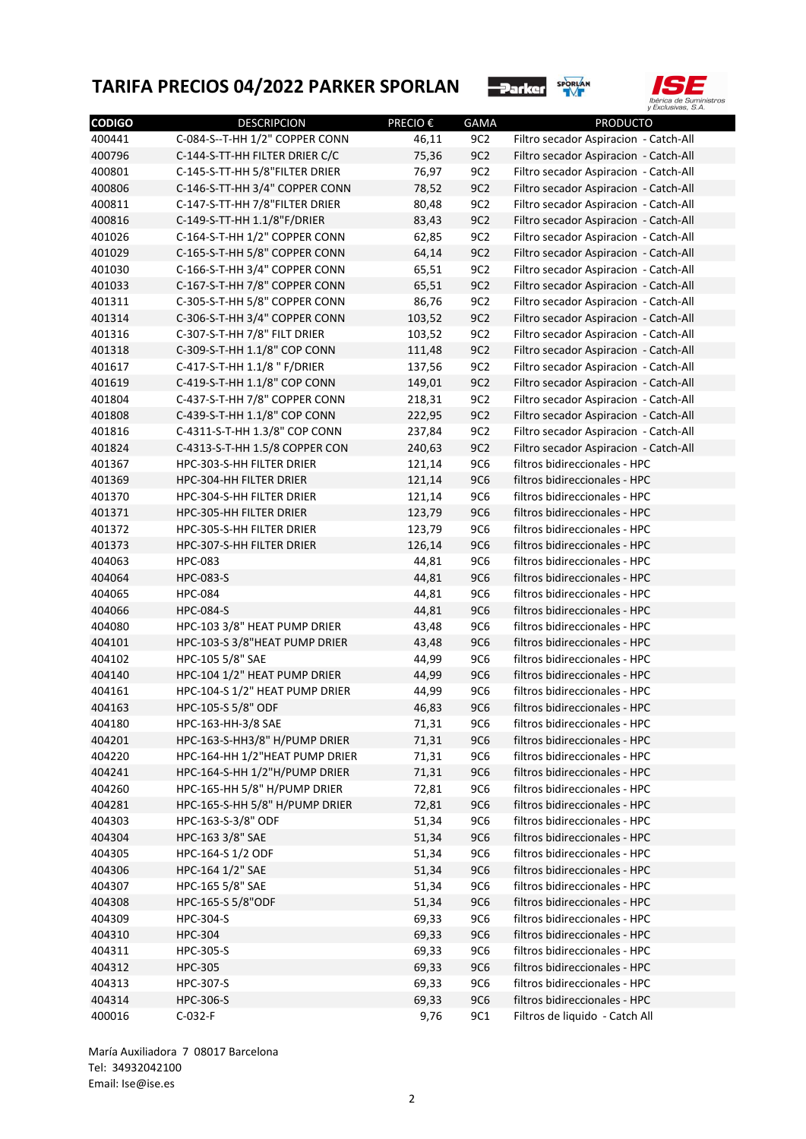



| <b>CODIGO</b> | <b>DESCRIPCION</b>             | <b>PRECIO €</b> | <b>GAMA</b> | <b>PRODUCTO</b>                       |
|---------------|--------------------------------|-----------------|-------------|---------------------------------------|
| 400441        | C-084-S--T-HH 1/2" COPPER CONN | 46,11           | 9C2         | Filtro secador Aspiracion - Catch-All |
| 400796        | C-144-S-TT-HH FILTER DRIER C/C | 75,36           | 9C2         | Filtro secador Aspiracion - Catch-All |
| 400801        | C-145-S-TT-HH 5/8"FILTER DRIER | 76,97           | 9C2         | Filtro secador Aspiracion - Catch-All |
| 400806        | C-146-S-TT-HH 3/4" COPPER CONN | 78,52           | 9C2         | Filtro secador Aspiracion - Catch-All |
| 400811        | C-147-S-TT-HH 7/8"FILTER DRIER | 80,48           | 9C2         | Filtro secador Aspiracion - Catch-All |
| 400816        | C-149-S-TT-HH 1.1/8"F/DRIER    | 83,43           | 9C2         | Filtro secador Aspiracion - Catch-All |
| 401026        | C-164-S-T-HH 1/2" COPPER CONN  | 62,85           | 9C2         | Filtro secador Aspiracion - Catch-All |
| 401029        | C-165-S-T-HH 5/8" COPPER CONN  | 64,14           | 9C2         | Filtro secador Aspiracion - Catch-All |
| 401030        | C-166-S-T-HH 3/4" COPPER CONN  | 65,51           | 9C2         | Filtro secador Aspiracion - Catch-All |
| 401033        | C-167-S-T-HH 7/8" COPPER CONN  | 65,51           | 9C2         | Filtro secador Aspiracion - Catch-All |
| 401311        | C-305-S-T-HH 5/8" COPPER CONN  | 86,76           | 9C2         | Filtro secador Aspiracion - Catch-All |
| 401314        | C-306-S-T-HH 3/4" COPPER CONN  | 103,52          | 9C2         | Filtro secador Aspiracion - Catch-All |
| 401316        | C-307-S-T-HH 7/8" FILT DRIER   | 103,52          | 9C2         | Filtro secador Aspiracion - Catch-All |
| 401318        | C-309-S-T-HH 1.1/8" COP CONN   | 111,48          | 9C2         |                                       |
|               |                                |                 | 9C2         | Filtro secador Aspiracion - Catch-All |
| 401617        | C-417-S-T-HH 1.1/8 " F/DRIER   | 137,56          |             | Filtro secador Aspiracion - Catch-All |
| 401619        | C-419-S-T-HH 1.1/8" COP CONN   | 149,01          | 9C2         | Filtro secador Aspiracion - Catch-All |
| 401804        | C-437-S-T-HH 7/8" COPPER CONN  | 218,31          | 9C2         | Filtro secador Aspiracion - Catch-All |
| 401808        | C-439-S-T-HH 1.1/8" COP CONN   | 222,95          | 9C2         | Filtro secador Aspiracion - Catch-All |
| 401816        | C-4311-S-T-HH 1.3/8" COP CONN  | 237,84          | 9C2         | Filtro secador Aspiracion - Catch-All |
| 401824        | C-4313-S-T-HH 1.5/8 COPPER CON | 240,63          | 9C2         | Filtro secador Aspiracion - Catch-All |
| 401367        | HPC-303-S-HH FILTER DRIER      | 121,14          | <b>9C6</b>  | filtros bidireccionales - HPC         |
| 401369        | HPC-304-HH FILTER DRIER        | 121,14          | <b>9C6</b>  | filtros bidireccionales - HPC         |
| 401370        | HPC-304-S-HH FILTER DRIER      | 121,14          | <b>9C6</b>  | filtros bidireccionales - HPC         |
| 401371        | HPC-305-HH FILTER DRIER        | 123,79          | <b>9C6</b>  | filtros bidireccionales - HPC         |
| 401372        | HPC-305-S-HH FILTER DRIER      | 123,79          | <b>9C6</b>  | filtros bidireccionales - HPC         |
| 401373        | HPC-307-S-HH FILTER DRIER      | 126,14          | <b>9C6</b>  | filtros bidireccionales - HPC         |
| 404063        | <b>HPC-083</b>                 | 44,81           | <b>9C6</b>  | filtros bidireccionales - HPC         |
| 404064        | <b>HPC-083-S</b>               | 44,81           | <b>9C6</b>  | filtros bidireccionales - HPC         |
| 404065        | <b>HPC-084</b>                 | 44,81           | <b>9C6</b>  | filtros bidireccionales - HPC         |
| 404066        | <b>HPC-084-S</b>               | 44,81           | <b>9C6</b>  | filtros bidireccionales - HPC         |
| 404080        | HPC-103 3/8" HEAT PUMP DRIER   | 43,48           | <b>9C6</b>  | filtros bidireccionales - HPC         |
| 404101        | HPC-103-S 3/8"HEAT PUMP DRIER  | 43,48           | <b>9C6</b>  | filtros bidireccionales - HPC         |
| 404102        | HPC-105 5/8" SAE               | 44,99           | <b>9C6</b>  | filtros bidireccionales - HPC         |
| 404140        | HPC-104 1/2" HEAT PUMP DRIER   | 44,99           | <b>9C6</b>  | filtros bidireccionales - HPC         |
| 404161        | HPC-104-S 1/2" HEAT PUMP DRIER | 44,99           | <b>9C6</b>  | filtros bidireccionales - HPC         |
| 404163        | HPC-105-S 5/8" ODF             | 46,83           | <b>9C6</b>  | filtros bidireccionales - HPC         |
| 404180        | HPC-163-HH-3/8 SAE             | 71,31           | <b>9C6</b>  | filtros bidireccionales - HPC         |
| 404201        | HPC-163-S-HH3/8" H/PUMP DRIER  | 71,31           | <b>9C6</b>  | filtros bidireccionales - HPC         |
| 404220        | HPC-164-HH 1/2"HEAT PUMP DRIER | 71,31           | 9C6         | filtros bidireccionales - HPC         |
| 404241        | HPC-164-S-HH 1/2"H/PUMP DRIER  | 71,31           | <b>9C6</b>  | filtros bidireccionales - HPC         |
| 404260        | HPC-165-HH 5/8" H/PUMP DRIER   | 72,81           | <b>9C6</b>  | filtros bidireccionales - HPC         |
| 404281        | HPC-165-S-HH 5/8" H/PUMP DRIER | 72,81           | <b>9C6</b>  | filtros bidireccionales - HPC         |
| 404303        | HPC-163-S-3/8" ODF             | 51,34           | <b>9C6</b>  | filtros bidireccionales - HPC         |
| 404304        | HPC-163 3/8" SAE               | 51,34           | <b>9C6</b>  | filtros bidireccionales - HPC         |
| 404305        | HPC-164-S 1/2 ODF              | 51,34           | <b>9C6</b>  | filtros bidireccionales - HPC         |
| 404306        | HPC-164 1/2" SAE               | 51,34           | <b>9C6</b>  | filtros bidireccionales - HPC         |
| 404307        | HPC-165 5/8" SAE               | 51,34           | <b>9C6</b>  | filtros bidireccionales - HPC         |
| 404308        | HPC-165-S 5/8"ODF              | 51,34           | <b>9C6</b>  | filtros bidireccionales - HPC         |
| 404309        | HPC-304-S                      | 69,33           | <b>9C6</b>  | filtros bidireccionales - HPC         |
| 404310        | <b>HPC-304</b>                 | 69,33           | <b>9C6</b>  | filtros bidireccionales - HPC         |
| 404311        | HPC-305-S                      | 69,33           | <b>9C6</b>  | filtros bidireccionales - HPC         |
| 404312        | <b>HPC-305</b>                 | 69,33           | <b>9C6</b>  | filtros bidireccionales - HPC         |
| 404313        | HPC-307-S                      | 69,33           | <b>9C6</b>  | filtros bidireccionales - HPC         |
| 404314        | HPC-306-S                      | 69,33           | <b>9C6</b>  | filtros bidireccionales - HPC         |
| 400016        | C-032-F                        | 9,76            | 9C1         | Filtros de liquido - Catch All        |
|               |                                |                 |             |                                       |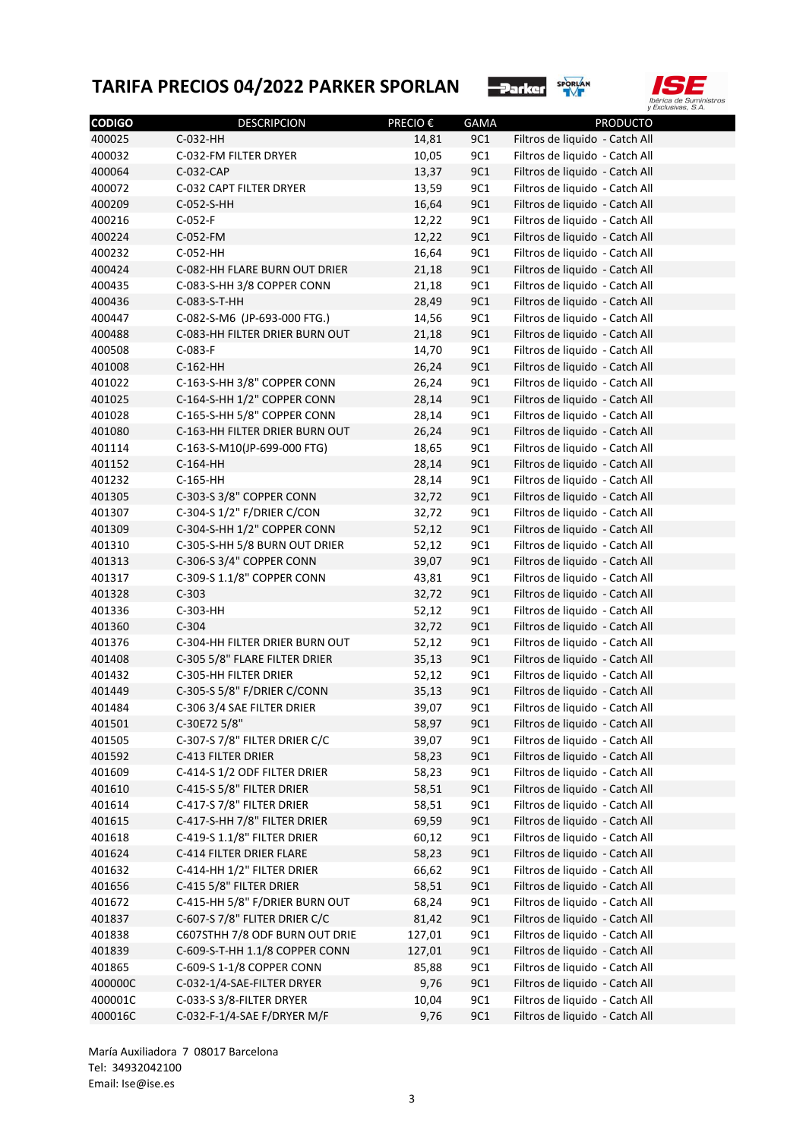



| <b>CODIGO</b> | <b>DESCRIPCION</b>             | <b>PRECIO €</b> | GAMA       | <b>PRODUCTO</b>                |
|---------------|--------------------------------|-----------------|------------|--------------------------------|
| 400025        | C-032-HH                       | 14,81           | 9C1        | Filtros de liquido - Catch All |
| 400032        | C-032-FM FILTER DRYER          | 10,05           | 9C1        | Filtros de liquido - Catch All |
| 400064        | C-032-CAP                      | 13,37           | <b>9C1</b> | Filtros de liquido - Catch All |
| 400072        | C-032 CAPT FILTER DRYER        | 13,59           | 9C1        | Filtros de liquido - Catch All |
| 400209        | C-052-S-HH                     | 16,64           | <b>9C1</b> | Filtros de liquido - Catch All |
| 400216        | $C-052-F$                      | 12,22           | <b>9C1</b> | Filtros de liquido - Catch All |
| 400224        | C-052-FM                       | 12,22           | <b>9C1</b> | Filtros de liquido - Catch All |
| 400232        | C-052-HH                       | 16,64           | <b>9C1</b> | Filtros de liquido - Catch All |
| 400424        | C-082-HH FLARE BURN OUT DRIER  | 21,18           | <b>9C1</b> | Filtros de liquido - Catch All |
| 400435        | C-083-S-HH 3/8 COPPER CONN     | 21,18           | <b>9C1</b> | Filtros de liquido - Catch All |
| 400436        | C-083-S-T-HH                   | 28,49           | <b>9C1</b> | Filtros de liquido - Catch All |
| 400447        | C-082-S-M6 (JP-693-000 FTG.)   | 14,56           | <b>9C1</b> | Filtros de liquido - Catch All |
| 400488        | C-083-HH FILTER DRIER BURN OUT | 21,18           | <b>9C1</b> | Filtros de liquido - Catch All |
| 400508        | C-083-F                        | 14,70           | <b>9C1</b> | Filtros de liquido - Catch All |
| 401008        | C-162-HH                       | 26,24           | <b>9C1</b> | Filtros de liquido - Catch All |
| 401022        | C-163-S-HH 3/8" COPPER CONN    | 26,24           | <b>9C1</b> | Filtros de liquido - Catch All |
| 401025        | C-164-S-HH 1/2" COPPER CONN    | 28,14           | <b>9C1</b> | Filtros de liquido - Catch All |
| 401028        | C-165-S-HH 5/8" COPPER CONN    | 28,14           | <b>9C1</b> | Filtros de liquido - Catch All |
| 401080        | C-163-HH FILTER DRIER BURN OUT | 26,24           | <b>9C1</b> | Filtros de liquido - Catch All |
| 401114        | C-163-S-M10(JP-699-000 FTG)    | 18,65           | <b>9C1</b> | Filtros de liquido - Catch All |
| 401152        | C-164-HH                       | 28,14           | <b>9C1</b> | Filtros de liquido - Catch All |
| 401232        | C-165-HH                       | 28,14           | <b>9C1</b> | Filtros de liquido - Catch All |
| 401305        | C-303-S 3/8" COPPER CONN       | 32,72           | <b>9C1</b> | Filtros de liquido - Catch All |
| 401307        | C-304-S 1/2" F/DRIER C/CON     | 32,72           | <b>9C1</b> | Filtros de liquido - Catch All |
| 401309        | C-304-S-HH 1/2" COPPER CONN    | 52,12           | <b>9C1</b> | Filtros de liquido - Catch All |
| 401310        | C-305-S-HH 5/8 BURN OUT DRIER  | 52,12           | <b>9C1</b> | Filtros de liquido - Catch All |
| 401313        | C-306-S 3/4" COPPER CONN       | 39,07           | <b>9C1</b> | Filtros de liquido - Catch All |
| 401317        | C-309-S 1.1/8" COPPER CONN     | 43,81           | <b>9C1</b> | Filtros de liquido - Catch All |
| 401328        | $C-303$                        | 32,72           | <b>9C1</b> | Filtros de liquido - Catch All |
| 401336        | C-303-HH                       | 52,12           | <b>9C1</b> | Filtros de liquido - Catch All |
| 401360        | $C-304$                        | 32,72           | <b>9C1</b> | Filtros de liquido - Catch All |
| 401376        | C-304-HH FILTER DRIER BURN OUT | 52,12           | 9C1        | Filtros de liquido - Catch All |
| 401408        | C-305 5/8" FLARE FILTER DRIER  | 35,13           | <b>9C1</b> | Filtros de liquido - Catch All |
| 401432        | C-305-HH FILTER DRIER          | 52,12           | 9C1        | Filtros de liquido - Catch All |
| 401449        | C-305-S 5/8" F/DRIER C/CONN    | 35,13           | 9C1        | Filtros de liquido - Catch All |
| 401484        | C-306 3/4 SAE FILTER DRIER     | 39,07           | 9C1        | Filtros de liquido - Catch All |
| 401501        | C-30E72 5/8"                   | 58,97           | 9C1        | Filtros de liquido - Catch All |
| 401505        | C-307-S 7/8" FILTER DRIER C/C  | 39,07           | 9C1        | Filtros de liquido - Catch All |
| 401592        | C-413 FILTER DRIER             | 58,23           | <b>9C1</b> | Filtros de liquido - Catch All |
| 401609        | C-414-S 1/2 ODF FILTER DRIER   | 58,23           | 9C1        | Filtros de liquido - Catch All |
| 401610        | C-415-S 5/8" FILTER DRIER      | 58,51           | <b>9C1</b> | Filtros de liquido - Catch All |
| 401614        | C-417-S 7/8" FILTER DRIER      | 58,51           | 9C1        | Filtros de liquido - Catch All |
|               | C-417-S-HH 7/8" FILTER DRIER   | 69,59           | <b>9C1</b> | Filtros de liquido - Catch All |
| 401615        |                                |                 | 9C1        | Filtros de liquido - Catch All |
| 401618        | C-419-S 1.1/8" FILTER DRIER    | 60,12           |            |                                |
| 401624        | C-414 FILTER DRIER FLARE       | 58,23           | <b>9C1</b> | Filtros de liquido - Catch All |
| 401632        | C-414-HH 1/2" FILTER DRIER     | 66,62           | 9C1        | Filtros de liquido - Catch All |
| 401656        | C-415 5/8" FILTER DRIER        | 58,51           | <b>9C1</b> | Filtros de liquido - Catch All |
| 401672        | C-415-HH 5/8" F/DRIER BURN OUT | 68,24           | 9C1        | Filtros de liquido - Catch All |
| 401837        | C-607-S 7/8" FLITER DRIER C/C  | 81,42           | <b>9C1</b> | Filtros de liquido - Catch All |
| 401838        | C607STHH 7/8 ODF BURN OUT DRIE | 127,01          | 9C1        | Filtros de liquido - Catch All |
| 401839        | C-609-S-T-HH 1.1/8 COPPER CONN | 127,01          | <b>9C1</b> | Filtros de liquido - Catch All |
| 401865        | C-609-S 1-1/8 COPPER CONN      | 85,88           | 9C1        | Filtros de liquido - Catch All |
| 400000C       | C-032-1/4-SAE-FILTER DRYER     | 9,76            | <b>9C1</b> | Filtros de liquido - Catch All |
| 400001C       | C-033-S 3/8-FILTER DRYER       | 10,04           | 9C1        | Filtros de liquido - Catch All |
| 400016C       | C-032-F-1/4-SAE F/DRYER M/F    | 9,76            | <b>9C1</b> | Filtros de liquido - Catch All |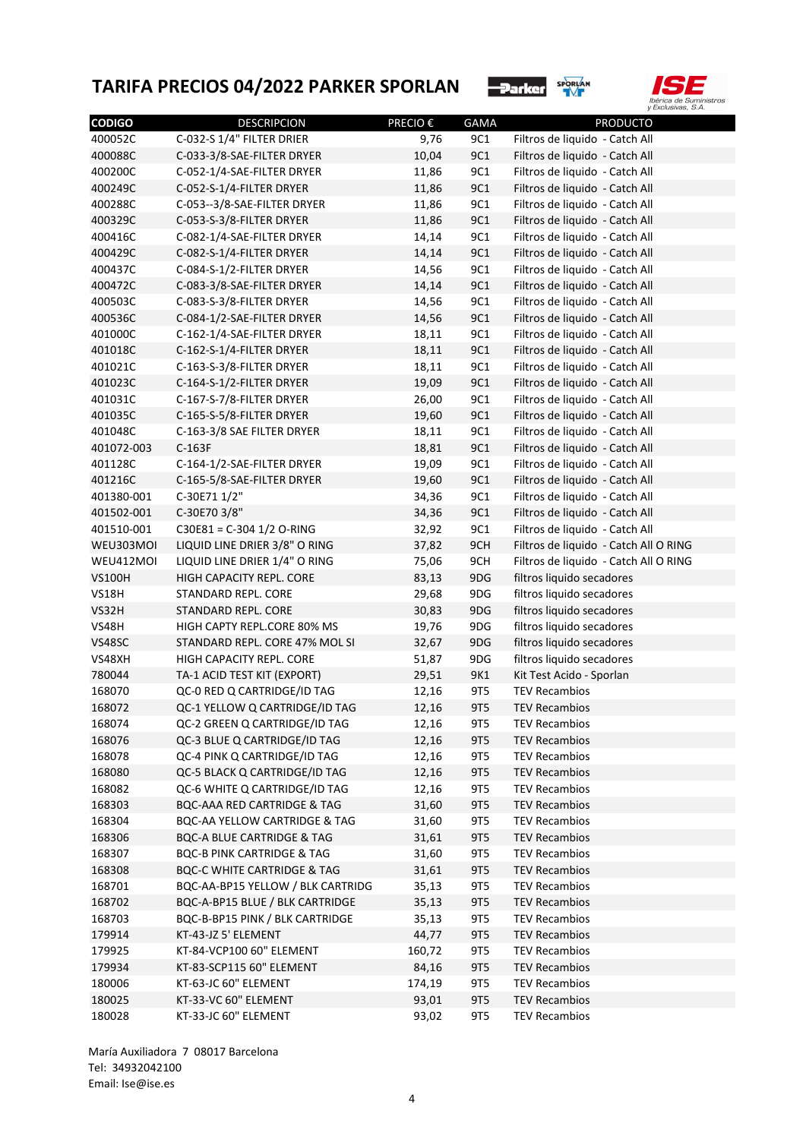



| <b>CODIGO</b> | <b>DESCRIPCION</b>                                            | <b>PRECIO €</b> | <b>GAMA</b> | <b>PRODUCTO</b>                                                                |
|---------------|---------------------------------------------------------------|-----------------|-------------|--------------------------------------------------------------------------------|
| 400052C       | C-032-S 1/4" FILTER DRIER                                     | 9,76            | 9C1         | Filtros de liquido - Catch All                                                 |
| 400088C       | C-033-3/8-SAE-FILTER DRYER                                    | 10,04           | 9C1         | Filtros de liquido - Catch All                                                 |
| 400200C       | C-052-1/4-SAE-FILTER DRYER                                    | 11,86           | 9C1         | Filtros de liquido - Catch All                                                 |
| 400249C       | C-052-S-1/4-FILTER DRYER                                      | 11,86           | 9C1         | Filtros de liquido - Catch All                                                 |
| 400288C       | C-053--3/8-SAE-FILTER DRYER                                   | 11,86           | 9C1         | Filtros de liquido - Catch All                                                 |
| 400329C       | C-053-S-3/8-FILTER DRYER                                      | 11,86           | 9C1         | Filtros de liquido - Catch All                                                 |
| 400416C       | C-082-1/4-SAE-FILTER DRYER                                    | 14,14           | 9C1         | Filtros de liquido - Catch All                                                 |
| 400429C       | C-082-S-1/4-FILTER DRYER                                      | 14,14           | 9C1         | Filtros de liquido - Catch All                                                 |
| 400437C       | C-084-S-1/2-FILTER DRYER                                      | 14,56           | 9C1         | Filtros de liquido - Catch All                                                 |
| 400472C       | C-083-3/8-SAE-FILTER DRYER                                    | 14,14           | 9C1         | Filtros de liquido - Catch All                                                 |
| 400503C       | C-083-S-3/8-FILTER DRYER                                      | 14,56           | 9C1         | Filtros de liquido - Catch All                                                 |
| 400536C       | C-084-1/2-SAE-FILTER DRYER                                    | 14,56           | 9C1         | Filtros de liquido - Catch All                                                 |
| 401000C       | C-162-1/4-SAE-FILTER DRYER                                    | 18,11           | 9C1         | Filtros de liquido - Catch All                                                 |
| 401018C       | C-162-S-1/4-FILTER DRYER                                      | 18,11           | 9C1         | Filtros de liquido - Catch All                                                 |
| 401021C       | C-163-S-3/8-FILTER DRYER                                      | 18,11           | 9C1         | Filtros de liquido - Catch All                                                 |
| 401023C       | C-164-S-1/2-FILTER DRYER                                      | 19,09           | 9C1         | Filtros de liquido - Catch All                                                 |
| 401031C       | C-167-S-7/8-FILTER DRYER                                      | 26,00           | 9C1         | Filtros de liquido - Catch All                                                 |
| 401035C       | C-165-S-5/8-FILTER DRYER                                      | 19,60           | 9C1         | Filtros de liquido - Catch All                                                 |
| 401048C       | C-163-3/8 SAE FILTER DRYER                                    | 18,11           | 9C1         | Filtros de liquido - Catch All                                                 |
| 401072-003    | $C-163F$                                                      | 18,81           | 9C1         | Filtros de liquido - Catch All                                                 |
| 401128C       | C-164-1/2-SAE-FILTER DRYER                                    | 19,09           | 9C1         | Filtros de liquido - Catch All                                                 |
| 401216C       | C-165-5/8-SAE-FILTER DRYER                                    | 19,60           | 9C1         | Filtros de liquido - Catch All                                                 |
| 401380-001    | C-30E71 1/2"                                                  | 34,36           | 9C1         | Filtros de liquido - Catch All                                                 |
| 401502-001    | C-30E70 3/8"                                                  | 34,36           | 9C1         | Filtros de liquido - Catch All                                                 |
| 401510-001    | C30E81 = C-304 1/2 O-RING                                     | 32,92           | 9C1         | Filtros de liquido - Catch All                                                 |
| WEU303MOI     | LIQUID LINE DRIER 3/8" O RING                                 |                 | 9CH         |                                                                                |
| WEU412MOI     | LIQUID LINE DRIER 1/4" O RING                                 | 37,82           | 9CH         | Filtros de liquido - Catch All O RING<br>Filtros de liquido - Catch All O RING |
| <b>VS100H</b> | HIGH CAPACITY REPL. CORE                                      | 75,06           | 9DG         | filtros liquido secadores                                                      |
| <b>VS18H</b>  | STANDARD REPL. CORE                                           | 83,13           | 9DG         | filtros liquido secadores                                                      |
| VS32H         | STANDARD REPL. CORE                                           | 29,68           | 9DG         | filtros liquido secadores                                                      |
|               |                                                               | 30,83           |             |                                                                                |
| <b>VS48H</b>  | HIGH CAPTY REPL.CORE 80% MS<br>STANDARD REPL. CORE 47% MOL SI | 19,76           | 9DG         | filtros liquido secadores                                                      |
| VS48SC        |                                                               | 32,67           | 9DG         | filtros liquido secadores                                                      |
| VS48XH        | HIGH CAPACITY REPL. CORE                                      | 51,87           | 9DG         | filtros liquido secadores                                                      |
| 780044        | TA-1 ACID TEST KIT (EXPORT)                                   | 29,51           | 9K1         | Kit Test Acido - Sporlan                                                       |
| 168070        | QC-0 RED Q CARTRIDGE/ID TAG                                   | 12,16           | 9T5         | <b>TEV Recambios</b>                                                           |
| 168072        | QC-1 YELLOW Q CARTRIDGE/ID TAG                                | 12,16           | 9T5         | <b>TEV Recambios</b>                                                           |
| 168074        | QC-2 GREEN Q CARTRIDGE/ID TAG                                 | 12,16           | 9T5         | <b>TEV Recambios</b>                                                           |
| 168076        | QC-3 BLUE Q CARTRIDGE/ID TAG                                  | 12,16           | 9T5         | <b>TEV Recambios</b>                                                           |
| 168078        | QC-4 PINK Q CARTRIDGE/ID TAG                                  | 12,16           | 9T5         | <b>TEV Recambios</b>                                                           |
| 168080        | QC-5 BLACK Q CARTRIDGE/ID TAG                                 | 12,16           | 9T5         | <b>TEV Recambios</b>                                                           |
| 168082        | QC-6 WHITE Q CARTRIDGE/ID TAG                                 | 12,16           | 9T5         | <b>TEV Recambios</b>                                                           |
| 168303        | <b>BQC-AAA RED CARTRIDGE &amp; TAG</b>                        | 31,60           | 9T5         | <b>TEV Recambios</b>                                                           |
| 168304        | BQC-AA YELLOW CARTRIDGE & TAG                                 | 31,60           | 9T5         | <b>TEV Recambios</b>                                                           |
| 168306        | <b>BQC-A BLUE CARTRIDGE &amp; TAG</b>                         | 31,61           | 9T5         | <b>TEV Recambios</b>                                                           |
| 168307        | <b>BQC-B PINK CARTRIDGE &amp; TAG</b>                         | 31,60           | 9T5         | <b>TEV Recambios</b>                                                           |
| 168308        | <b>BQC-C WHITE CARTRIDGE &amp; TAG</b>                        | 31,61           | 9T5         | <b>TEV Recambios</b>                                                           |
| 168701        | BQC-AA-BP15 YELLOW / BLK CARTRIDG                             | 35,13           | 9T5         | <b>TEV Recambios</b>                                                           |
| 168702        | BQC-A-BP15 BLUE / BLK CARTRIDGE                               | 35,13           | 9T5         | <b>TEV Recambios</b>                                                           |
| 168703        | BQC-B-BP15 PINK / BLK CARTRIDGE                               | 35,13           | 9T5         | <b>TEV Recambios</b>                                                           |
| 179914        | KT-43-JZ 5' ELEMENT                                           | 44,77           | 9T5         | <b>TEV Recambios</b>                                                           |
| 179925        | KT-84-VCP100 60" ELEMENT                                      | 160,72          | 9T5         | <b>TEV Recambios</b>                                                           |
| 179934        | KT-83-SCP115 60" ELEMENT                                      | 84,16           | 9T5         | <b>TEV Recambios</b>                                                           |
| 180006        | KT-63-JC 60" ELEMENT                                          | 174,19          | 9T5         | <b>TEV Recambios</b>                                                           |
| 180025        | KT-33-VC 60" ELEMENT                                          | 93,01           | 9T5         | <b>TEV Recambios</b>                                                           |
| 180028        | KT-33-JC 60" ELEMENT                                          | 93,02           | 9T5         | <b>TEV Recambios</b>                                                           |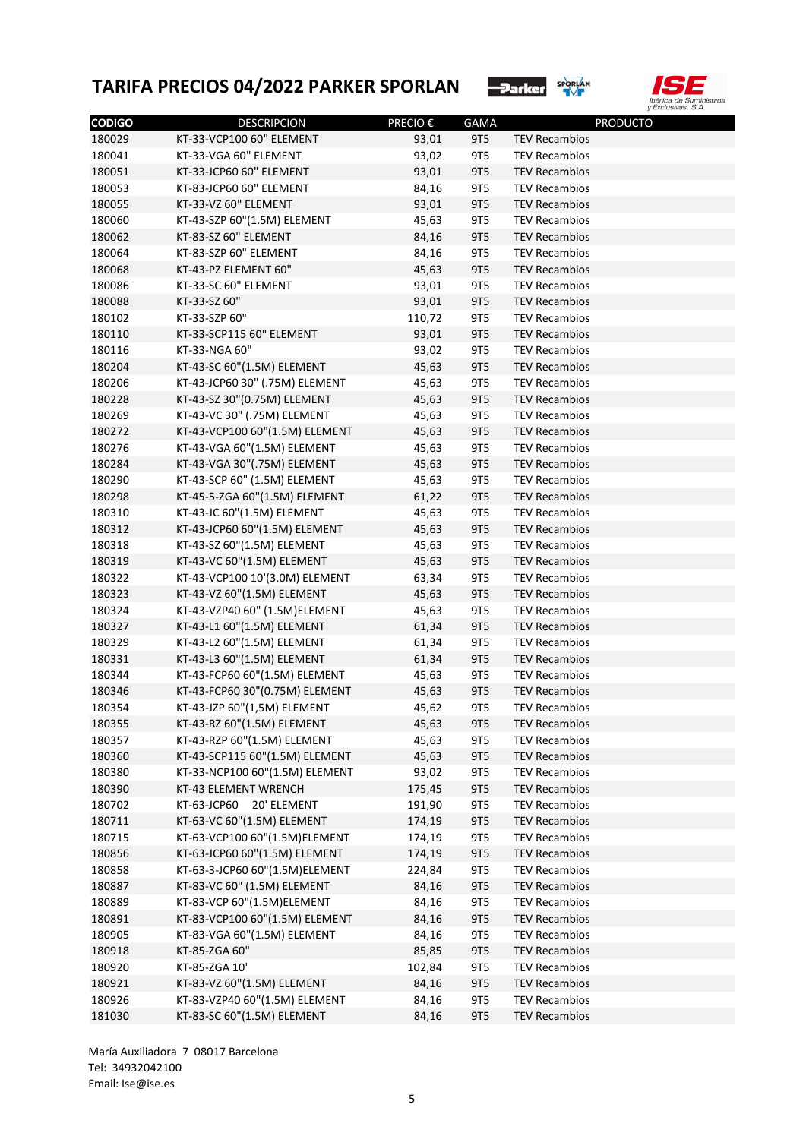



| <b>CODIGO</b> | <b>DESCRIPCION</b>             | PRECIO€ | <b>GAMA</b> | <b>PRODUCTO</b>      |
|---------------|--------------------------------|---------|-------------|----------------------|
| 180029        | KT-33-VCP100 60" ELEMENT       | 93,01   | 9T5         | <b>TEV Recambios</b> |
| 180041        | KT-33-VGA 60" ELEMENT          | 93,02   | 9T5         | <b>TEV Recambios</b> |
| 180051        | KT-33-JCP60 60" ELEMENT        | 93,01   | <b>9T5</b>  | <b>TEV Recambios</b> |
| 180053        | KT-83-JCP60 60" ELEMENT        | 84,16   | 9T5         | <b>TEV Recambios</b> |
| 180055        | KT-33-VZ 60" ELEMENT           | 93,01   | 9T5         | <b>TEV Recambios</b> |
| 180060        | KT-43-SZP 60"(1.5M) ELEMENT    | 45,63   | 9T5         | <b>TEV Recambios</b> |
| 180062        | KT-83-SZ 60" ELEMENT           | 84,16   | 9T5         | <b>TEV Recambios</b> |
| 180064        | KT-83-SZP 60" ELEMENT          | 84,16   | 9T5         | <b>TEV Recambios</b> |
| 180068        | KT-43-PZ ELEMENT 60"           | 45,63   | 9T5         | <b>TEV Recambios</b> |
| 180086        | KT-33-SC 60" ELEMENT           | 93,01   | 9T5         | <b>TEV Recambios</b> |
| 180088        | KT-33-SZ 60"                   | 93,01   | 9T5         | <b>TEV Recambios</b> |
| 180102        | KT-33-SZP 60"                  | 110,72  | 9T5         | <b>TEV Recambios</b> |
| 180110        | KT-33-SCP115 60" ELEMENT       | 93,01   | 9T5         | <b>TEV Recambios</b> |
| 180116        | KT-33-NGA 60"                  | 93,02   | 9T5         | <b>TEV Recambios</b> |
| 180204        | KT-43-SC 60"(1.5M) ELEMENT     | 45,63   | 9T5         | <b>TEV Recambios</b> |
| 180206        | KT-43-JCP60 30" (.75M) ELEMENT | 45,63   | 9T5         | <b>TEV Recambios</b> |
| 180228        | KT-43-SZ 30"(0.75M) ELEMENT    | 45,63   | 9T5         | <b>TEV Recambios</b> |
| 180269        | KT-43-VC 30" (.75M) ELEMENT    | 45,63   | 9T5         | <b>TEV Recambios</b> |
| 180272        | KT-43-VCP100 60"(1.5M) ELEMENT | 45,63   | 9T5         | <b>TEV Recambios</b> |
| 180276        | KT-43-VGA 60"(1.5M) ELEMENT    | 45,63   | 9T5         | <b>TEV Recambios</b> |
| 180284        | KT-43-VGA 30"(.75M) ELEMENT    | 45,63   | 9T5         | <b>TEV Recambios</b> |
| 180290        | KT-43-SCP 60" (1.5M) ELEMENT   | 45,63   | 9T5         | <b>TEV Recambios</b> |
| 180298        | KT-45-5-ZGA 60"(1.5M) ELEMENT  | 61,22   | 9T5         | <b>TEV Recambios</b> |
| 180310        | KT-43-JC 60"(1.5M) ELEMENT     | 45,63   | 9T5         | <b>TEV Recambios</b> |
| 180312        | KT-43-JCP60 60"(1.5M) ELEMENT  | 45,63   | 9T5         | <b>TEV Recambios</b> |
| 180318        | KT-43-SZ 60"(1.5M) ELEMENT     | 45,63   | 9T5         | <b>TEV Recambios</b> |
| 180319        | KT-43-VC 60"(1.5M) ELEMENT     | 45,63   | 9T5         | <b>TEV Recambios</b> |
| 180322        | KT-43-VCP100 10'(3.0M) ELEMENT | 63,34   | 9T5         | <b>TEV Recambios</b> |
| 180323        | KT-43-VZ 60"(1.5M) ELEMENT     | 45,63   | 9T5         | <b>TEV Recambios</b> |
| 180324        | KT-43-VZP40 60" (1.5M)ELEMENT  | 45,63   | <b>9T5</b>  | <b>TEV Recambios</b> |
| 180327        | KT-43-L1 60"(1.5M) ELEMENT     | 61,34   | 9T5         | <b>TEV Recambios</b> |
| 180329        | KT-43-L2 60"(1.5M) ELEMENT     | 61,34   | 9T5         | <b>TEV Recambios</b> |
| 180331        | KT-43-L3 60"(1.5M) ELEMENT     | 61,34   | 9T5         | <b>TEV Recambios</b> |
| 180344        | KT-43-FCP60 60"(1.5M) ELEMENT  | 45,63   | <b>9T5</b>  | <b>TEV Recambios</b> |
| 180346        | KT-43-FCP60 30"(0.75M) ELEMENT | 45,63   | 9T5         | <b>TEV Recambios</b> |
| 180354        | KT-43-JZP 60"(1,5M) ELEMENT    | 45,62   | 9T5         | <b>TEV Recambios</b> |
| 180355        | KT-43-RZ 60"(1.5M) ELEMENT     | 45,63   | 9T5         | <b>TEV Recambios</b> |
| 180357        | KT-43-RZP 60"(1.5M) ELEMENT    | 45,63   | 9T5         | <b>TEV Recambios</b> |
| 180360        | KT-43-SCP115 60"(1.5M) ELEMENT | 45,63   | <b>9T5</b>  | <b>TEV Recambios</b> |
| 180380        | KT-33-NCP100 60"(1.5M) ELEMENT | 93,02   | 9T5         | <b>TEV Recambios</b> |
| 180390        | KT-43 ELEMENT WRENCH           | 175,45  | <b>9T5</b>  | <b>TEV Recambios</b> |
|               |                                |         |             |                      |
| 180702        | KT-63-JCP60<br>20' ELEMENT     | 191,90  | 9T5         | <b>TEV Recambios</b> |
| 180711        | KT-63-VC 60"(1.5M) ELEMENT     | 174,19  | <b>9T5</b>  | <b>TEV Recambios</b> |
| 180715        | KT-63-VCP100 60"(1.5M)ELEMENT  | 174,19  | 9T5         | <b>TEV Recambios</b> |
| 180856        | KT-63-JCP60 60"(1.5M) ELEMENT  | 174,19  | <b>9T5</b>  | <b>TEV Recambios</b> |
| 180858        | KT-63-3-JCP60 60"(1.5M)ELEMENT | 224,84  | 9T5         | <b>TEV Recambios</b> |
| 180887        | KT-83-VC 60" (1.5M) ELEMENT    | 84,16   | <b>9T5</b>  | <b>TEV Recambios</b> |
| 180889        | KT-83-VCP 60"(1.5M)ELEMENT     | 84,16   | 9T5         | <b>TEV Recambios</b> |
| 180891        | KT-83-VCP100 60"(1.5M) ELEMENT | 84,16   | <b>9T5</b>  | <b>TEV Recambios</b> |
| 180905        | KT-83-VGA 60"(1.5M) ELEMENT    | 84,16   | 9T5         | <b>TEV Recambios</b> |
| 180918        | KT-85-ZGA 60"                  | 85,85   | <b>9T5</b>  | <b>TEV Recambios</b> |
| 180920        | KT-85-ZGA 10'                  | 102,84  | 9T5         | <b>TEV Recambios</b> |
| 180921        | KT-83-VZ 60"(1.5M) ELEMENT     | 84,16   | <b>9T5</b>  | <b>TEV Recambios</b> |
| 180926        | KT-83-VZP40 60"(1.5M) ELEMENT  | 84,16   | 9T5         | <b>TEV Recambios</b> |
| 181030        | KT-83-SC 60"(1.5M) ELEMENT     | 84,16   | 9T5         | <b>TEV Recambios</b> |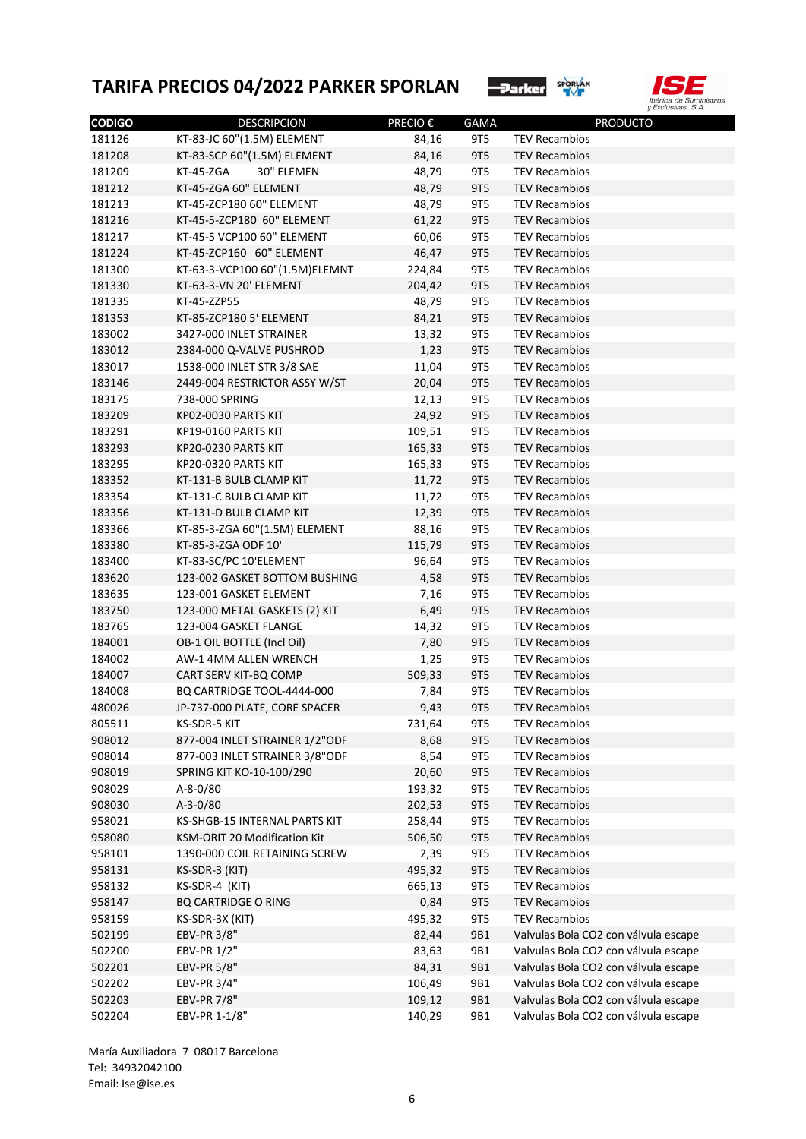



| <b>CODIGO</b> | <b>DESCRIPCION</b>             | PRECIO € | <b>GAMA</b> | <b>PRODUCTO</b>                      |
|---------------|--------------------------------|----------|-------------|--------------------------------------|
| 181126        | KT-83-JC 60"(1.5M) ELEMENT     | 84,16    | 9T5         | <b>TEV Recambios</b>                 |
| 181208        | KT-83-SCP 60"(1.5M) ELEMENT    | 84,16    | 9T5         | <b>TEV Recambios</b>                 |
| 181209        | KT-45-ZGA<br>30" ELEMEN        | 48,79    | 9T5         | <b>TEV Recambios</b>                 |
| 181212        | KT-45-ZGA 60" ELEMENT          | 48,79    | 9T5         | <b>TEV Recambios</b>                 |
| 181213        | KT-45-ZCP180 60" ELEMENT       | 48,79    | 9T5         | <b>TEV Recambios</b>                 |
| 181216        | KT-45-5-ZCP180 60" ELEMENT     | 61,22    | 9T5         | <b>TEV Recambios</b>                 |
| 181217        | KT-45-5 VCP100 60" ELEMENT     | 60,06    | 9T5         | <b>TEV Recambios</b>                 |
| 181224        | KT-45-ZCP160 60" ELEMENT       | 46,47    | 9T5         | <b>TEV Recambios</b>                 |
| 181300        | KT-63-3-VCP100 60"(1.5M)ELEMNT | 224,84   | 9T5         | <b>TEV Recambios</b>                 |
| 181330        | KT-63-3-VN 20' ELEMENT         | 204,42   | 9T5         | <b>TEV Recambios</b>                 |
| 181335        | KT-45-ZZP55                    | 48,79    | 9T5         | <b>TEV Recambios</b>                 |
| 181353        | KT-85-ZCP180 5' ELEMENT        | 84,21    | 9T5         | <b>TEV Recambios</b>                 |
| 183002        | 3427-000 INLET STRAINER        | 13,32    | 9T5         | <b>TEV Recambios</b>                 |
| 183012        | 2384-000 Q-VALVE PUSHROD       | 1,23     | <b>9T5</b>  | <b>TEV Recambios</b>                 |
| 183017        | 1538-000 INLET STR 3/8 SAE     | 11,04    | 9T5         | <b>TEV Recambios</b>                 |
| 183146        | 2449-004 RESTRICTOR ASSY W/ST  | 20,04    | 9T5         | <b>TEV Recambios</b>                 |
| 183175        | 738-000 SPRING                 | 12,13    | 9T5         | <b>TEV Recambios</b>                 |
| 183209        | KP02-0030 PARTS KIT            | 24,92    | 9T5         | <b>TEV Recambios</b>                 |
| 183291        | KP19-0160 PARTS KIT            | 109,51   | 9T5         | <b>TEV Recambios</b>                 |
| 183293        | KP20-0230 PARTS KIT            | 165,33   | 9T5         | <b>TEV Recambios</b>                 |
| 183295        | KP20-0320 PARTS KIT            | 165,33   | 9T5         | <b>TEV Recambios</b>                 |
| 183352        | KT-131-B BULB CLAMP KIT        | 11,72    | 9T5         | <b>TEV Recambios</b>                 |
| 183354        | KT-131-C BULB CLAMP KIT        | 11,72    | 9T5         | <b>TEV Recambios</b>                 |
| 183356        | KT-131-D BULB CLAMP KIT        | 12,39    | 9T5         | <b>TEV Recambios</b>                 |
| 183366        | KT-85-3-ZGA 60"(1.5M) ELEMENT  | 88,16    | 9T5         | <b>TEV Recambios</b>                 |
| 183380        | KT-85-3-ZGA ODF 10'            | 115,79   | 9T5         | <b>TEV Recambios</b>                 |
| 183400        | KT-83-SC/PC 10'ELEMENT         | 96,64    | 9T5         | <b>TEV Recambios</b>                 |
| 183620        | 123-002 GASKET BOTTOM BUSHING  | 4,58     | <b>9T5</b>  | <b>TEV Recambios</b>                 |
| 183635        | 123-001 GASKET ELEMENT         | 7,16     | 9T5         | <b>TEV Recambios</b>                 |
| 183750        | 123-000 METAL GASKETS (2) KIT  | 6,49     | <b>9T5</b>  | <b>TEV Recambios</b>                 |
| 183765        | 123-004 GASKET FLANGE          | 14,32    | 9T5         | <b>TEV Recambios</b>                 |
| 184001        | OB-1 OIL BOTTLE (Incl Oil)     | 7,80     | <b>9T5</b>  | <b>TEV Recambios</b>                 |
| 184002        | AW-1 4MM ALLEN WRENCH          | 1,25     | 9T5         | <b>TEV Recambios</b>                 |
| 184007        | CART SERV KIT-BQ COMP          | 509,33   | 9T5         | <b>TEV Recambios</b>                 |
| 184008        | BQ CARTRIDGE TOOL-4444-000     | 7,84     | 9T5         | <b>TEV Recambios</b>                 |
| 480026        | JP-737-000 PLATE, CORE SPACER  | 9,43     | <b>9T5</b>  | <b>TEV Recambios</b>                 |
| 805511        | KS-SDR-5 KIT                   | 731,64   | 9T5         | <b>TEV Recambios</b>                 |
| 908012        | 877-004 INLET STRAINER 1/2"ODF | 8,68     | 9T5         | <b>TEV Recambios</b>                 |
| 908014        | 877-003 INLET STRAINER 3/8"ODF | 8,54     | 9T5         | <b>TEV Recambios</b>                 |
| 908019        | SPRING KIT KO-10-100/290       | 20,60    | <b>9T5</b>  | <b>TEV Recambios</b>                 |
| 908029        | A-8-0/80                       | 193,32   | 9T5         | <b>TEV Recambios</b>                 |
|               | $A-3-0/80$                     |          |             |                                      |
| 908030        |                                | 202,53   | <b>9T5</b>  | <b>TEV Recambios</b>                 |
| 958021        | KS-SHGB-15 INTERNAL PARTS KIT  | 258,44   | 9T5         | <b>TEV Recambios</b>                 |
| 958080        | KSM-ORIT 20 Modification Kit   | 506,50   | <b>9T5</b>  | <b>TEV Recambios</b>                 |
| 958101        | 1390-000 COIL RETAINING SCREW  | 2,39     | <b>9T5</b>  | <b>TEV Recambios</b>                 |
| 958131        | KS-SDR-3 (KIT)                 | 495,32   | <b>9T5</b>  | <b>TEV Recambios</b>                 |
| 958132        | KS-SDR-4 (KIT)                 | 665,13   | 9T5         | <b>TEV Recambios</b>                 |
| 958147        | <b>BQ CARTRIDGE O RING</b>     | 0,84     | <b>9T5</b>  | <b>TEV Recambios</b>                 |
| 958159        | KS-SDR-3X (KIT)                | 495,32   | 9T5         | <b>TEV Recambios</b>                 |
| 502199        | EBV-PR 3/8"                    | 82,44    | 9B1         | Valvulas Bola CO2 con válvula escape |
| 502200        | EBV-PR 1/2"                    | 83,63    | 9B1         | Valvulas Bola CO2 con válvula escape |
| 502201        | EBV-PR 5/8"                    | 84,31    | 9B1         | Valvulas Bola CO2 con válvula escape |
| 502202        | EBV-PR 3/4"                    | 106,49   | 9B1         | Valvulas Bola CO2 con válvula escape |
| 502203        | <b>EBV-PR 7/8"</b>             | 109,12   | 9B1         | Valvulas Bola CO2 con válvula escape |
| 502204        | EBV-PR 1-1/8"                  | 140,29   | 9B1         | Valvulas Bola CO2 con válvula escape |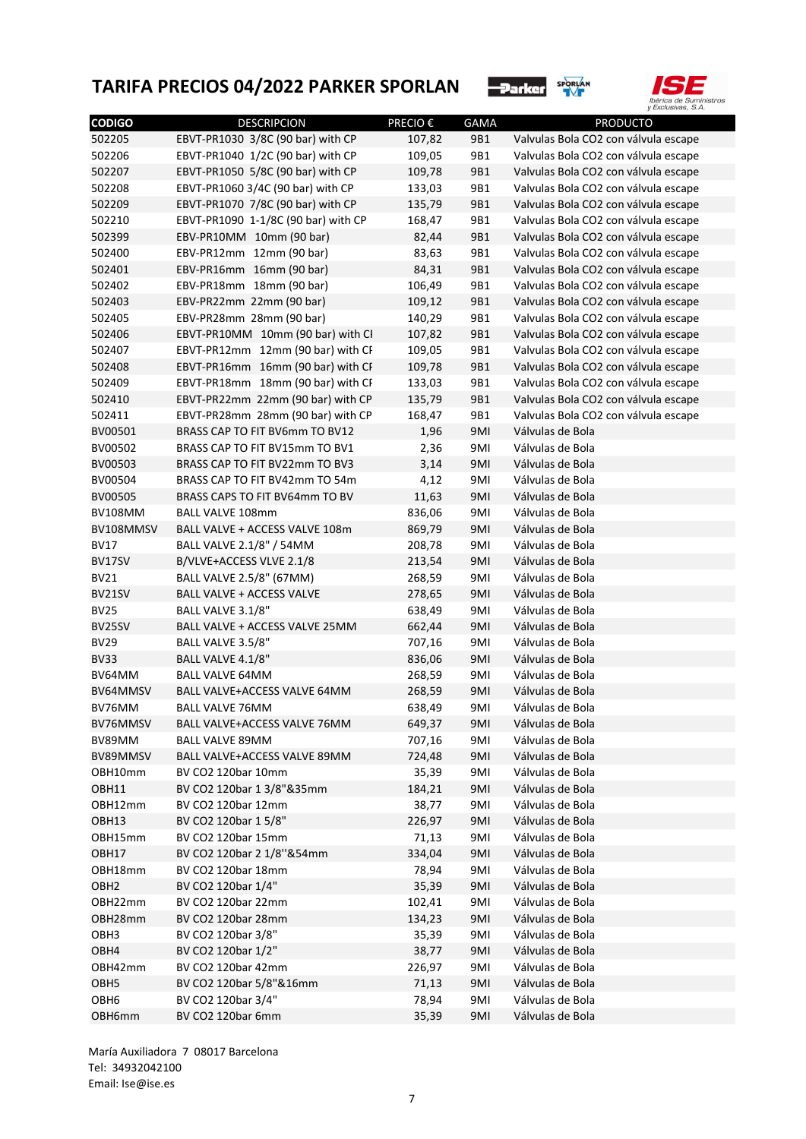



| <b>CODIGO</b>    | <b>DESCRIPCION</b>                  | PRECIO €       | <b>GAMA</b> | <b>PRODUCTO</b>                      |
|------------------|-------------------------------------|----------------|-------------|--------------------------------------|
| 502205           | EBVT-PR1030 3/8C (90 bar) with CP   | 107,82         | 9B1         | Valvulas Bola CO2 con válvula escape |
| 502206           | EBVT-PR1040 1/2C (90 bar) with CP   | 109,05         | 9B1         | Valvulas Bola CO2 con válvula escape |
| 502207           | EBVT-PR1050 5/8C (90 bar) with CP   | 109,78         | 9B1         | Valvulas Bola CO2 con válvula escape |
| 502208           | EBVT-PR1060 3/4C (90 bar) with CP   | 133,03         | 9B1         | Valvulas Bola CO2 con válvula escape |
| 502209           | EBVT-PR1070 7/8C (90 bar) with CP   | 135,79         | 9B1         | Valvulas Bola CO2 con válvula escape |
| 502210           | EBVT-PR1090 1-1/8C (90 bar) with CP | 168,47         | 9B1         | Valvulas Bola CO2 con válvula escape |
| 502399           | EBV-PR10MM 10mm (90 bar)            | 82,44          | 9B1         | Valvulas Bola CO2 con válvula escape |
| 502400           | EBV-PR12mm 12mm (90 bar)            | 83,63          | 9B1         | Valvulas Bola CO2 con válvula escape |
| 502401           | EBV-PR16mm 16mm (90 bar)            | 84,31          | 9B1         | Valvulas Bola CO2 con válvula escape |
| 502402           | EBV-PR18mm 18mm (90 bar)            | 106,49         | 9B1         | Valvulas Bola CO2 con válvula escape |
| 502403           | EBV-PR22mm 22mm (90 bar)            | 109,12         | 9B1         | Valvulas Bola CO2 con válvula escape |
| 502405           | EBV-PR28mm 28mm (90 bar)            | 140,29         | 9B1         | Valvulas Bola CO2 con válvula escape |
| 502406           | EBVT-PR10MM 10mm (90 bar) with CI   | 107,82         | 9B1         | Valvulas Bola CO2 con válvula escape |
| 502407           | EBVT-PR12mm 12mm (90 bar) with CF   | 109,05         | 9B1         | Valvulas Bola CO2 con válvula escape |
| 502408           | EBVT-PR16mm 16mm (90 bar) with CF   | 109,78         | 9B1         | Valvulas Bola CO2 con válvula escape |
| 502409           | EBVT-PR18mm 18mm (90 bar) with CF   | 133,03         | 9B1         | Valvulas Bola CO2 con válvula escape |
| 502410           | EBVT-PR22mm 22mm (90 bar) with CP   | 135,79         | 9B1         | Valvulas Bola CO2 con válvula escape |
| 502411           | EBVT-PR28mm 28mm (90 bar) with CP   | 168,47         | 9B1         | Valvulas Bola CO2 con válvula escape |
| BV00501          | BRASS CAP TO FIT BV6mm TO BV12      | 1,96           | 9MI         | Válvulas de Bola                     |
| BV00502          | BRASS CAP TO FIT BV15mm TO BV1      | 2,36           | 9MI         | Válvulas de Bola                     |
| BV00503          | BRASS CAP TO FIT BV22mm TO BV3      | 3,14           | 9MI         | Válvulas de Bola                     |
| BV00504          | BRASS CAP TO FIT BV42mm TO 54m      | 4,12           | 9MI         | Válvulas de Bola                     |
| BV00505          | BRASS CAPS TO FIT BV64mm TO BV      | 11,63          | 9MI         | Válvulas de Bola                     |
| <b>BV108MM</b>   | <b>BALL VALVE 108mm</b>             | 836,06         | 9MI         | Válvulas de Bola                     |
| BV108MMSV        | BALL VALVE + ACCESS VALVE 108m      | 869,79         | 9MI         | Válvulas de Bola                     |
| <b>BV17</b>      | BALL VALVE 2.1/8" / 54MM            | 208,78         | 9MI         | Válvulas de Bola                     |
| BV17SV           | B/VLVE+ACCESS VLVE 2.1/8            | 213,54         | 9MI         | Válvulas de Bola                     |
| <b>BV21</b>      | BALL VALVE 2.5/8" (67MM)            | 268,59         | 9MI         | Válvulas de Bola                     |
| BV21SV           | <b>BALL VALVE + ACCESS VALVE</b>    | 278,65         | 9MI         | Válvulas de Bola                     |
| <b>BV25</b>      | BALL VALVE 3.1/8"                   | 638,49         | 9MI         | Válvulas de Bola                     |
| BV25SV           | BALL VALVE + ACCESS VALVE 25MM      | 662,44         | 9MI         | Válvulas de Bola                     |
| <b>BV29</b>      | BALL VALVE 3.5/8"                   | 707,16         | 9MI         | Válvulas de Bola                     |
| <b>BV33</b>      | BALL VALVE 4.1/8"                   | 836,06         | 9MI         | Válvulas de Bola                     |
| BV64MM           | <b>BALL VALVE 64MM</b>              | 268,59         | 9MI         | Válvulas de Bola                     |
| BV64MMSV         | BALL VALVE+ACCESS VALVE 64MM        | 268,59         | 9MI         | Válvulas de Bola                     |
| BV76MM           | <b>BALL VALVE 76MM</b>              | 638,49         | 9MI         | Válvulas de Bola                     |
| BV76MMSV         | BALL VALVE+ACCESS VALVE 76MM        | 649,37         | 9MI         | Válvulas de Bola                     |
| BV89MM           | BALL VALVE 89MM                     | 707,16         | 9MI         | Válvulas de Bola                     |
| BV89MMSV         | BALL VALVE+ACCESS VALVE 89MM        | 724,48         | 9MI         | Válvulas de Bola                     |
| OBH10mm          | BV CO2 120bar 10mm                  | 35,39          | 9MI         | Válvulas de Bola                     |
| OBH11            | BV CO2 120bar 1 3/8"&35mm           | 184,21         | 9MI         | Válvulas de Bola                     |
| OBH12mm          | BV CO2 120bar 12mm                  | 38,77          | 9MI         | Válvulas de Bola                     |
| OBH13            | BV CO2 120bar 1 5/8"                | 226,97         | 9MI         | Válvulas de Bola                     |
| OBH15mm          | BV CO2 120bar 15mm                  | 71,13          | 9MI         | Válvulas de Bola                     |
| OBH17            | BV CO2 120bar 2 1/8"&54mm           | 334,04         | 9MI         | Válvulas de Bola                     |
| OBH18mm          | BV CO2 120bar 18mm                  | 78,94          | 9MI         | Válvulas de Bola                     |
| OBH <sub>2</sub> | BV CO2 120bar 1/4"                  | 35,39          | 9MI         | Válvulas de Bola                     |
| OBH22mm          | BV CO2 120bar 22mm                  | 102,41         | 9MI         | Válvulas de Bola                     |
| OBH28mm          | BV CO2 120bar 28mm                  |                |             | Válvulas de Bola                     |
|                  | BV CO2 120bar 3/8"                  | 134,23         | 9MI         | Válvulas de Bola                     |
| OBH3             | BV CO2 120bar 1/2"                  | 35,39<br>38,77 | 9MI         | Válvulas de Bola                     |
| OBH4<br>OBH42mm  | BV CO2 120bar 42mm                  |                | 9MI         | Válvulas de Bola                     |
|                  | BV CO2 120bar 5/8"&16mm             | 226,97         | 9MI         | Válvulas de Bola                     |
| OBH <sub>5</sub> |                                     | 71,13          | 9MI         |                                      |
| OBH <sub>6</sub> | BV CO2 120bar 3/4"                  | 78,94          | 9MI         | Válvulas de Bola                     |
| OBH6mm           | BV CO2 120bar 6mm                   | 35,39          | 9MI         | Válvulas de Bola                     |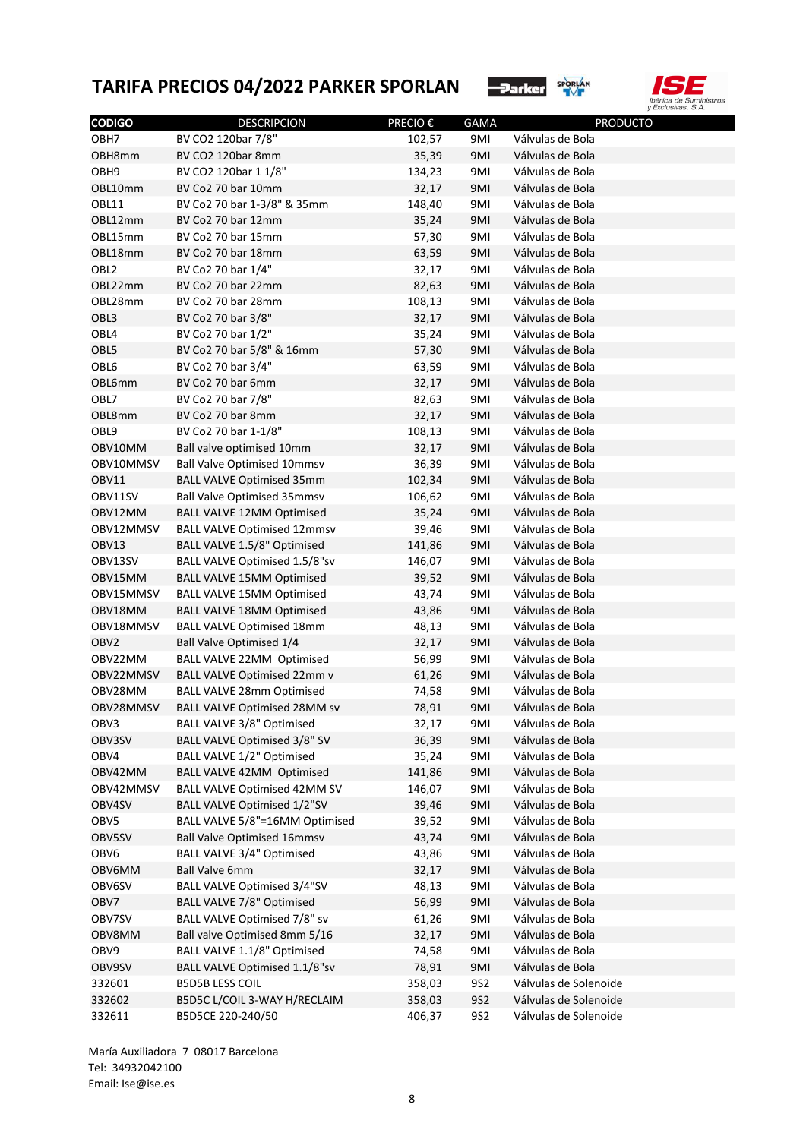



| <b>CODIGO</b>    | <b>DESCRIPCION</b>                  | PRECIO € | <b>GAMA</b> | <b>PRODUCTO</b>       |
|------------------|-------------------------------------|----------|-------------|-----------------------|
| OBH7             | BV CO2 120bar 7/8"                  | 102,57   | 9MI         | Válvulas de Bola      |
| OBH8mm           | BV CO2 120bar 8mm                   | 35,39    | 9MI         | Válvulas de Bola      |
| OBH9             | BV CO2 120bar 1 1/8"                | 134,23   | 9MI         | Válvulas de Bola      |
| OBL10mm          | BV Co2 70 bar 10mm                  | 32,17    | 9MI         | Válvulas de Bola      |
| OBL11            | BV Co2 70 bar 1-3/8" & 35mm         | 148,40   | 9MI         | Válvulas de Bola      |
| OBL12mm          | BV Co2 70 bar 12mm                  | 35,24    | 9MI         | Válvulas de Bola      |
| OBL15mm          | BV Co2 70 bar 15mm                  | 57,30    | 9MI         | Válvulas de Bola      |
| OBL18mm          | BV Co2 70 bar 18mm                  | 63,59    | 9MI         | Válvulas de Bola      |
| OBL <sub>2</sub> | BV Co2 70 bar 1/4"                  | 32,17    | 9MI         | Válvulas de Bola      |
| OBL22mm          | BV Co2 70 bar 22mm                  | 82,63    | 9MI         | Válvulas de Bola      |
| OBL28mm          | BV Co2 70 bar 28mm                  | 108,13   | 9MI         | Válvulas de Bola      |
| OBL3             | BV Co2 70 bar 3/8"                  | 32,17    | 9MI         | Válvulas de Bola      |
| OBL4             | BV Co2 70 bar 1/2"                  | 35,24    | 9MI         | Válvulas de Bola      |
| OBL5             | BV Co2 70 bar 5/8" & 16mm           | 57,30    | 9MI         | Válvulas de Bola      |
| OBL6             |                                     |          |             |                       |
|                  | BV Co2 70 bar 3/4"                  | 63,59    | 9MI         | Válvulas de Bola      |
| OBL6mm           | BV Co2 70 bar 6mm                   | 32,17    | 9MI         | Válvulas de Bola      |
| OBL7             | BV Co2 70 bar 7/8"                  | 82,63    | 9MI         | Válvulas de Bola      |
| OBL8mm           | BV Co2 70 bar 8mm                   | 32,17    | 9MI         | Válvulas de Bola      |
| OBL9             | BV Co2 70 bar 1-1/8"                | 108,13   | 9MI         | Válvulas de Bola      |
| OBV10MM          | Ball valve optimised 10mm           | 32,17    | 9MI         | Válvulas de Bola      |
| OBV10MMSV        | <b>Ball Valve Optimised 10mmsv</b>  | 36,39    | 9MI         | Válvulas de Bola      |
| OBV11            | <b>BALL VALVE Optimised 35mm</b>    | 102,34   | 9MI         | Válvulas de Bola      |
| OBV11SV          | <b>Ball Valve Optimised 35mmsv</b>  | 106,62   | 9MI         | Válvulas de Bola      |
| OBV12MM          | <b>BALL VALVE 12MM Optimised</b>    | 35,24    | 9MI         | Válvulas de Bola      |
| OBV12MMSV        | <b>BALL VALVE Optimised 12mmsv</b>  | 39,46    | 9MI         | Válvulas de Bola      |
| OBV13            | BALL VALVE 1.5/8" Optimised         | 141,86   | 9MI         | Válvulas de Bola      |
| OBV13SV          | BALL VALVE Optimised 1.5/8"sv       | 146,07   | 9MI         | Válvulas de Bola      |
| OBV15MM          | <b>BALL VALVE 15MM Optimised</b>    | 39,52    | 9MI         | Válvulas de Bola      |
| OBV15MMSV        | <b>BALL VALVE 15MM Optimised</b>    | 43,74    | 9MI         | Válvulas de Bola      |
| OBV18MM          | <b>BALL VALVE 18MM Optimised</b>    | 43,86    | 9MI         | Válvulas de Bola      |
| OBV18MMSV        | <b>BALL VALVE Optimised 18mm</b>    | 48,13    | 9MI         | Válvulas de Bola      |
| OBV <sub>2</sub> | <b>Ball Valve Optimised 1/4</b>     | 32,17    | 9MI         | Válvulas de Bola      |
| OBV22MM          | BALL VALVE 22MM Optimised           | 56,99    | 9MI         | Válvulas de Bola      |
| OBV22MMSV        | <b>BALL VALVE Optimised 22mm v</b>  | 61,26    | 9MI         | Válvulas de Bola      |
| OBV28MM          | <b>BALL VALVE 28mm Optimised</b>    | 74,58    | 9MI         | Válvulas de Bola      |
| OBV28MMSV        | <b>BALL VALVE Optimised 28MM sv</b> | 78,91    | 9MI         | Válvulas de Bola      |
| OBV3             | <b>BALL VALVE 3/8" Optimised</b>    | 32,17    | 9MI         | Válvulas de Bola      |
| OBV3SV           | BALL VALVE Optimised 3/8" SV        | 36,39    | 9MI         | Válvulas de Bola      |
| OBV4             | BALL VALVE 1/2" Optimised           | 35,24    | 9MI         | Válvulas de Bola      |
| OBV42MM          | BALL VALVE 42MM Optimised           | 141,86   | 9MI         | Válvulas de Bola      |
| OBV42MMSV        | <b>BALL VALVE Optimised 42MM SV</b> | 146,07   | 9MI         | Válvulas de Bola      |
| OBV4SV           | <b>BALL VALVE Optimised 1/2"SV</b>  | 39,46    | 9MI         | Válvulas de Bola      |
| OBV5             | BALL VALVE 5/8"=16MM Optimised      | 39,52    | 9MI         | Válvulas de Bola      |
| OBV5SV           | <b>Ball Valve Optimised 16mmsv</b>  | 43,74    | 9MI         | Válvulas de Bola      |
| OBV6             | BALL VALVE 3/4" Optimised           | 43,86    | 9MI         | Válvulas de Bola      |
| OBV6MM           | <b>Ball Valve 6mm</b>               | 32,17    | 9MI         | Válvulas de Bola      |
| OBV6SV           | <b>BALL VALVE Optimised 3/4"SV</b>  | 48,13    | 9MI         | Válvulas de Bola      |
| OBV7             | <b>BALL VALVE 7/8" Optimised</b>    | 56,99    | 9MI         | Válvulas de Bola      |
| OBV7SV           | BALL VALVE Optimised 7/8" sv        | 61,26    | 9MI         | Válvulas de Bola      |
| OBV8MM           | Ball valve Optimised 8mm 5/16       | 32,17    | 9MI         | Válvulas de Bola      |
| OBV9             | BALL VALVE 1.1/8" Optimised         | 74,58    | 9MI         | Válvulas de Bola      |
| OBV9SV           | BALL VALVE Optimised 1.1/8"sv       | 78,91    | 9MI         | Válvulas de Bola      |
| 332601           | <b>B5D5B LESS COIL</b>              |          | <b>9S2</b>  | Válvulas de Solenoide |
| 332602           | B5D5C L/COIL 3-WAY H/RECLAIM        | 358,03   | <b>9S2</b>  | Válvulas de Solenoide |
|                  |                                     | 358,03   |             |                       |
| 332611           | B5D5CE 220-240/50                   | 406,37   | <b>9S2</b>  | Válvulas de Solenoide |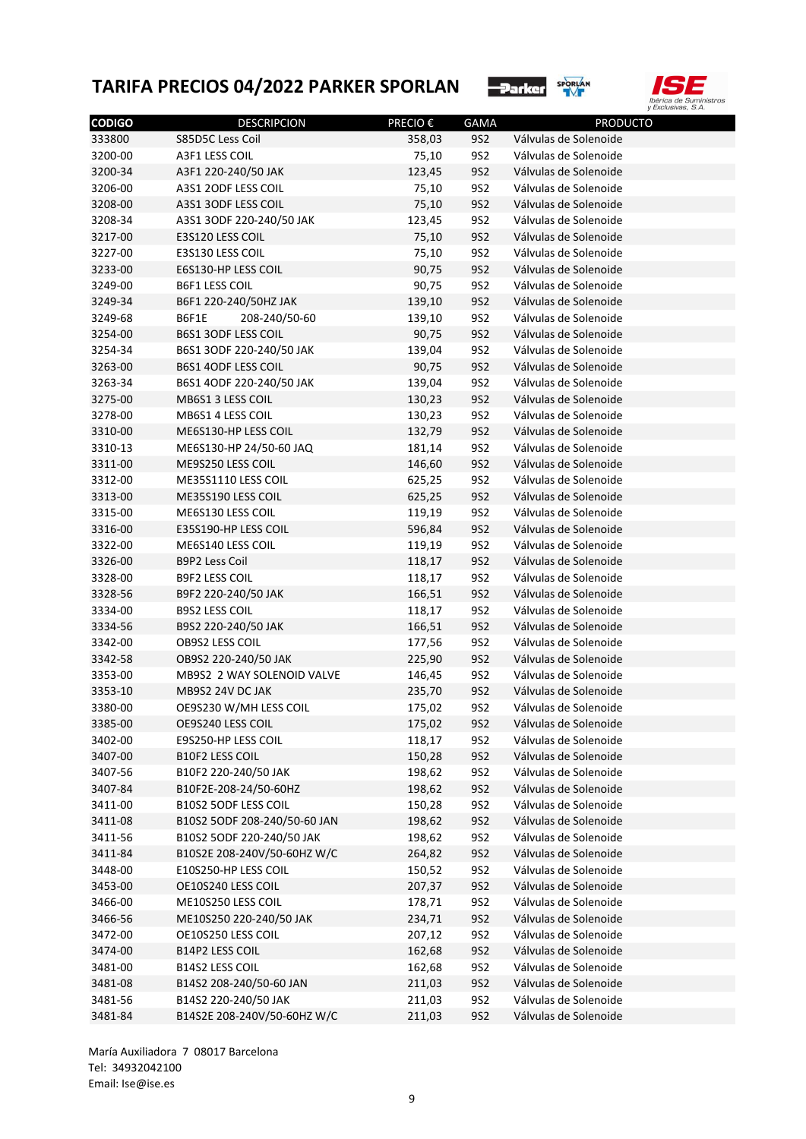



| <b>CODIGO</b>      | <b>DESCRIPCION</b>                                  | PRECIO € | GAMA       | <b>PRODUCTO</b>       |
|--------------------|-----------------------------------------------------|----------|------------|-----------------------|
| 333800             | S85D5C Less Coil                                    | 358,03   | <b>9S2</b> | Válvulas de Solenoide |
| 3200-00            | A3F1 LESS COIL                                      | 75,10    | 9S2        | Válvulas de Solenoide |
| 3200-34            | A3F1 220-240/50 JAK                                 | 123,45   | 9S2        | Válvulas de Solenoide |
| 3206-00            | A3S1 2ODF LESS COIL                                 | 75,10    | 9S2        | Válvulas de Solenoide |
| 3208-00            | A3S1 3ODF LESS COIL                                 | 75,10    | 9S2        | Válvulas de Solenoide |
| 3208-34            | A3S1 3ODF 220-240/50 JAK                            | 123,45   | 9S2        | Válvulas de Solenoide |
| 3217-00            | E3S120 LESS COIL                                    | 75,10    | 9S2        | Válvulas de Solenoide |
| 3227-00            | E3S130 LESS COIL                                    | 75,10    | 9S2        | Válvulas de Solenoide |
| 3233-00            | E6S130-HP LESS COIL                                 | 90,75    | 9S2        | Válvulas de Solenoide |
| 3249-00            | <b>B6F1 LESS COIL</b>                               | 90,75    | 9S2        | Válvulas de Solenoide |
| 3249-34            | B6F1 220-240/50HZ JAK                               | 139,10   | 9S2        | Válvulas de Solenoide |
| 3249-68            | B6F1E<br>208-240/50-60                              | 139,10   | 9S2        | Válvulas de Solenoide |
| 3254-00            | B6S1 3ODF LESS COIL                                 | 90,75    | 9S2        | Válvulas de Solenoide |
| 3254-34            | B6S1 3ODF 220-240/50 JAK                            | 139,04   | 9S2        | Válvulas de Solenoide |
| 3263-00            | <b>B6S1 4ODF LESS COIL</b>                          | 90,75    | 9S2        | Válvulas de Solenoide |
| 3263-34            | B6S1 4ODF 220-240/50 JAK                            | 139,04   | 9S2        | Válvulas de Solenoide |
| 3275-00            | MB6S1 3 LESS COIL                                   | 130,23   | 9S2        | Válvulas de Solenoide |
| 3278-00            | MB6S1 4 LESS COIL                                   | 130,23   | 9S2        | Válvulas de Solenoide |
| 3310-00            | ME6S130-HP LESS COIL                                | 132,79   | 9S2        | Válvulas de Solenoide |
| 3310-13            | ME6S130-HP 24/50-60 JAQ                             | 181,14   | 9S2        | Válvulas de Solenoide |
| 3311-00            | ME9S250 LESS COIL                                   | 146,60   | 9S2        | Válvulas de Solenoide |
| 3312-00            | ME35S1110 LESS COIL                                 | 625,25   | 9S2        | Válvulas de Solenoide |
| 3313-00            | ME35S190 LESS COIL                                  | 625,25   | 9S2        | Válvulas de Solenoide |
| 3315-00            | ME6S130 LESS COIL                                   | 119,19   | 9S2        | Válvulas de Solenoide |
| 3316-00            | E35S190-HP LESS COIL                                | 596,84   | 9S2        | Válvulas de Solenoide |
| 3322-00            | ME6S140 LESS COIL                                   | 119,19   | 9S2        | Válvulas de Solenoide |
| 3326-00            | B9P2 Less Coil                                      | 118,17   | 9S2        | Válvulas de Solenoide |
| 3328-00            | <b>B9F2 LESS COIL</b>                               | 118,17   | 9S2        | Válvulas de Solenoide |
| 3328-56            | B9F2 220-240/50 JAK                                 | 166,51   | 9S2        | Válvulas de Solenoide |
| 3334-00            | <b>B9S2 LESS COIL</b>                               | 118,17   | 9S2        | Válvulas de Solenoide |
| 3334-56            | B9S2 220-240/50 JAK                                 | 166,51   | 9S2        | Válvulas de Solenoide |
| 3342-00            | OB9S2 LESS COIL                                     | 177,56   | 9S2        | Válvulas de Solenoide |
| 3342-58            | OB9S2 220-240/50 JAK                                | 225,90   | 9S2        | Válvulas de Solenoide |
| 3353-00            | MB9S2 2 WAY SOLENOID VALVE                          | 146,45   | 9S2        | Válvulas de Solenoide |
| 3353-10            | MB9S2 24V DC JAK                                    | 235,70   | <b>9S2</b> | Válvulas de Solenoide |
| 3380-00            | OE9S230 W/MH LESS COIL                              | 175,02   | 9S2        | Válvulas de Solenoide |
| 3385-00            | OE9S240 LESS COIL                                   | 175,02   | 9S2        | Válvulas de Solenoide |
| 3402-00            | E9S250-HP LESS COIL                                 | 118,17   | 9S2        | Válvulas de Solenoide |
| 3407-00            | <b>B10F2 LESS COIL</b>                              | 150,28   | 9S2        | Válvulas de Solenoide |
| 3407-56            | B10F2 220-240/50 JAK                                | 198,62   | 9S2        | Válvulas de Solenoide |
| 3407-84            | B10F2E-208-24/50-60HZ                               | 198,62   | 9S2        | Válvulas de Solenoide |
|                    | B10S2 5ODF LESS COIL                                | 150,28   | 9S2        | Válvulas de Solenoide |
| 3411-00            |                                                     |          |            |                       |
| 3411-08            | B10S2 5ODF 208-240/50-60 JAN                        | 198,62   | 9S2        | Válvulas de Solenoide |
| 3411-56            | B10S2 5ODF 220-240/50 JAK                           | 198,62   | 9S2        | Válvulas de Solenoide |
| 3411-84<br>3448-00 | B10S2E 208-240V/50-60HZ W/C<br>E10S250-HP LESS COIL | 264,82   | 9S2        | Válvulas de Solenoide |
|                    |                                                     | 150,52   | 9S2        | Válvulas de Solenoide |
| 3453-00            | OE10S240 LESS COIL                                  | 207,37   | 9S2        | Válvulas de Solenoide |
| 3466-00            | ME10S250 LESS COIL                                  | 178,71   | 9S2        | Válvulas de Solenoide |
| 3466-56            | ME10S250 220-240/50 JAK                             | 234,71   | 9S2        | Válvulas de Solenoide |
| 3472-00            | OE10S250 LESS COIL                                  | 207,12   | 9S2        | Válvulas de Solenoide |
| 3474-00            | <b>B14P2 LESS COIL</b>                              | 162,68   | 9S2        | Válvulas de Solenoide |
| 3481-00            | <b>B14S2 LESS COIL</b>                              | 162,68   | 9S2        | Válvulas de Solenoide |
| 3481-08            | B14S2 208-240/50-60 JAN                             | 211,03   | 9S2        | Válvulas de Solenoide |
| 3481-56            | B14S2 220-240/50 JAK                                | 211,03   | 9S2        | Válvulas de Solenoide |
| 3481-84            | B14S2E 208-240V/50-60HZ W/C                         | 211,03   | 9S2        | Válvulas de Solenoide |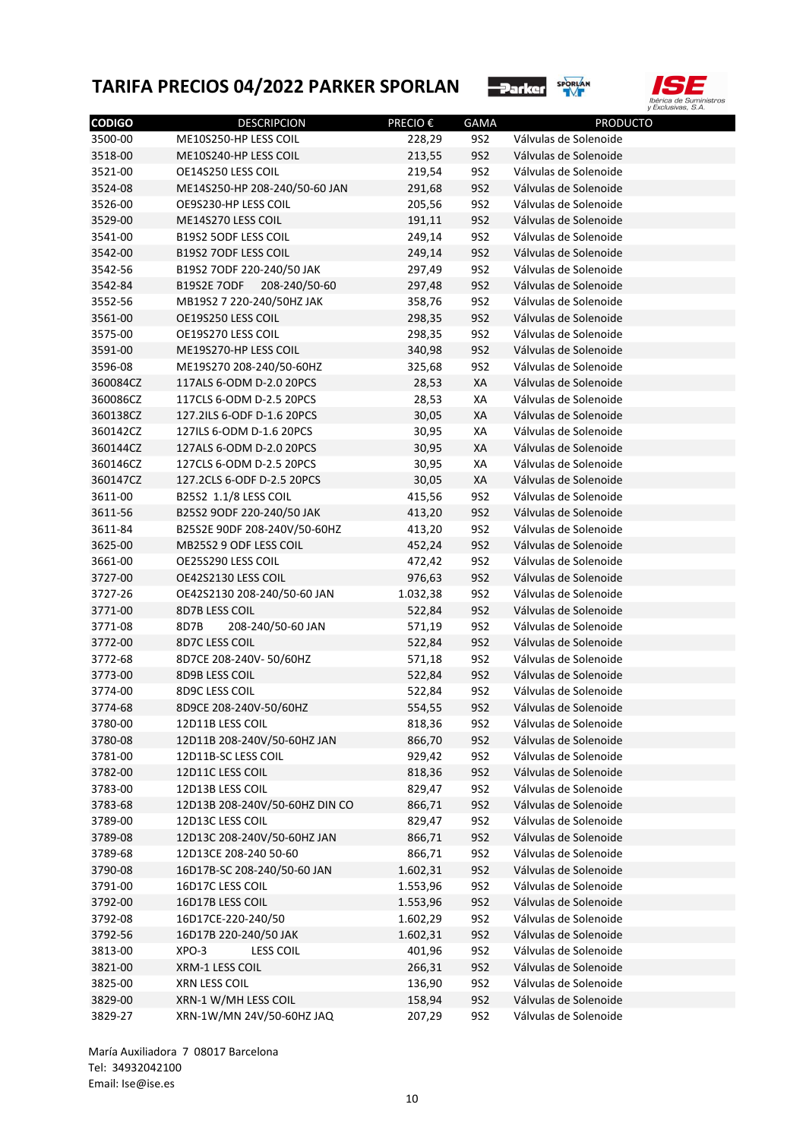



| <b>CODIGO</b> | <b>DESCRIPCION</b>                         | PRECIO €         | <b>GAMA</b> | <b>PRODUCTO</b>       |
|---------------|--------------------------------------------|------------------|-------------|-----------------------|
| 3500-00       | ME10S250-HP LESS COIL                      | 228,29           | 9S2         | Válvulas de Solenoide |
| 3518-00       | ME10S240-HP LESS COIL                      | 213,55           | <b>9S2</b>  | Válvulas de Solenoide |
| 3521-00       | OE14S250 LESS COIL                         | 219,54           | <b>9S2</b>  | Válvulas de Solenoide |
| 3524-08       | ME14S250-HP 208-240/50-60 JAN              | 291,68           | <b>9S2</b>  | Válvulas de Solenoide |
| 3526-00       | OE9S230-HP LESS COIL                       | 205,56           | <b>9S2</b>  | Válvulas de Solenoide |
| 3529-00       | ME14S270 LESS COIL                         | 191,11           | <b>9S2</b>  | Válvulas de Solenoide |
| 3541-00       | <b>B19S2 5ODF LESS COIL</b>                | 249,14           | <b>9S2</b>  | Válvulas de Solenoide |
| 3542-00       | <b>B19S2 7ODF LESS COIL</b>                | 249,14           | <b>9S2</b>  | Válvulas de Solenoide |
| 3542-56       | B19S2 7ODF 220-240/50 JAK                  | 297,49           | <b>9S2</b>  | Válvulas de Solenoide |
| 3542-84       | B19S2E 7ODF 208-240/50-60                  | 297,48           | <b>9S2</b>  | Válvulas de Solenoide |
| 3552-56       | MB19S2 7 220-240/50HZ JAK                  | 358,76           | <b>9S2</b>  | Válvulas de Solenoide |
| 3561-00       | OE19S250 LESS COIL                         | 298,35           | <b>9S2</b>  | Válvulas de Solenoide |
| 3575-00       | OE19S270 LESS COIL                         | 298,35           | <b>9S2</b>  | Válvulas de Solenoide |
| 3591-00       | ME19S270-HP LESS COIL                      | 340,98           | <b>9S2</b>  | Válvulas de Solenoide |
| 3596-08       | ME19S270 208-240/50-60HZ                   | 325,68           | 9S2         | Válvulas de Solenoide |
| 360084CZ      | 117ALS 6-ODM D-2.0 20PCS                   | 28,53            | XA          | Válvulas de Solenoide |
| 360086CZ      | 117CLS 6-ODM D-2.5 20PCS                   | 28,53            | XA          | Válvulas de Solenoide |
| 360138CZ      | 127.2ILS 6-ODF D-1.6 20PCS                 | 30,05            | XA          | Válvulas de Solenoide |
| 360142CZ      | 127ILS 6-ODM D-1.6 20PCS                   | 30,95            | XA          | Válvulas de Solenoide |
| 360144CZ      | 127ALS 6-ODM D-2.0 20PCS                   | 30,95            | XA          | Válvulas de Solenoide |
| 360146CZ      | 127CLS 6-ODM D-2.5 20PCS                   | 30,95            | XA          | Válvulas de Solenoide |
| 360147CZ      | 127.2CLS 6-ODF D-2.5 20PCS                 | 30,05            | XA          | Válvulas de Solenoide |
| 3611-00       | B25S2 1.1/8 LESS COIL                      | 415,56           | <b>9S2</b>  | Válvulas de Solenoide |
| 3611-56       | B25S2 9ODF 220-240/50 JAK                  | 413,20           | <b>9S2</b>  | Válvulas de Solenoide |
| 3611-84       | B25S2E 90DF 208-240V/50-60HZ               | 413,20           | <b>9S2</b>  | Válvulas de Solenoide |
| 3625-00       | MB25S2 9 ODF LESS COIL                     | 452,24           | <b>9S2</b>  | Válvulas de Solenoide |
| 3661-00       | OE25S290 LESS COIL                         | 472,42           | <b>9S2</b>  | Válvulas de Solenoide |
| 3727-00       | OE42S2130 LESS COIL                        | 976,63           | <b>9S2</b>  | Válvulas de Solenoide |
| 3727-26       | OE42S2130 208-240/50-60 JAN                | 1.032,38         | <b>9S2</b>  | Válvulas de Solenoide |
| 3771-00       | 8D7B LESS COIL                             | 522,84           | <b>9S2</b>  | Válvulas de Solenoide |
| 3771-08       | 8D7B<br>208-240/50-60 JAN                  |                  | <b>9S2</b>  | Válvulas de Solenoide |
| 3772-00       | 8D7C LESS COIL                             | 571,19<br>522,84 | <b>9S2</b>  | Válvulas de Solenoide |
| 3772-68       | 8D7CE 208-240V-50/60HZ                     |                  | 9S2         | Válvulas de Solenoide |
| 3773-00       | 8D9B LESS COIL                             | 571,18<br>522,84 | <b>9S2</b>  | Válvulas de Solenoide |
| 3774-00       | 8D9C LESS COIL                             | 522,84           | 9S2         | Válvulas de Solenoide |
|               |                                            |                  | <b>9S2</b>  | Válvulas de Solenoide |
| 3774-68       | 8D9CE 208-240V-50/60HZ<br>12D11B LESS COIL | 554,55           |             | Válvulas de Solenoide |
| 3780-00       |                                            | 818,36           | 9S2         |                       |
| 3780-08       | 12D11B 208-240V/50-60HZ JAN                | 866,70           | 9S2         | Válvulas de Solenoide |
| 3781-00       | 12D11B-SC LESS COIL                        | 929,42           | 9S2         | Válvulas de Solenoide |
| 3782-00       | 12D11C LESS COIL                           | 818,36           | 9S2         | Válvulas de Solenoide |
| 3783-00       | 12D13B LESS COIL                           | 829,47           | 9S2         | Válvulas de Solenoide |
| 3783-68       | 12D13B 208-240V/50-60HZ DIN CO             | 866,71           | 9S2         | Válvulas de Solenoide |
| 3789-00       | 12D13C LESS COIL                           | 829,47           | 9S2         | Válvulas de Solenoide |
| 3789-08       | 12D13C 208-240V/50-60HZ JAN                | 866,71           | 9S2         | Válvulas de Solenoide |
| 3789-68       | 12D13CE 208-240 50-60                      | 866,71           | 9S2         | Válvulas de Solenoide |
| 3790-08       | 16D17B-SC 208-240/50-60 JAN                | 1.602,31         | 9S2         | Válvulas de Solenoide |
| 3791-00       | 16D17C LESS COIL                           | 1.553,96         | 9S2         | Válvulas de Solenoide |
| 3792-00       | 16D17B LESS COIL                           | 1.553,96         | 9S2         | Válvulas de Solenoide |
| 3792-08       | 16D17CE-220-240/50                         | 1.602,29         | 9S2         | Válvulas de Solenoide |
| 3792-56       | 16D17B 220-240/50 JAK                      | 1.602,31         | 9S2         | Válvulas de Solenoide |
| 3813-00       | XPO-3<br><b>LESS COIL</b>                  | 401,96           | 9S2         | Válvulas de Solenoide |
| 3821-00       | XRM-1 LESS COIL                            | 266,31           | 9S2         | Válvulas de Solenoide |
| 3825-00       | XRN LESS COIL                              | 136,90           | 9S2         | Válvulas de Solenoide |
| 3829-00       | XRN-1 W/MH LESS COIL                       | 158,94           | <b>9S2</b>  | Válvulas de Solenoide |
| 3829-27       | XRN-1W/MN 24V/50-60HZ JAQ                  | 207,29           | <b>9S2</b>  | Válvulas de Solenoide |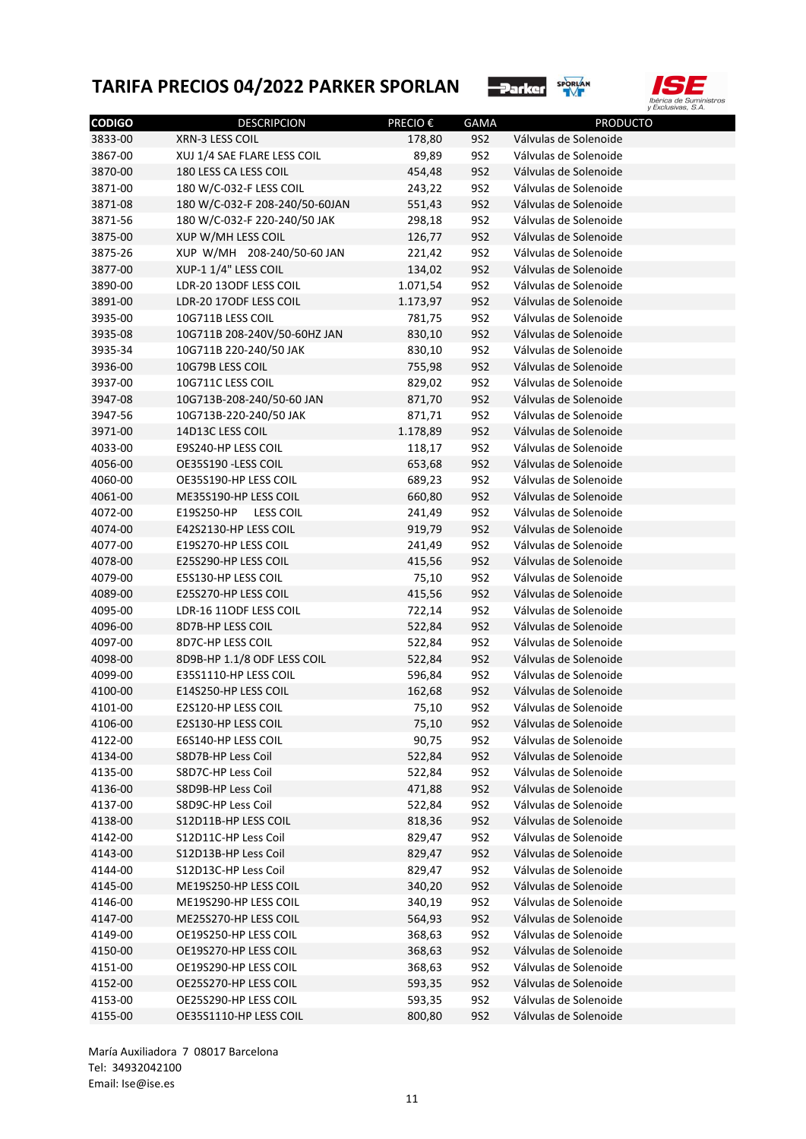



| <b>CODIGO</b> | <b>DESCRIPCION</b>             | <b>PRECIO €</b> | <b>GAMA</b> | <b>PRODUCTO</b>       |
|---------------|--------------------------------|-----------------|-------------|-----------------------|
| 3833-00       | XRN-3 LESS COIL                | 178,80          | <b>9S2</b>  | Válvulas de Solenoide |
| 3867-00       | XUJ 1/4 SAE FLARE LESS COIL    | 89,89           | 9S2         | Válvulas de Solenoide |
| 3870-00       | 180 LESS CA LESS COIL          | 454,48          | <b>9S2</b>  | Válvulas de Solenoide |
| 3871-00       | 180 W/C-032-F LESS COIL        | 243,22          | 9S2         | Válvulas de Solenoide |
| 3871-08       | 180 W/C-032-F 208-240/50-60JAN | 551,43          | <b>9S2</b>  | Válvulas de Solenoide |
| 3871-56       | 180 W/C-032-F 220-240/50 JAK   | 298,18          | <b>9S2</b>  | Válvulas de Solenoide |
| 3875-00       | XUP W/MH LESS COIL             | 126,77          | <b>9S2</b>  | Válvulas de Solenoide |
| 3875-26       | XUP W/MH 208-240/50-60 JAN     | 221,42          | <b>9S2</b>  | Válvulas de Solenoide |
| 3877-00       | XUP-1 1/4" LESS COIL           | 134,02          | <b>9S2</b>  | Válvulas de Solenoide |
| 3890-00       | LDR-20 13ODF LESS COIL         | 1.071,54        | <b>9S2</b>  | Válvulas de Solenoide |
| 3891-00       | LDR-20 17ODF LESS COIL         | 1.173,97        | <b>9S2</b>  | Válvulas de Solenoide |
| 3935-00       | 10G711B LESS COIL              | 781,75          | 9S2         | Válvulas de Solenoide |
| 3935-08       | 10G711B 208-240V/50-60HZ JAN   | 830,10          | <b>9S2</b>  | Válvulas de Solenoide |
| 3935-34       | 10G711B 220-240/50 JAK         | 830,10          | <b>9S2</b>  | Válvulas de Solenoide |
| 3936-00       | 10G79B LESS COIL               | 755,98          | <b>9S2</b>  | Válvulas de Solenoide |
| 3937-00       | 10G711C LESS COIL              | 829,02          | <b>9S2</b>  | Válvulas de Solenoide |
| 3947-08       | 10G713B-208-240/50-60 JAN      | 871,70          | <b>9S2</b>  | Válvulas de Solenoide |
| 3947-56       | 10G713B-220-240/50 JAK         | 871,71          | <b>9S2</b>  | Válvulas de Solenoide |
| 3971-00       | 14D13C LESS COIL               | 1.178,89        | <b>9S2</b>  | Válvulas de Solenoide |
| 4033-00       | E9S240-HP LESS COIL            | 118,17          | <b>9S2</b>  | Válvulas de Solenoide |
| 4056-00       | OE35S190 -LESS COIL            | 653,68          | <b>9S2</b>  | Válvulas de Solenoide |
| 4060-00       | OE35S190-HP LESS COIL          | 689,23          | <b>9S2</b>  | Válvulas de Solenoide |
| 4061-00       | ME35S190-HP LESS COIL          | 660,80          | <b>9S2</b>  | Válvulas de Solenoide |
| 4072-00       | E19S250-HP LESS COIL           | 241,49          | <b>9S2</b>  | Válvulas de Solenoide |
| 4074-00       | E42S2130-HP LESS COIL          | 919,79          | <b>9S2</b>  | Válvulas de Solenoide |
| 4077-00       | E19S270-HP LESS COIL           | 241,49          | <b>9S2</b>  | Válvulas de Solenoide |
| 4078-00       | E25S290-HP LESS COIL           | 415,56          | <b>9S2</b>  | Válvulas de Solenoide |
| 4079-00       | E5S130-HP LESS COIL            | 75,10           | <b>9S2</b>  | Válvulas de Solenoide |
| 4089-00       | E25S270-HP LESS COIL           | 415,56          | <b>9S2</b>  | Válvulas de Solenoide |
| 4095-00       | LDR-16 11ODF LESS COIL         | 722,14          | <b>9S2</b>  | Válvulas de Solenoide |
| 4096-00       | 8D7B-HP LESS COIL              | 522,84          | <b>9S2</b>  | Válvulas de Solenoide |
| 4097-00       | 8D7C-HP LESS COIL              | 522,84          | 9S2         | Válvulas de Solenoide |
| 4098-00       | 8D9B-HP 1.1/8 ODF LESS COIL    | 522,84          | <b>9S2</b>  | Válvulas de Solenoide |
| 4099-00       | E35S1110-HP LESS COIL          | 596,84          | 9S2         | Válvulas de Solenoide |
| 4100-00       | E14S250-HP LESS COIL           | 162,68          | <b>9S2</b>  | Válvulas de Solenoide |
| 4101-00       | E2S120-HP LESS COIL            | 75,10           | 9S2         | Válvulas de Solenoide |
| 4106-00       | E2S130-HP LESS COIL            | 75,10           | <b>9S2</b>  | Válvulas de Solenoide |
| 4122-00       | E6S140-HP LESS COIL            | 90,75           | <b>9S2</b>  | Válvulas de Solenoide |
| 4134-00       | S8D7B-HP Less Coil             | 522,84          | <b>9S2</b>  | Válvulas de Solenoide |
| 4135-00       | S8D7C-HP Less Coil             | 522,84          | <b>9S2</b>  | Válvulas de Solenoide |
| 4136-00       | S8D9B-HP Less Coil             | 471,88          | <b>9S2</b>  | Válvulas de Solenoide |
|               |                                |                 |             |                       |
| 4137-00       | S8D9C-HP Less Coil             | 522,84          | <b>9S2</b>  | Válvulas de Solenoide |
| 4138-00       | S12D11B-HP LESS COIL           | 818,36          | <b>9S2</b>  | Válvulas de Solenoide |
| 4142-00       | S12D11C-HP Less Coil           | 829,47          | <b>9S2</b>  | Válvulas de Solenoide |
| 4143-00       | S12D13B-HP Less Coil           | 829,47          | <b>9S2</b>  | Válvulas de Solenoide |
| 4144-00       | S12D13C-HP Less Coil           | 829,47          | <b>9S2</b>  | Válvulas de Solenoide |
| 4145-00       | ME19S250-HP LESS COIL          | 340,20          | <b>9S2</b>  | Válvulas de Solenoide |
| 4146-00       | ME19S290-HP LESS COIL          | 340,19          | <b>9S2</b>  | Válvulas de Solenoide |
| 4147-00       | ME25S270-HP LESS COIL          | 564,93          | <b>9S2</b>  | Válvulas de Solenoide |
| 4149-00       | OE19S250-HP LESS COIL          | 368,63          | <b>9S2</b>  | Válvulas de Solenoide |
| 4150-00       | OE19S270-HP LESS COIL          | 368,63          | <b>9S2</b>  | Válvulas de Solenoide |
| 4151-00       | OE19S290-HP LESS COIL          | 368,63          | <b>9S2</b>  | Válvulas de Solenoide |
| 4152-00       | OE25S270-HP LESS COIL          | 593,35          | <b>9S2</b>  | Válvulas de Solenoide |
| 4153-00       | OE25S290-HP LESS COIL          | 593,35          | <b>9S2</b>  | Válvulas de Solenoide |
| 4155-00       | OE35S1110-HP LESS COIL         | 800,80          | <b>9S2</b>  | Válvulas de Solenoide |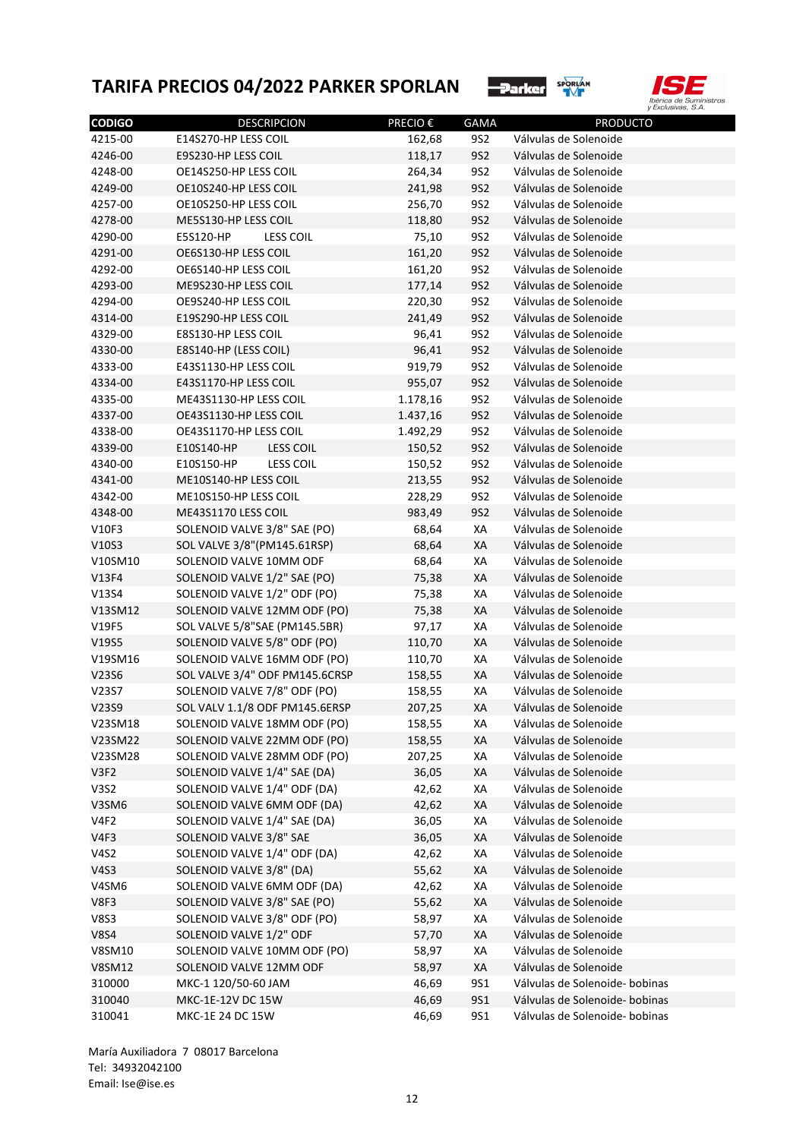



| <b>CODIGO</b> | <b>DESCRIPCION</b>             | PRECIO € | <b>GAMA</b>     | <b>PRODUCTO</b>                                |
|---------------|--------------------------------|----------|-----------------|------------------------------------------------|
| 4215-00       | E14S270-HP LESS COIL           | 162,68   | 9S2             | Válvulas de Solenoide                          |
| 4246-00       | E9S230-HP LESS COIL            | 118,17   | 9S2             | Válvulas de Solenoide                          |
| 4248-00       | OE14S250-HP LESS COIL          | 264,34   | 9S2             | Válvulas de Solenoide                          |
| 4249-00       | OE10S240-HP LESS COIL          | 241,98   | 9S2             | Válvulas de Solenoide                          |
| 4257-00       | OE10S250-HP LESS COIL          | 256,70   | 9S2             | Válvulas de Solenoide                          |
| 4278-00       | ME5S130-HP LESS COIL           | 118,80   | 9S2             | Válvulas de Solenoide                          |
| 4290-00       | E5S120-HP<br><b>LESS COIL</b>  | 75,10    | 9S2             | Válvulas de Solenoide                          |
| 4291-00       | OE6S130-HP LESS COIL           | 161,20   | 9S2             | Válvulas de Solenoide                          |
| 4292-00       | OE6S140-HP LESS COIL           | 161,20   | 9S2             | Válvulas de Solenoide                          |
| 4293-00       | ME9S230-HP LESS COIL           | 177,14   | 9S2             | Válvulas de Solenoide                          |
| 4294-00       | OE9S240-HP LESS COIL           | 220,30   | 9S2             | Válvulas de Solenoide                          |
| 4314-00       | E19S290-HP LESS COIL           | 241,49   | 9S2             | Válvulas de Solenoide                          |
| 4329-00       | E8S130-HP LESS COIL            | 96,41    | 9S2             | Válvulas de Solenoide                          |
| 4330-00       | E8S140-HP (LESS COIL)          | 96,41    | 9S2             | Válvulas de Solenoide                          |
| 4333-00       | E43S1130-HP LESS COIL          | 919,79   | 9S2             | Válvulas de Solenoide                          |
| 4334-00       | E43S1170-HP LESS COIL          | 955,07   | 9S2             | Válvulas de Solenoide                          |
| 4335-00       | ME43S1130-HP LESS COIL         | 1.178,16 | 9S2             | Válvulas de Solenoide                          |
| 4337-00       | OE43S1130-HP LESS COIL         | 1.437,16 | 9S <sub>2</sub> | Válvulas de Solenoide                          |
| 4338-00       | OE43S1170-HP LESS COIL         | 1.492,29 | 9S2             | Válvulas de Solenoide                          |
| 4339-00       | E10S140-HP<br><b>LESS COIL</b> | 150,52   | 9S2             | Válvulas de Solenoide                          |
| 4340-00       | <b>LESS COIL</b><br>E10S150-HP | 150,52   | 9S2             | Válvulas de Solenoide                          |
| 4341-00       | ME10S140-HP LESS COIL          | 213,55   | 9S2             | Válvulas de Solenoide                          |
| 4342-00       | ME10S150-HP LESS COIL          | 228,29   | 9S2             | Válvulas de Solenoide                          |
| 4348-00       | ME43S1170 LESS COIL            | 983,49   | 9S2             | Válvulas de Solenoide                          |
| V10F3         | SOLENOID VALVE 3/8" SAE (PO)   | 68,64    | XA              | Válvulas de Solenoide                          |
| V10S3         | SOL VALVE 3/8"(PM145.61RSP)    | 68,64    | XA              | Válvulas de Solenoide                          |
| V10SM10       | SOLENOID VALVE 10MM ODF        | 68,64    | XA              | Válvulas de Solenoide                          |
| V13F4         | SOLENOID VALVE 1/2" SAE (PO)   | 75,38    | XA              | Válvulas de Solenoide                          |
| V13S4         | SOLENOID VALVE 1/2" ODF (PO)   | 75,38    | XA              | Válvulas de Solenoide                          |
| V13SM12       | SOLENOID VALVE 12MM ODF (PO)   | 75,38    | XA              | Válvulas de Solenoide                          |
| V19F5         | SOL VALVE 5/8"SAE (PM145.5BR)  | 97,17    | XA              | Válvulas de Solenoide                          |
| V19S5         | SOLENOID VALVE 5/8" ODF (PO)   | 110,70   | XA              | Válvulas de Solenoide                          |
| V19SM16       | SOLENOID VALVE 16MM ODF (PO)   | 110,70   | XA              | Válvulas de Solenoide                          |
| V23S6         | SOL VALVE 3/4" ODF PM145.6CRSP | 158,55   | XA              | Válvulas de Solenoide                          |
| V23S7         | SOLENOID VALVE 7/8" ODF (PO)   | 158,55   | XA              | Válvulas de Solenoide                          |
| V23S9         | SOL VALV 1.1/8 ODF PM145.6ERSP | 207,25   | XA              | Válvulas de Solenoide                          |
| V23SM18       | SOLENOID VALVE 18MM ODF (PO)   | 158,55   | ХA              | Válvulas de Solenoide                          |
| V23SM22       | SOLENOID VALVE 22MM ODF (PO)   | 158,55   | XA              | Válvulas de Solenoide                          |
| V23SM28       | SOLENOID VALVE 28MM ODF (PO)   | 207,25   | ХA              | Válvulas de Solenoide                          |
| V3F2          | SOLENOID VALVE 1/4" SAE (DA)   | 36,05    | XA              | Válvulas de Solenoide                          |
| <b>V3S2</b>   | SOLENOID VALVE 1/4" ODF (DA)   | 42,62    | ХA              | Válvulas de Solenoide                          |
| V3SM6         | SOLENOID VALVE 6MM ODF (DA)    | 42,62    | XA              | Válvulas de Solenoide                          |
| V4F2          | SOLENOID VALVE 1/4" SAE (DA)   | 36,05    | XA              | Válvulas de Solenoide                          |
| V4F3          | SOLENOID VALVE 3/8" SAE        | 36,05    | XA              | Válvulas de Solenoide                          |
| <b>V4S2</b>   | SOLENOID VALVE 1/4" ODF (DA)   | 42,62    | ХA              | Válvulas de Solenoide                          |
| <b>V4S3</b>   | SOLENOID VALVE 3/8" (DA)       | 55,62    | XA              | Válvulas de Solenoide                          |
| V4SM6         | SOLENOID VALVE 6MM ODF (DA)    |          | XA              | Válvulas de Solenoide                          |
| V8F3          | SOLENOID VALVE 3/8" SAE (PO)   | 42,62    |                 | Válvulas de Solenoide                          |
|               |                                | 55,62    | XA              |                                                |
| <b>V8S3</b>   | SOLENOID VALVE 3/8" ODF (PO)   | 58,97    | ХA              | Válvulas de Solenoide                          |
| <b>V8S4</b>   | SOLENOID VALVE 1/2" ODF        | 57,70    | XA              | Válvulas de Solenoide<br>Válvulas de Solenoide |
| V8SM10        | SOLENOID VALVE 10MM ODF (PO)   | 58,97    | XA              |                                                |
| <b>V8SM12</b> | SOLENOID VALVE 12MM ODF        | 58,97    | XA              | Válvulas de Solenoide                          |
| 310000        | MKC-1 120/50-60 JAM            | 46,69    | 9S1             | Válvulas de Solenoide- bobinas                 |
| 310040        | MKC-1E-12V DC 15W              | 46,69    | 9S1             | Válvulas de Solenoide- bobinas                 |
| 310041        | MKC-1E 24 DC 15W               | 46,69    | 9S1             | Válvulas de Solenoide- bobinas                 |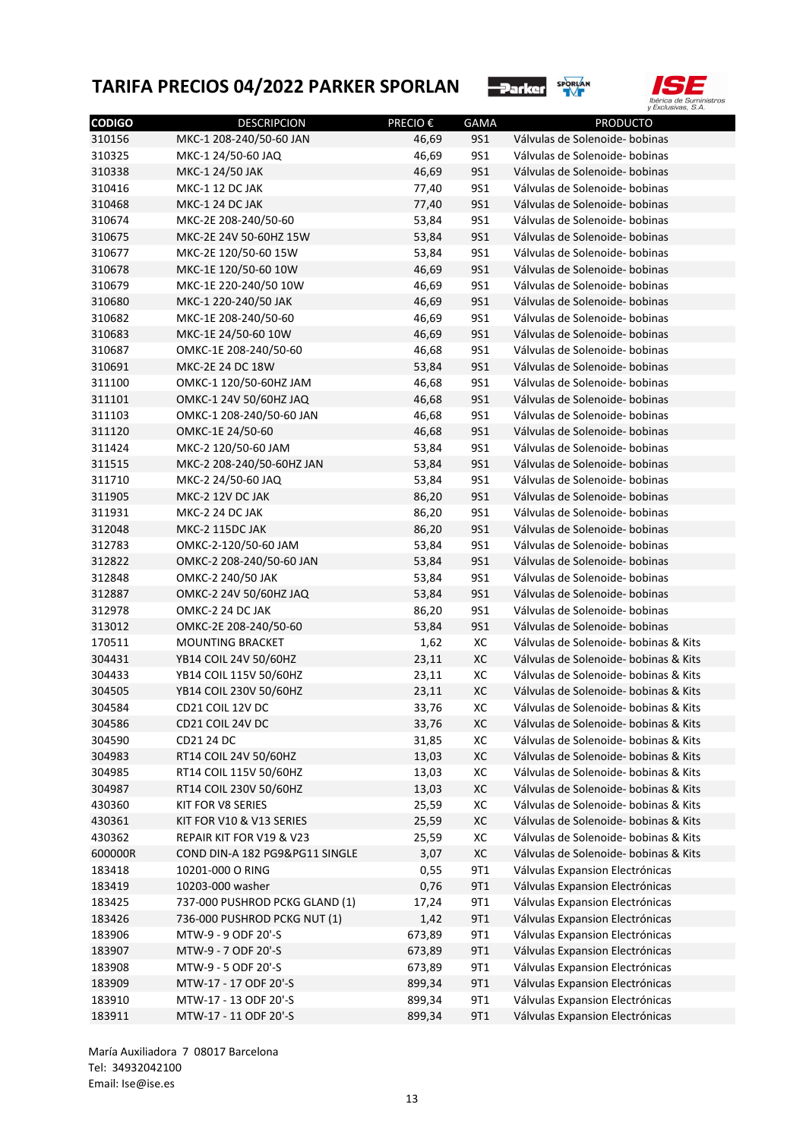



| <b>CODIGO</b> | <b>DESCRIPCION</b>                                         | <b>PRECIO€</b> | <b>GAMA</b> | <b>PRODUCTO</b>                                                                |
|---------------|------------------------------------------------------------|----------------|-------------|--------------------------------------------------------------------------------|
| 310156        | MKC-1 208-240/50-60 JAN                                    | 46,69          | <b>9S1</b>  | Válvulas de Solenoide- bobinas                                                 |
| 310325        | MKC-1 24/50-60 JAQ                                         | 46,69          | <b>9S1</b>  | Válvulas de Solenoide- bobinas                                                 |
| 310338        | MKC-1 24/50 JAK                                            | 46,69          | <b>9S1</b>  | Válvulas de Solenoide- bobinas                                                 |
| 310416        | MKC-1 12 DC JAK                                            | 77,40          | <b>9S1</b>  | Válvulas de Solenoide- bobinas                                                 |
| 310468        | MKC-1 24 DC JAK                                            | 77,40          | <b>9S1</b>  | Válvulas de Solenoide- bobinas                                                 |
| 310674        | MKC-2E 208-240/50-60                                       | 53,84          | <b>9S1</b>  | Válvulas de Solenoide- bobinas                                                 |
| 310675        | MKC-2E 24V 50-60HZ 15W                                     | 53,84          | <b>9S1</b>  | Válvulas de Solenoide- bobinas                                                 |
| 310677        | MKC-2E 120/50-60 15W                                       | 53,84          | <b>9S1</b>  | Válvulas de Solenoide- bobinas                                                 |
| 310678        | MKC-1E 120/50-60 10W                                       | 46,69          | <b>9S1</b>  | Válvulas de Solenoide- bobinas                                                 |
| 310679        | MKC-1E 220-240/50 10W                                      | 46,69          | <b>9S1</b>  | Válvulas de Solenoide- bobinas                                                 |
| 310680        | MKC-1 220-240/50 JAK                                       | 46,69          | <b>9S1</b>  | Válvulas de Solenoide- bobinas                                                 |
| 310682        | MKC-1E 208-240/50-60                                       | 46,69          | <b>9S1</b>  | Válvulas de Solenoide- bobinas                                                 |
| 310683        | MKC-1E 24/50-60 10W                                        | 46,69          | <b>9S1</b>  | Válvulas de Solenoide- bobinas                                                 |
| 310687        | OMKC-1E 208-240/50-60                                      | 46,68          | <b>9S1</b>  | Válvulas de Solenoide- bobinas                                                 |
| 310691        | MKC-2E 24 DC 18W                                           | 53,84          | <b>9S1</b>  | Válvulas de Solenoide- bobinas                                                 |
| 311100        | OMKC-1 120/50-60HZ JAM                                     | 46,68          | <b>9S1</b>  | Válvulas de Solenoide- bobinas                                                 |
| 311101        | OMKC-1 24V 50/60HZ JAQ                                     | 46,68          | <b>9S1</b>  | Válvulas de Solenoide- bobinas                                                 |
| 311103        | OMKC-1 208-240/50-60 JAN                                   | 46,68          | <b>9S1</b>  | Válvulas de Solenoide- bobinas                                                 |
| 311120        | OMKC-1E 24/50-60                                           | 46,68          | <b>9S1</b>  | Válvulas de Solenoide- bobinas                                                 |
| 311424        | MKC-2 120/50-60 JAM                                        | 53,84          | <b>9S1</b>  | Válvulas de Solenoide- bobinas                                                 |
| 311515        | MKC-2 208-240/50-60HZ JAN                                  | 53,84          | <b>9S1</b>  | Válvulas de Solenoide- bobinas                                                 |
| 311710        | MKC-2 24/50-60 JAQ                                         | 53,84          | <b>9S1</b>  | Válvulas de Solenoide- bobinas                                                 |
| 311905        | MKC-2 12V DC JAK                                           | 86,20          | <b>9S1</b>  | Válvulas de Solenoide- bobinas                                                 |
| 311931        | MKC-2 24 DC JAK                                            | 86,20          | <b>9S1</b>  | Válvulas de Solenoide- bobinas                                                 |
| 312048        | MKC-2 115DC JAK                                            | 86,20          | <b>9S1</b>  | Válvulas de Solenoide- bobinas                                                 |
| 312783        | OMKC-2-120/50-60 JAM                                       | 53,84          | <b>9S1</b>  | Válvulas de Solenoide- bobinas                                                 |
| 312822        | OMKC-2 208-240/50-60 JAN                                   | 53,84          | <b>9S1</b>  | Válvulas de Solenoide- bobinas                                                 |
| 312848        | OMKC-2 240/50 JAK                                          | 53,84          | <b>9S1</b>  | Válvulas de Solenoide- bobinas                                                 |
| 312887        | OMKC-2 24V 50/60HZ JAQ                                     | 53,84          | <b>9S1</b>  | Válvulas de Solenoide- bobinas                                                 |
| 312978        | OMKC-2 24 DC JAK                                           | 86,20          | <b>9S1</b>  | Válvulas de Solenoide- bobinas                                                 |
| 313012        | OMKC-2E 208-240/50-60                                      | 53,84          | 9S1         | Válvulas de Solenoide- bobinas                                                 |
| 170511        | MOUNTING BRACKET                                           | 1,62           | ХC          | Válvulas de Solenoide- bobinas & Kits                                          |
| 304431        | YB14 COIL 24V 50/60HZ                                      | 23,11          | ХC          | Válvulas de Solenoide- bobinas & Kits                                          |
| 304433        | YB14 COIL 115V 50/60HZ                                     | 23,11          | ХC          | Válvulas de Solenoide- bobinas & Kits                                          |
| 304505        | YB14 COIL 230V 50/60HZ                                     | 23,11          | XC          | Válvulas de Solenoide- bobinas & Kits                                          |
| 304584        | CD21 COIL 12V DC                                           | 33,76          | ХC          | Válvulas de Solenoide- bobinas & Kits                                          |
| 304586        | CD21 COIL 24V DC                                           | 33,76          | XC          | Válvulas de Solenoide- bobinas & Kits                                          |
| 304590        | CD21 24 DC                                                 | 31,85          | ХC          | Válvulas de Solenoide- bobinas & Kits                                          |
| 304983        | RT14 COIL 24V 50/60HZ                                      | 13,03          | XC          | Válvulas de Solenoide- bobinas & Kits                                          |
| 304985        | RT14 COIL 115V 50/60HZ                                     | 13,03          | ХC          | Válvulas de Solenoide- bobinas & Kits                                          |
| 304987        | RT14 COIL 230V 50/60HZ                                     | 13,03          | XC          | Válvulas de Solenoide- bobinas & Kits                                          |
| 430360        | KIT FOR V8 SERIES                                          |                |             | Válvulas de Solenoide- bobinas & Kits                                          |
|               |                                                            | 25,59          | ХC          | Válvulas de Solenoide- bobinas & Kits                                          |
| 430361        | KIT FOR V10 & V13 SERIES                                   | 25,59          | XC          |                                                                                |
| 430362        | REPAIR KIT FOR V19 & V23<br>COND DIN-A 182 PG9&PG11 SINGLE | 25,59          | ХC          | Válvulas de Solenoide- bobinas & Kits<br>Válvulas de Solenoide- bobinas & Kits |
| 600000R       |                                                            | 3,07           | ХC          |                                                                                |
| 183418        | 10201-000 O RING                                           | 0,55           | 9T1         | Válvulas Expansion Electrónicas                                                |
| 183419        | 10203-000 washer                                           | 0,76           | 9T1         | Válvulas Expansion Electrónicas                                                |
| 183425        | 737-000 PUSHROD PCKG GLAND (1)                             | 17,24          | 9T1         | Válvulas Expansion Electrónicas                                                |
| 183426        | 736-000 PUSHROD PCKG NUT (1)                               | 1,42           | 9T1         | Válvulas Expansion Electrónicas                                                |
| 183906        | MTW-9 - 9 ODF 20'-S                                        | 673,89         | 9T1         | Válvulas Expansion Electrónicas                                                |
| 183907        | MTW-9 - 7 ODF 20'-S                                        | 673,89         | 9T1         | Válvulas Expansion Electrónicas                                                |
| 183908        | MTW-9 - 5 ODF 20'-S                                        | 673,89         | 9T1         | Válvulas Expansion Electrónicas                                                |
| 183909        | MTW-17 - 17 ODF 20'-S                                      | 899,34         | 9T1         | Válvulas Expansion Electrónicas                                                |
| 183910        | MTW-17 - 13 ODF 20'-S                                      | 899,34         | 9T1         | Válvulas Expansion Electrónicas                                                |
| 183911        | MTW-17 - 11 ODF 20'-S                                      | 899,34         | 9T1         | Válvulas Expansion Electrónicas                                                |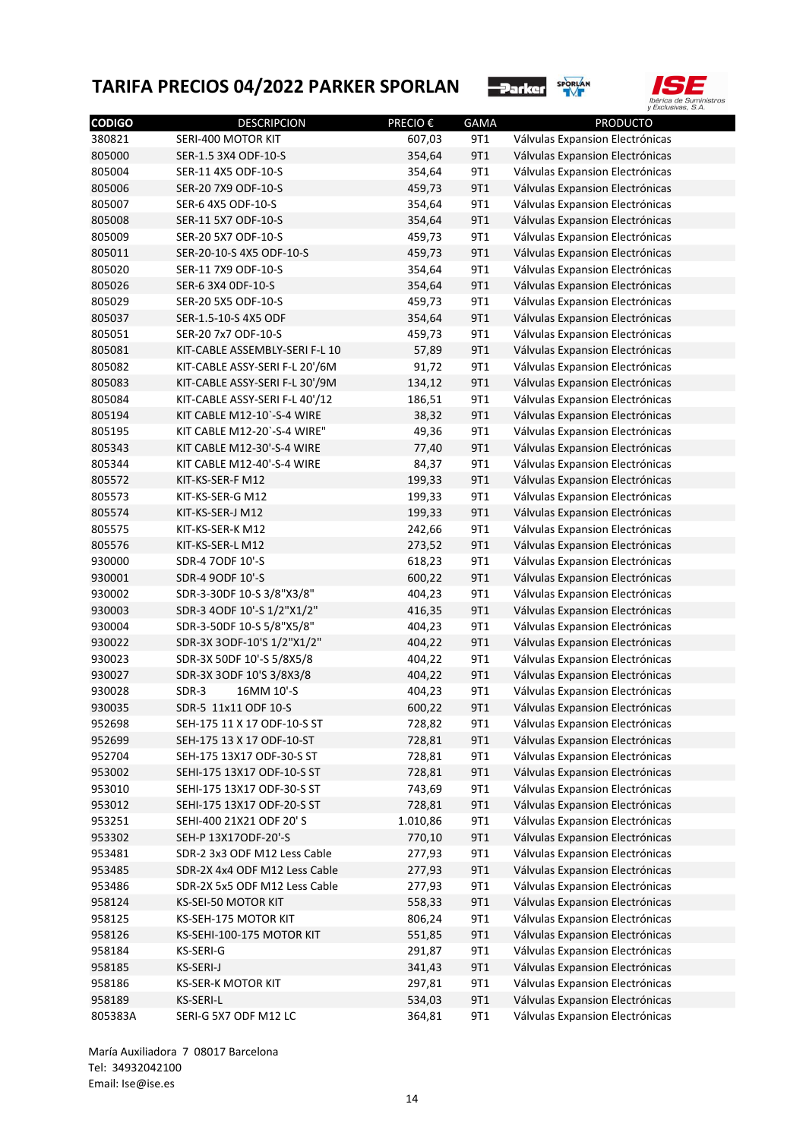



| <b>CODIGO</b> | <b>DESCRIPCION</b>                              | PRECIO € | <b>GAMA</b> | <b>PRODUCTO</b>                 |
|---------------|-------------------------------------------------|----------|-------------|---------------------------------|
| 380821        | SERI-400 MOTOR KIT                              | 607,03   | 9T1         | Válvulas Expansion Electrónicas |
| 805000        | SER-1.5 3X4 ODF-10-S                            | 354,64   | 9T1         | Válvulas Expansion Electrónicas |
| 805004        | SER-11 4X5 ODF-10-S                             | 354,64   | 9T1         | Válvulas Expansion Electrónicas |
| 805006        | SER-20 7X9 ODF-10-S                             | 459,73   | 9T1         | Válvulas Expansion Electrónicas |
| 805007        | SER-6 4X5 ODF-10-S                              | 354,64   | 9T1         | Válvulas Expansion Electrónicas |
| 805008        | SER-11 5X7 ODF-10-S                             | 354,64   | 9T1         | Válvulas Expansion Electrónicas |
| 805009        | SER-20 5X7 ODF-10-S                             | 459,73   | 9T1         | Válvulas Expansion Electrónicas |
| 805011        | SER-20-10-S 4X5 ODF-10-S                        | 459,73   | 9T1         | Válvulas Expansion Electrónicas |
| 805020        | SER-11 7X9 ODF-10-S                             | 354,64   | 9T1         | Válvulas Expansion Electrónicas |
| 805026        | SER-6 3X4 ODF-10-S                              | 354,64   | 9T1         | Válvulas Expansion Electrónicas |
| 805029        | SER-20 5X5 ODF-10-S                             | 459,73   | 9T1         | Válvulas Expansion Electrónicas |
| 805037        | SER-1.5-10-S 4X5 ODF                            | 354,64   | 9T1         | Válvulas Expansion Electrónicas |
| 805051        | SER-20 7x7 ODF-10-S                             | 459,73   | 9T1         | Válvulas Expansion Electrónicas |
| 805081        | KIT-CABLE ASSEMBLY-SERI F-L 10                  | 57,89    | 9T1         | Válvulas Expansion Electrónicas |
| 805082        | KIT-CABLE ASSY-SERI F-L 20'/6M                  | 91,72    | 9T1         | Válvulas Expansion Electrónicas |
| 805083        | KIT-CABLE ASSY-SERI F-L 30'/9M                  | 134,12   | 9T1         | Válvulas Expansion Electrónicas |
| 805084        | KIT-CABLE ASSY-SERI F-L 40'/12                  | 186,51   | 9T1         | Válvulas Expansion Electrónicas |
| 805194        | KIT CABLE M12-10'-S-4 WIRE                      | 38,32    | 9T1         | Válvulas Expansion Electrónicas |
| 805195        | KIT CABLE M12-20'-S-4 WIRE"                     | 49,36    | 9T1         | Válvulas Expansion Electrónicas |
| 805343        | KIT CABLE M12-30'-S-4 WIRE                      | 77,40    | 9T1         | Válvulas Expansion Electrónicas |
| 805344        | KIT CABLE M12-40'-S-4 WIRE                      | 84,37    | 9T1         | Válvulas Expansion Electrónicas |
| 805572        | KIT-KS-SER-F M12                                | 199,33   | 9T1         | Válvulas Expansion Electrónicas |
| 805573        | KIT-KS-SER-G M12                                | 199,33   | 9T1         | Válvulas Expansion Electrónicas |
| 805574        | KIT-KS-SER-J M12                                | 199,33   | 9T1         | Válvulas Expansion Electrónicas |
| 805575        | KIT-KS-SER-K M12                                | 242,66   | 9T1         | Válvulas Expansion Electrónicas |
| 805576        | KIT-KS-SER-L M12                                | 273,52   | 9T1         | Válvulas Expansion Electrónicas |
| 930000        | SDR-4 7ODF 10'-S                                | 618,23   | 9T1         | Válvulas Expansion Electrónicas |
| 930001        | SDR-4 90DF 10'-S                                | 600,22   | 9T1         | Válvulas Expansion Electrónicas |
| 930002        | SDR-3-30DF 10-S 3/8"X3/8"                       | 404,23   | 9T1         | Válvulas Expansion Electrónicas |
| 930003        | SDR-3 4ODF 10'-S 1/2"X1/2"                      | 416,35   | 9T1         | Válvulas Expansion Electrónicas |
| 930004        | SDR-3-50DF 10-S 5/8"X5/8"                       | 404,23   | 9T1         | Válvulas Expansion Electrónicas |
| 930022        | SDR-3X 3ODF-10'S 1/2"X1/2"                      | 404,22   | 9T1         | Válvulas Expansion Electrónicas |
| 930023        | SDR-3X 50DF 10'-S 5/8X5/8                       | 404,22   | 9T1         | Válvulas Expansion Electrónicas |
| 930027        |                                                 | 404,22   | 9T1         | Válvulas Expansion Electrónicas |
| 930028        | SDR-3X 3ODF 10'S 3/8X3/8<br>SDR-3<br>16MM 10'-S | 404,23   | 9T1         | Válvulas Expansion Electrónicas |
| 930035        |                                                 |          |             |                                 |
|               | SDR-5 11x11 ODF 10-S                            | 600,22   | 9T1         | Válvulas Expansion Electrónicas |
| 952698        | SEH-175 11 X 17 ODF-10-S ST                     | 728,82   | 9T1         | Válvulas Expansion Electrónicas |
| 952699        | SEH-175 13 X 17 ODF-10-ST                       | 728,81   | 9T1         | Válvulas Expansion Electrónicas |
| 952704        | SEH-175 13X17 ODF-30-S ST                       | 728,81   | 9T1         | Válvulas Expansion Electrónicas |
| 953002        | SEHI-175 13X17 ODF-10-S ST                      | 728,81   | 9T1         | Válvulas Expansion Electrónicas |
| 953010        | SEHI-175 13X17 ODF-30-S ST                      | 743,69   | 9T1         | Válvulas Expansion Electrónicas |
| 953012        | SEHI-175 13X17 ODF-20-S ST                      | 728,81   | 9T1         | Válvulas Expansion Electrónicas |
| 953251        | SEHI-400 21X21 ODF 20' S                        | 1.010,86 | 9T1         | Válvulas Expansion Electrónicas |
| 953302        | SEH-P 13X17ODF-20'-S                            | 770,10   | 9T1         | Válvulas Expansion Electrónicas |
| 953481        | SDR-2 3x3 ODF M12 Less Cable                    | 277,93   | 9T1         | Válvulas Expansion Electrónicas |
| 953485        | SDR-2X 4x4 ODF M12 Less Cable                   | 277,93   | 9T1         | Válvulas Expansion Electrónicas |
| 953486        | SDR-2X 5x5 ODF M12 Less Cable                   | 277,93   | 9T1         | Válvulas Expansion Electrónicas |
| 958124        | KS-SEI-50 MOTOR KIT                             | 558,33   | 9T1         | Válvulas Expansion Electrónicas |
| 958125        | KS-SEH-175 MOTOR KIT                            | 806,24   | 9T1         | Válvulas Expansion Electrónicas |
| 958126        | KS-SEHI-100-175 MOTOR KIT                       | 551,85   | 9T1         | Válvulas Expansion Electrónicas |
| 958184        | KS-SERI-G                                       | 291,87   | 9T1         | Válvulas Expansion Electrónicas |
| 958185        | KS-SERI-J                                       | 341,43   | 9T1         | Válvulas Expansion Electrónicas |
| 958186        | <b>KS-SER-K MOTOR KIT</b>                       | 297,81   | 9T1         | Válvulas Expansion Electrónicas |
| 958189        | KS-SERI-L                                       | 534,03   | 9T1         | Válvulas Expansion Electrónicas |
| 805383A       | SERI-G 5X7 ODF M12 LC                           | 364,81   | 9T1         | Válvulas Expansion Electrónicas |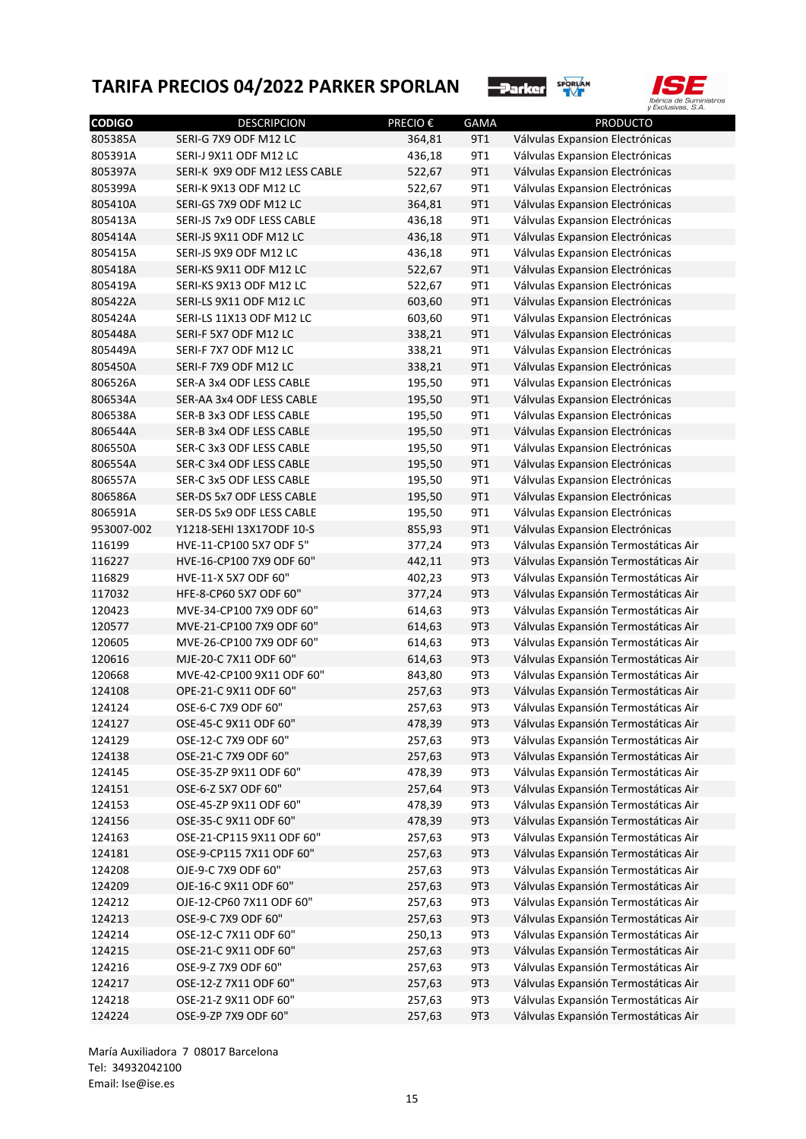



| <b>CODIGO</b> | <b>DESCRIPCION</b>            | PRECIO € | <b>GAMA</b> | <b>PRODUCTO</b>                      |
|---------------|-------------------------------|----------|-------------|--------------------------------------|
| 805385A       | SERI-G 7X9 ODF M12 LC         | 364,81   | 9T1         | Válvulas Expansion Electrónicas      |
| 805391A       | SERI-J 9X11 ODF M12 LC        | 436,18   | 9T1         | Válvulas Expansion Electrónicas      |
| 805397A       | SERI-K 9X9 ODF M12 LESS CABLE | 522,67   | 9T1         | Válvulas Expansion Electrónicas      |
| 805399A       | SERI-K 9X13 ODF M12 LC        | 522,67   | 9T1         | Válvulas Expansion Electrónicas      |
| 805410A       | SERI-GS 7X9 ODF M12 LC        | 364,81   | 9T1         | Válvulas Expansion Electrónicas      |
| 805413A       | SERI-JS 7x9 ODF LESS CABLE    | 436,18   | 9T1         | Válvulas Expansion Electrónicas      |
| 805414A       | SERI-JS 9X11 ODF M12 LC       | 436,18   | 9T1         | Válvulas Expansion Electrónicas      |
| 805415A       | SERI-JS 9X9 ODF M12 LC        | 436,18   | 9T1         | Válvulas Expansion Electrónicas      |
| 805418A       | SERI-KS 9X11 ODF M12 LC       | 522,67   | 9T1         | Válvulas Expansion Electrónicas      |
| 805419A       | SERI-KS 9X13 ODF M12 LC       | 522,67   | 9T1         | Válvulas Expansion Electrónicas      |
| 805422A       | SERI-LS 9X11 ODF M12 LC       | 603,60   | 9T1         | Válvulas Expansion Electrónicas      |
| 805424A       | SERI-LS 11X13 ODF M12 LC      | 603,60   | 9T1         | Válvulas Expansion Electrónicas      |
| 805448A       | SERI-F 5X7 ODF M12 LC         | 338,21   | 9T1         | Válvulas Expansion Electrónicas      |
| 805449A       | SERI-F 7X7 ODF M12 LC         | 338,21   | 9T1         | Válvulas Expansion Electrónicas      |
| 805450A       | SERI-F 7X9 ODF M12 LC         | 338,21   | 9T1         | Válvulas Expansion Electrónicas      |
| 806526A       | SER-A 3x4 ODF LESS CABLE      | 195,50   | 9T1         | Válvulas Expansion Electrónicas      |
| 806534A       | SER-AA 3x4 ODF LESS CABLE     | 195,50   | 9T1         | Válvulas Expansion Electrónicas      |
| 806538A       | SER-B 3x3 ODF LESS CABLE      | 195,50   | 9T1         | Válvulas Expansion Electrónicas      |
| 806544A       | SER-B 3x4 ODF LESS CABLE      | 195,50   | 9T1         | Válvulas Expansion Electrónicas      |
| 806550A       | SER-C 3x3 ODF LESS CABLE      | 195,50   | 9T1         | Válvulas Expansion Electrónicas      |
| 806554A       | SER-C 3x4 ODF LESS CABLE      | 195,50   | 9T1         | Válvulas Expansion Electrónicas      |
| 806557A       | SER-C 3x5 ODF LESS CABLE      | 195,50   | 9T1         | Válvulas Expansion Electrónicas      |
| 806586A       | SER-DS 5x7 ODF LESS CABLE     | 195,50   | 9T1         | Válvulas Expansion Electrónicas      |
| 806591A       | SER-DS 5x9 ODF LESS CABLE     | 195,50   | 9T1         | Válvulas Expansion Electrónicas      |
| 953007-002    | Y1218-SEHI 13X17ODF 10-S      | 855,93   | 9T1         | Válvulas Expansion Electrónicas      |
| 116199        | HVE-11-CP100 5X7 ODF 5"       | 377,24   | 9T3         | Válvulas Expansión Termostáticas Air |
| 116227        | HVE-16-CP100 7X9 ODF 60"      | 442,11   | 9T3         | Válvulas Expansión Termostáticas Air |
| 116829        | HVE-11-X 5X7 ODF 60"          | 402,23   | 9T3         | Válvulas Expansión Termostáticas Air |
| 117032        | HFE-8-CP60 5X7 ODF 60"        | 377,24   | 9T3         | Válvulas Expansión Termostáticas Air |
| 120423        | MVE-34-CP100 7X9 ODF 60"      | 614,63   | 9T3         | Válvulas Expansión Termostáticas Air |
| 120577        | MVE-21-CP100 7X9 ODF 60"      | 614,63   | 9T3         | Válvulas Expansión Termostáticas Air |
| 120605        | MVE-26-CP100 7X9 ODF 60"      | 614,63   | 9T3         | Válvulas Expansión Termostáticas Air |
| 120616        | MJE-20-C 7X11 ODF 60"         | 614,63   | 9T3         | Válvulas Expansión Termostáticas Air |
| 120668        | MVE-42-CP100 9X11 ODF 60"     | 843,80   | 9T3         | Válvulas Expansión Termostáticas Air |
| 124108        | OPE-21-C 9X11 ODF 60"         | 257,63   | 9T3         | Válvulas Expansión Termostáticas Air |
| 124124        | OSE-6-C 7X9 ODF 60"           | 257,63   | 9T3         | Válvulas Expansión Termostáticas Air |
| 124127        | OSE-45-C 9X11 ODF 60"         | 478,39   | 9T3         | Válvulas Expansión Termostáticas Air |
| 124129        | OSE-12-C 7X9 ODF 60"          | 257,63   | 9T3         | Válvulas Expansión Termostáticas Air |
| 124138        | OSE-21-C 7X9 ODF 60"          | 257,63   | 9T3         | Válvulas Expansión Termostáticas Air |
| 124145        | OSE-35-ZP 9X11 ODF 60"        | 478,39   | 9T3         | Válvulas Expansión Termostáticas Air |
| 124151        | OSE-6-Z 5X7 ODF 60"           | 257,64   | 9T3         | Válvulas Expansión Termostáticas Air |
|               | OSE-45-ZP 9X11 ODF 60"        | 478,39   | 9T3         |                                      |
| 124153        |                               |          |             | Válvulas Expansión Termostáticas Air |
| 124156        | OSE-35-C 9X11 ODF 60"         | 478,39   | 9T3         | Válvulas Expansión Termostáticas Air |
| 124163        | OSE-21-CP115 9X11 ODF 60"     | 257,63   | 9T3         | Válvulas Expansión Termostáticas Air |
| 124181        | OSE-9-CP115 7X11 ODF 60"      | 257,63   | 9T3         | Válvulas Expansión Termostáticas Air |
| 124208        | OJE-9-C 7X9 ODF 60"           | 257,63   | 9T3         | Válvulas Expansión Termostáticas Air |
| 124209        | OJE-16-C 9X11 ODF 60"         | 257,63   | 9T3         | Válvulas Expansión Termostáticas Air |
| 124212        | OJE-12-CP60 7X11 ODF 60"      | 257,63   | 9T3         | Válvulas Expansión Termostáticas Air |
| 124213        | OSE-9-C 7X9 ODF 60"           | 257,63   | 9T3         | Válvulas Expansión Termostáticas Air |
| 124214        | OSE-12-C 7X11 ODF 60"         | 250,13   | 9T3         | Válvulas Expansión Termostáticas Air |
| 124215        | OSE-21-C 9X11 ODF 60"         | 257,63   | 9T3         | Válvulas Expansión Termostáticas Air |
| 124216        | OSE-9-Z 7X9 ODF 60"           | 257,63   | 9T3         | Válvulas Expansión Termostáticas Air |
| 124217        | OSE-12-Z 7X11 ODF 60"         | 257,63   | 9T3         | Válvulas Expansión Termostáticas Air |
| 124218        | OSE-21-Z 9X11 ODF 60"         | 257,63   | 9T3         | Válvulas Expansión Termostáticas Air |
| 124224        | OSE-9-ZP 7X9 ODF 60"          | 257,63   | 9T3         | Válvulas Expansión Termostáticas Air |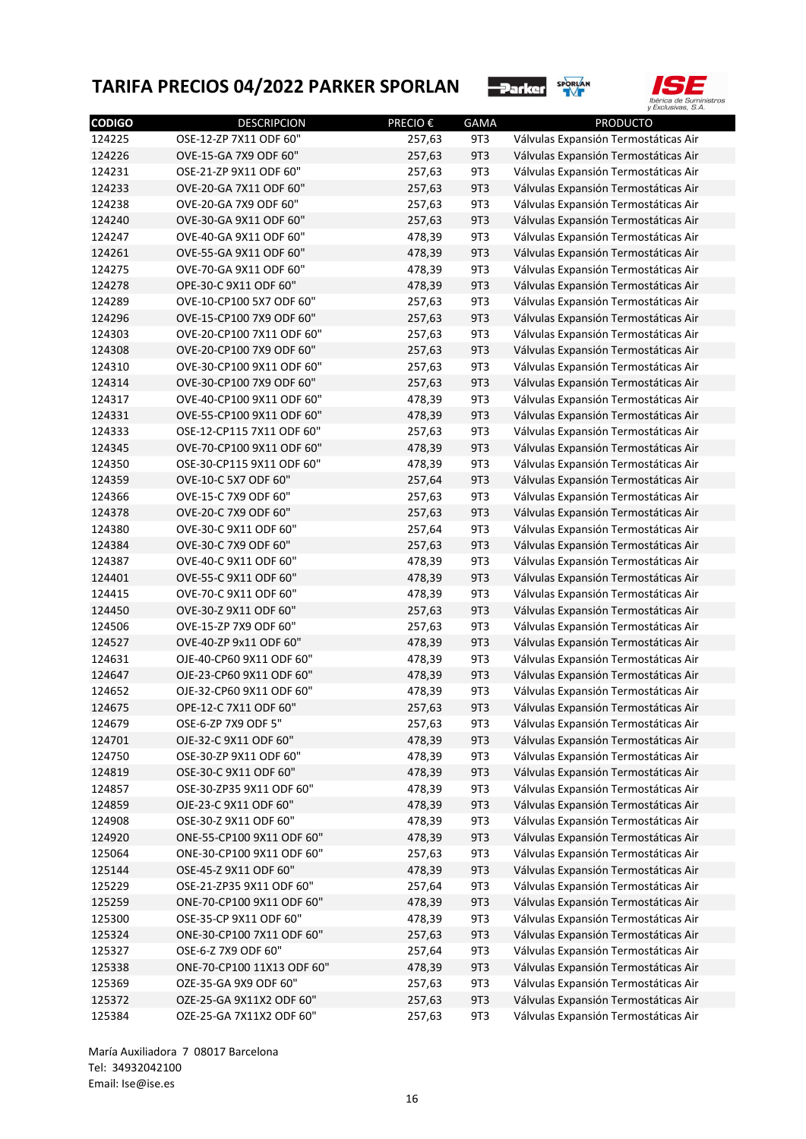



| <b>CODIGO</b> | <b>DESCRIPCION</b>         | <b>PRECIO€</b> | <b>GAMA</b> | <b>PRODUCTO</b>                      |
|---------------|----------------------------|----------------|-------------|--------------------------------------|
| 124225        | OSE-12-ZP 7X11 ODF 60"     | 257,63         | 9T3         | Válvulas Expansión Termostáticas Air |
| 124226        | OVE-15-GA 7X9 ODF 60"      | 257,63         | 9T3         | Válvulas Expansión Termostáticas Air |
| 124231        | OSE-21-ZP 9X11 ODF 60"     | 257,63         | 9T3         | Válvulas Expansión Termostáticas Air |
| 124233        | OVE-20-GA 7X11 ODF 60"     | 257,63         | 9T3         | Válvulas Expansión Termostáticas Air |
| 124238        | OVE-20-GA 7X9 ODF 60"      | 257,63         | 9T3         | Válvulas Expansión Termostáticas Air |
| 124240        | OVE-30-GA 9X11 ODF 60"     | 257,63         | 9T3         | Válvulas Expansión Termostáticas Air |
| 124247        | OVE-40-GA 9X11 ODF 60"     | 478,39         | 9T3         | Válvulas Expansión Termostáticas Air |
| 124261        | OVE-55-GA 9X11 ODF 60"     | 478,39         | 9T3         | Válvulas Expansión Termostáticas Air |
| 124275        | OVE-70-GA 9X11 ODF 60"     | 478,39         | 9T3         | Válvulas Expansión Termostáticas Air |
| 124278        | OPE-30-C 9X11 ODF 60"      | 478,39         | 9T3         | Válvulas Expansión Termostáticas Air |
| 124289        | OVE-10-CP100 5X7 ODF 60"   | 257,63         | 9T3         | Válvulas Expansión Termostáticas Air |
| 124296        | OVE-15-CP100 7X9 ODF 60"   | 257,63         | 9T3         | Válvulas Expansión Termostáticas Air |
| 124303        | OVE-20-CP100 7X11 ODF 60"  | 257,63         | 9T3         | Válvulas Expansión Termostáticas Air |
| 124308        | OVE-20-CP100 7X9 ODF 60"   | 257,63         | 9T3         | Válvulas Expansión Termostáticas Air |
| 124310        | OVE-30-CP100 9X11 ODF 60"  | 257,63         | 9T3         | Válvulas Expansión Termostáticas Air |
| 124314        | OVE-30-CP100 7X9 ODF 60"   | 257,63         | 9T3         | Válvulas Expansión Termostáticas Air |
| 124317        | OVE-40-CP100 9X11 ODF 60"  | 478,39         | 9T3         | Válvulas Expansión Termostáticas Air |
| 124331        | OVE-55-CP100 9X11 ODF 60"  | 478,39         | 9T3         | Válvulas Expansión Termostáticas Air |
| 124333        | OSE-12-CP115 7X11 ODF 60"  | 257,63         | 9T3         | Válvulas Expansión Termostáticas Air |
| 124345        | OVE-70-CP100 9X11 ODF 60"  | 478,39         | 9T3         | Válvulas Expansión Termostáticas Air |
| 124350        | OSE-30-CP115 9X11 ODF 60"  | 478,39         | 9T3         | Válvulas Expansión Termostáticas Air |
| 124359        | OVE-10-C 5X7 ODF 60"       | 257,64         | 9T3         | Válvulas Expansión Termostáticas Air |
| 124366        | OVE-15-C 7X9 ODF 60"       | 257,63         | 9T3         | Válvulas Expansión Termostáticas Air |
| 124378        | OVE-20-C 7X9 ODF 60"       | 257,63         | 9T3         | Válvulas Expansión Termostáticas Air |
| 124380        | OVE-30-C 9X11 ODF 60"      | 257,64         | 9T3         | Válvulas Expansión Termostáticas Air |
| 124384        | OVE-30-C 7X9 ODF 60"       | 257,63         | 9T3         | Válvulas Expansión Termostáticas Air |
| 124387        | OVE-40-C 9X11 ODF 60"      | 478,39         | 9T3         | Válvulas Expansión Termostáticas Air |
| 124401        | OVE-55-C 9X11 ODF 60"      | 478,39         | 9T3         | Válvulas Expansión Termostáticas Air |
| 124415        | OVE-70-C 9X11 ODF 60"      | 478,39         | 9T3         | Válvulas Expansión Termostáticas Air |
| 124450        | OVE-30-Z 9X11 ODF 60"      | 257,63         | 9T3         | Válvulas Expansión Termostáticas Air |
| 124506        | OVE-15-ZP 7X9 ODF 60"      | 257,63         | 9T3         | Válvulas Expansión Termostáticas Air |
| 124527        | OVE-40-ZP 9x11 ODF 60"     | 478,39         | 9T3         | Válvulas Expansión Termostáticas Air |
| 124631        | OJE-40-CP60 9X11 ODF 60"   | 478,39         | 9T3         | Válvulas Expansión Termostáticas Air |
| 124647        | OJE-23-CP60 9X11 ODF 60"   | 478,39         | 9T3         | Válvulas Expansión Termostáticas Air |
| 124652        | OJE-32-CP60 9X11 ODF 60"   | 478,39         | 9T3         | Válvulas Expansión Termostáticas Air |
| 124675        | OPE-12-C 7X11 ODF 60"      | 257,63         | 9T3         | Válvulas Expansión Termostáticas Air |
| 124679        | OSE-6-ZP 7X9 ODF 5"        | 257,63         | 9T3         | Válvulas Expansión Termostáticas Air |
| 124701        | OJE-32-C 9X11 ODF 60"      | 478,39         | 9T3         | Válvulas Expansión Termostáticas Air |
| 124750        | OSE-30-ZP 9X11 ODF 60"     | 478,39         | 9T3         | Válvulas Expansión Termostáticas Air |
| 124819        | OSE-30-C 9X11 ODF 60"      | 478,39         | 9T3         | Válvulas Expansión Termostáticas Air |
|               | OSE-30-ZP35 9X11 ODF 60"   | 478,39         | 9T3         |                                      |
| 124857        |                            |                |             | Válvulas Expansión Termostáticas Air |
| 124859        | OJE-23-C 9X11 ODF 60"      | 478,39         | 9T3         | Válvulas Expansión Termostáticas Air |
| 124908        | OSE-30-Z 9X11 ODF 60"      | 478,39         | 9T3         | Válvulas Expansión Termostáticas Air |
| 124920        | ONE-55-CP100 9X11 ODF 60"  | 478,39         | 9T3         | Válvulas Expansión Termostáticas Air |
| 125064        | ONE-30-CP100 9X11 ODF 60"  | 257,63         | 9T3         | Válvulas Expansión Termostáticas Air |
| 125144        | OSE-45-Z 9X11 ODF 60"      | 478,39         | 9T3         | Válvulas Expansión Termostáticas Air |
| 125229        | OSE-21-ZP35 9X11 ODF 60"   | 257,64         | 9T3         | Válvulas Expansión Termostáticas Air |
| 125259        | ONE-70-CP100 9X11 ODF 60"  | 478,39         | 9T3         | Válvulas Expansión Termostáticas Air |
| 125300        | OSE-35-CP 9X11 ODF 60"     | 478,39         | 9T3         | Válvulas Expansión Termostáticas Air |
| 125324        | ONE-30-CP100 7X11 ODF 60"  | 257,63         | 9T3         | Válvulas Expansión Termostáticas Air |
| 125327        | OSE-6-Z 7X9 ODF 60"        | 257,64         | 9T3         | Válvulas Expansión Termostáticas Air |
| 125338        | ONE-70-CP100 11X13 ODF 60" | 478,39         | 9T3         | Válvulas Expansión Termostáticas Air |
| 125369        | OZE-35-GA 9X9 ODF 60"      | 257,63         | 9T3         | Válvulas Expansión Termostáticas Air |
| 125372        | OZE-25-GA 9X11X2 ODF 60"   | 257,63         | 9T3         | Válvulas Expansión Termostáticas Air |
| 125384        | OZE-25-GA 7X11X2 ODF 60"   | 257,63         | 9T3         | Válvulas Expansión Termostáticas Air |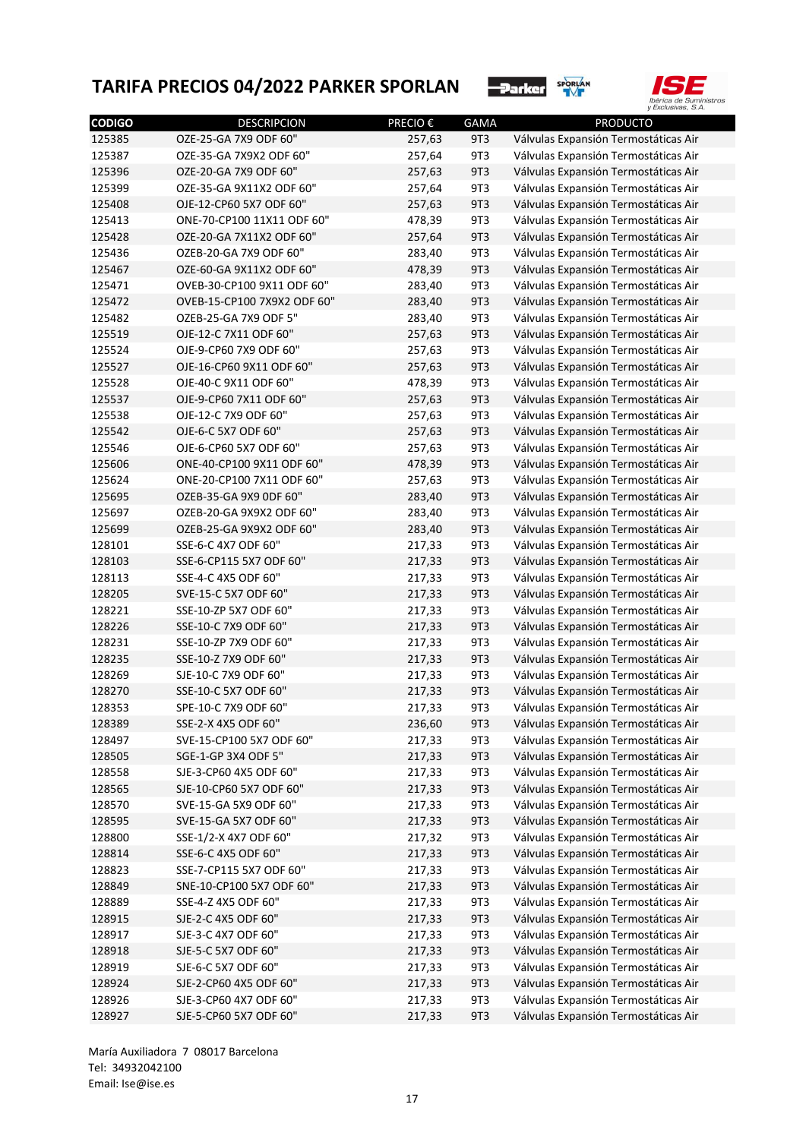



| <b>CODIGO</b> | <b>DESCRIPCION</b>          | <b>PRECIO€</b> | <b>GAMA</b> | <b>PRODUCTO</b>                      |
|---------------|-----------------------------|----------------|-------------|--------------------------------------|
| 125385        | OZE-25-GA 7X9 ODF 60"       | 257,63         | 9T3         | Válvulas Expansión Termostáticas Air |
| 125387        | OZE-35-GA 7X9X2 ODF 60"     | 257,64         | 9T3         | Válvulas Expansión Termostáticas Air |
| 125396        | OZE-20-GA 7X9 ODF 60"       | 257,63         | 9T3         | Válvulas Expansión Termostáticas Air |
| 125399        | OZE-35-GA 9X11X2 ODF 60"    | 257,64         | 9T3         | Válvulas Expansión Termostáticas Air |
| 125408        | OJE-12-CP60 5X7 ODF 60"     | 257,63         | 9T3         | Válvulas Expansión Termostáticas Air |
| 125413        | ONE-70-CP100 11X11 ODF 60"  | 478,39         | 9T3         | Válvulas Expansión Termostáticas Air |
| 125428        | OZE-20-GA 7X11X2 ODF 60"    | 257,64         | 9T3         | Válvulas Expansión Termostáticas Air |
| 125436        | OZEB-20-GA 7X9 ODF 60"      | 283,40         | 9T3         | Válvulas Expansión Termostáticas Air |
| 125467        | OZE-60-GA 9X11X2 ODF 60"    | 478,39         | 9T3         | Válvulas Expansión Termostáticas Air |
| 125471        | OVEB-30-CP100 9X11 ODF 60"  | 283,40         | 9T3         | Válvulas Expansión Termostáticas Air |
| 125472        | OVEB-15-CP100 7X9X2 ODF 60" | 283,40         | 9T3         | Válvulas Expansión Termostáticas Air |
| 125482        | OZEB-25-GA 7X9 ODF 5"       | 283,40         | 9T3         | Válvulas Expansión Termostáticas Air |
| 125519        | OJE-12-C 7X11 ODF 60"       | 257,63         | 9T3         | Válvulas Expansión Termostáticas Air |
| 125524        | OJE-9-CP60 7X9 ODF 60"      | 257,63         | 9T3         | Válvulas Expansión Termostáticas Air |
| 125527        | OJE-16-CP60 9X11 ODF 60"    | 257,63         | 9T3         | Válvulas Expansión Termostáticas Air |
| 125528        | OJE-40-C 9X11 ODF 60"       | 478,39         | 9T3         | Válvulas Expansión Termostáticas Air |
| 125537        | OJE-9-CP60 7X11 ODF 60"     | 257,63         | 9T3         | Válvulas Expansión Termostáticas Air |
| 125538        | OJE-12-C 7X9 ODF 60"        | 257,63         | 9T3         | Válvulas Expansión Termostáticas Air |
| 125542        | OJE-6-C 5X7 ODF 60"         | 257,63         | 9T3         | Válvulas Expansión Termostáticas Air |
| 125546        | OJE-6-CP60 5X7 ODF 60"      | 257,63         | 9T3         | Válvulas Expansión Termostáticas Air |
| 125606        | ONE-40-CP100 9X11 ODF 60"   | 478,39         | 9T3         | Válvulas Expansión Termostáticas Air |
| 125624        | ONE-20-CP100 7X11 ODF 60"   | 257,63         | 9T3         | Válvulas Expansión Termostáticas Air |
| 125695        | OZEB-35-GA 9X9 ODF 60"      | 283,40         | 9T3         | Válvulas Expansión Termostáticas Air |
| 125697        | OZEB-20-GA 9X9X2 ODF 60"    | 283,40         | 9T3         | Válvulas Expansión Termostáticas Air |
| 125699        | OZEB-25-GA 9X9X2 ODF 60"    | 283,40         | 9T3         | Válvulas Expansión Termostáticas Air |
| 128101        | SSE-6-C 4X7 ODF 60"         | 217,33         | 9T3         | Válvulas Expansión Termostáticas Air |
| 128103        | SSE-6-CP115 5X7 ODF 60"     | 217,33         | 9T3         | Válvulas Expansión Termostáticas Air |
| 128113        | SSE-4-C 4X5 ODF 60"         | 217,33         | 9T3         | Válvulas Expansión Termostáticas Air |
| 128205        | SVE-15-C 5X7 ODF 60"        | 217,33         | 9T3         | Válvulas Expansión Termostáticas Air |
| 128221        | SSE-10-ZP 5X7 ODF 60"       | 217,33         | 9T3         | Válvulas Expansión Termostáticas Air |
| 128226        | SSE-10-C 7X9 ODF 60"        | 217,33         | 9T3         | Válvulas Expansión Termostáticas Air |
| 128231        | SSE-10-ZP 7X9 ODF 60"       | 217,33         | 9T3         | Válvulas Expansión Termostáticas Air |
| 128235        | SSE-10-Z 7X9 ODF 60"        | 217,33         | 9T3         | Válvulas Expansión Termostáticas Air |
| 128269        | SJE-10-C 7X9 ODF 60"        | 217,33         | 9T3         | Válvulas Expansión Termostáticas Air |
| 128270        | SSE-10-C 5X7 ODF 60"        | 217,33         | 9T3         | Válvulas Expansión Termostáticas Air |
| 128353        | SPE-10-C 7X9 ODF 60"        | 217,33         | 9T3         | Válvulas Expansión Termostáticas Air |
| 128389        | SSE-2-X 4X5 ODF 60"         | 236,60         | 9T3         | Válvulas Expansión Termostáticas Air |
| 128497        | SVE-15-CP100 5X7 ODF 60"    | 217,33         | 9T3         | Válvulas Expansión Termostáticas Air |
| 128505        | SGE-1-GP 3X4 ODF 5"         | 217,33         | 9T3         | Válvulas Expansión Termostáticas Air |
| 128558        | SJE-3-CP60 4X5 ODF 60"      | 217,33         | 9T3         | Válvulas Expansión Termostáticas Air |
|               | SJE-10-CP60 5X7 ODF 60"     | 217,33         | 9T3         |                                      |
| 128565        | SVE-15-GA 5X9 ODF 60"       |                |             | Válvulas Expansión Termostáticas Air |
| 128570        |                             | 217,33         | 9T3         | Válvulas Expansión Termostáticas Air |
| 128595        | SVE-15-GA 5X7 ODF 60"       | 217,33         | 9T3         | Válvulas Expansión Termostáticas Air |
| 128800        | SSE-1/2-X 4X7 ODF 60"       | 217,32         | 9T3         | Válvulas Expansión Termostáticas Air |
| 128814        | SSE-6-C 4X5 ODF 60"         | 217,33         | 9T3         | Válvulas Expansión Termostáticas Air |
| 128823        | SSE-7-CP115 5X7 ODF 60"     | 217,33         | 9T3         | Válvulas Expansión Termostáticas Air |
| 128849        | SNE-10-CP100 5X7 ODF 60"    | 217,33         | 9T3         | Válvulas Expansión Termostáticas Air |
| 128889        | SSE-4-Z 4X5 ODF 60"         | 217,33         | 9T3         | Válvulas Expansión Termostáticas Air |
| 128915        | SJE-2-C 4X5 ODF 60"         | 217,33         | 9T3         | Válvulas Expansión Termostáticas Air |
| 128917        | SJE-3-C 4X7 ODF 60"         | 217,33         | 9T3         | Válvulas Expansión Termostáticas Air |
| 128918        | SJE-5-C 5X7 ODF 60"         | 217,33         | 9T3         | Válvulas Expansión Termostáticas Air |
| 128919        | SJE-6-C 5X7 ODF 60"         | 217,33         | 9T3         | Válvulas Expansión Termostáticas Air |
| 128924        | SJE-2-CP60 4X5 ODF 60"      | 217,33         | 9T3         | Válvulas Expansión Termostáticas Air |
| 128926        | SJE-3-CP60 4X7 ODF 60"      | 217,33         | 9T3         | Válvulas Expansión Termostáticas Air |
| 128927        | SJE-5-CP60 5X7 ODF 60"      | 217,33         | 9T3         | Válvulas Expansión Termostáticas Air |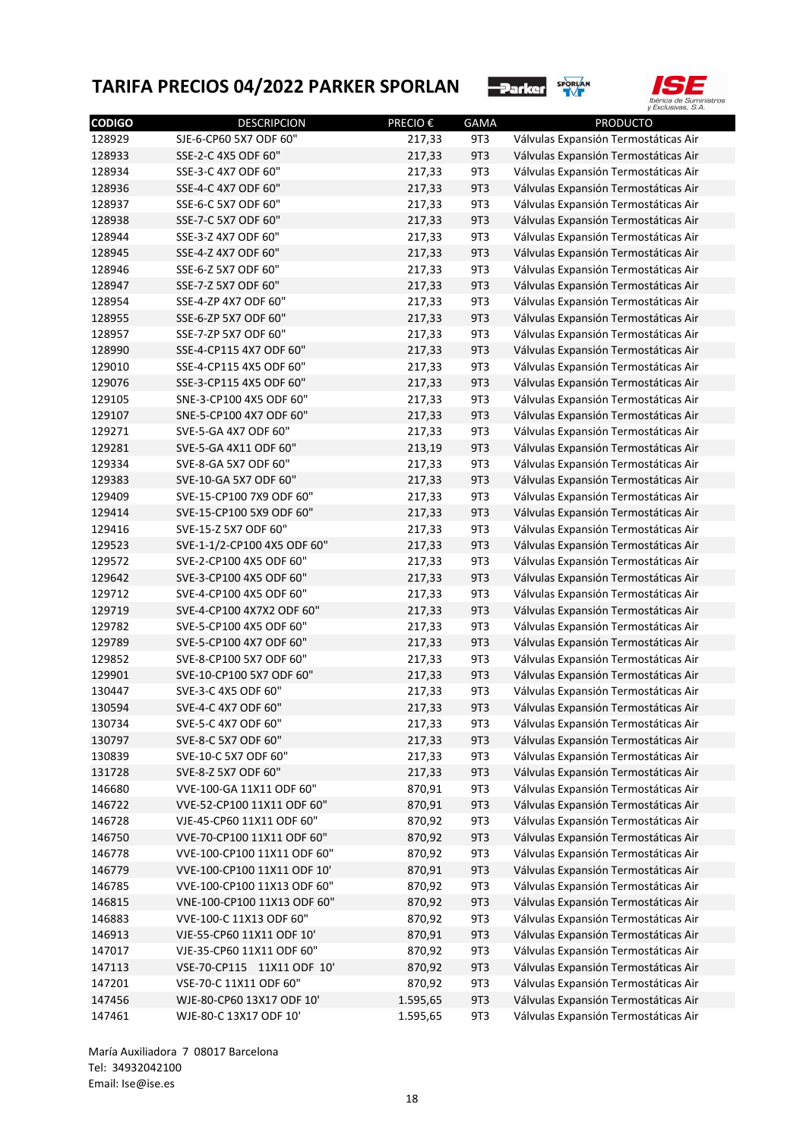



| <b>CODIGO</b> | <b>DESCRIPCION</b>          | <b>PRECIO€</b> | <b>GAMA</b> | <b>PRODUCTO</b>                      |
|---------------|-----------------------------|----------------|-------------|--------------------------------------|
| 128929        | SJE-6-CP60 5X7 ODF 60"      | 217,33         | 9T3         | Válvulas Expansión Termostáticas Air |
| 128933        | SSE-2-C 4X5 ODF 60"         | 217,33         | 9T3         | Válvulas Expansión Termostáticas Air |
| 128934        | SSE-3-C 4X7 ODF 60"         | 217,33         | 9T3         | Válvulas Expansión Termostáticas Air |
| 128936        | SSE-4-C 4X7 ODF 60"         | 217,33         | 9T3         | Válvulas Expansión Termostáticas Air |
| 128937        | SSE-6-C 5X7 ODF 60"         | 217,33         | 9T3         | Válvulas Expansión Termostáticas Air |
| 128938        | SSE-7-C 5X7 ODF 60"         | 217,33         | 9T3         | Válvulas Expansión Termostáticas Air |
| 128944        | SSE-3-Z 4X7 ODF 60"         | 217,33         | 9T3         | Válvulas Expansión Termostáticas Air |
| 128945        | SSE-4-Z 4X7 ODF 60"         | 217,33         | 9T3         | Válvulas Expansión Termostáticas Air |
| 128946        | SSE-6-Z 5X7 ODF 60"         | 217,33         | 9T3         | Válvulas Expansión Termostáticas Air |
| 128947        | SSE-7-Z 5X7 ODF 60"         | 217,33         | 9T3         | Válvulas Expansión Termostáticas Air |
| 128954        | SSE-4-ZP 4X7 ODF 60"        | 217,33         | 9T3         | Válvulas Expansión Termostáticas Air |
| 128955        | SSE-6-ZP 5X7 ODF 60"        | 217,33         | 9T3         | Válvulas Expansión Termostáticas Air |
| 128957        | SSE-7-ZP 5X7 ODF 60"        | 217,33         | 9T3         | Válvulas Expansión Termostáticas Air |
| 128990        | SSE-4-CP115 4X7 ODF 60"     | 217,33         | 9T3         | Válvulas Expansión Termostáticas Air |
| 129010        | SSE-4-CP115 4X5 ODF 60"     | 217,33         | 9T3         | Válvulas Expansión Termostáticas Air |
| 129076        | SSE-3-CP115 4X5 ODF 60"     | 217,33         | 9T3         | Válvulas Expansión Termostáticas Air |
| 129105        | SNE-3-CP100 4X5 ODF 60"     | 217,33         | 9T3         | Válvulas Expansión Termostáticas Air |
| 129107        | SNE-5-CP100 4X7 ODF 60"     | 217,33         | 9T3         | Válvulas Expansión Termostáticas Air |
| 129271        | SVE-5-GA 4X7 ODF 60"        | 217,33         | 9T3         | Válvulas Expansión Termostáticas Air |
| 129281        | SVE-5-GA 4X11 ODF 60"       | 213,19         | 9T3         | Válvulas Expansión Termostáticas Air |
| 129334        | SVE-8-GA 5X7 ODF 60"        | 217,33         | 9T3         | Válvulas Expansión Termostáticas Air |
| 129383        | SVE-10-GA 5X7 ODF 60"       | 217,33         | 9T3         | Válvulas Expansión Termostáticas Air |
| 129409        | SVE-15-CP100 7X9 ODF 60"    | 217,33         | 9T3         | Válvulas Expansión Termostáticas Air |
| 129414        | SVE-15-CP100 5X9 ODF 60"    | 217,33         | 9T3         | Válvulas Expansión Termostáticas Air |
| 129416        | SVE-15-Z 5X7 ODF 60"        | 217,33         | 9T3         | Válvulas Expansión Termostáticas Air |
| 129523        | SVE-1-1/2-CP100 4X5 ODF 60" | 217,33         | 9T3         | Válvulas Expansión Termostáticas Air |
| 129572        | SVE-2-CP100 4X5 ODF 60"     | 217,33         | 9T3         | Válvulas Expansión Termostáticas Air |
| 129642        | SVE-3-CP100 4X5 ODF 60"     | 217,33         | 9T3         | Válvulas Expansión Termostáticas Air |
| 129712        | SVE-4-CP100 4X5 ODF 60"     | 217,33         | 9T3         | Válvulas Expansión Termostáticas Air |
| 129719        | SVE-4-CP100 4X7X2 ODF 60"   | 217,33         | 9T3         | Válvulas Expansión Termostáticas Air |
| 129782        | SVE-5-CP100 4X5 ODF 60"     | 217,33         | 9T3         | Válvulas Expansión Termostáticas Air |
| 129789        | SVE-5-CP100 4X7 ODF 60"     | 217,33         | 9T3         | Válvulas Expansión Termostáticas Air |
| 129852        | SVE-8-CP100 5X7 ODF 60"     | 217,33         | 9T3         | Válvulas Expansión Termostáticas Air |
| 129901        | SVE-10-CP100 5X7 ODF 60"    | 217,33         | 9T3         | Válvulas Expansión Termostáticas Air |
|               |                             |                |             |                                      |
| 130447        | SVE-3-C 4X5 ODF 60"         | 217,33         | 9T3         | Válvulas Expansión Termostáticas Air |
| 130594        | SVE-4-C 4X7 ODF 60"         | 217,33         | 9T3         | Válvulas Expansión Termostáticas Air |
| 130734        | SVE-5-C 4X7 ODF 60"         | 217,33         | 9T3         | Válvulas Expansión Termostáticas Air |
| 130797        | SVE-8-C 5X7 ODF 60"         | 217,33         | 9T3         | Válvulas Expansión Termostáticas Air |
| 130839        | SVE-10-C 5X7 ODF 60"        | 217,33         | 9T3         | Válvulas Expansión Termostáticas Air |
| 131728        | SVE-8-Z 5X7 ODF 60"         | 217,33         | 9T3         | Válvulas Expansión Termostáticas Air |
| 146680        | VVE-100-GA 11X11 ODF 60"    | 870,91         | 9T3         | Válvulas Expansión Termostáticas Air |
| 146722        | VVE-52-CP100 11X11 ODF 60"  | 870,91         | 9T3         | Válvulas Expansión Termostáticas Air |
| 146728        | VJE-45-CP60 11X11 ODF 60"   | 870,92         | 9T3         | Válvulas Expansión Termostáticas Air |
| 146750        | VVE-70-CP100 11X11 ODF 60"  | 870,92         | 9T3         | Válvulas Expansión Termostáticas Air |
| 146778        | VVE-100-CP100 11X11 ODF 60" | 870,92         | 9T3         | Válvulas Expansión Termostáticas Air |
| 146779        | VVE-100-CP100 11X11 ODF 10' | 870,91         | 9T3         | Válvulas Expansión Termostáticas Air |
| 146785        | VVE-100-CP100 11X13 ODF 60" | 870,92         | 9T3         | Válvulas Expansión Termostáticas Air |
| 146815        | VNE-100-CP100 11X13 ODF 60" | 870,92         | 9T3         | Válvulas Expansión Termostáticas Air |
| 146883        | VVE-100-C 11X13 ODF 60"     | 870,92         | 9T3         | Válvulas Expansión Termostáticas Air |
| 146913        | VJE-55-CP60 11X11 ODF 10'   | 870,91         | 9T3         | Válvulas Expansión Termostáticas Air |
| 147017        | VJE-35-CP60 11X11 ODF 60"   | 870,92         | 9T3         | Válvulas Expansión Termostáticas Air |
| 147113        | VSE-70-CP115 11X11 ODF 10'  | 870,92         | 9T3         | Válvulas Expansión Termostáticas Air |
| 147201        | VSE-70-C 11X11 ODF 60"      | 870,92         | 9T3         | Válvulas Expansión Termostáticas Air |
| 147456        | WJE-80-CP60 13X17 ODF 10'   | 1.595,65       | 9T3         | Válvulas Expansión Termostáticas Air |
| 147461        | WJE-80-C 13X17 ODF 10'      | 1.595,65       | 9T3         | Válvulas Expansión Termostáticas Air |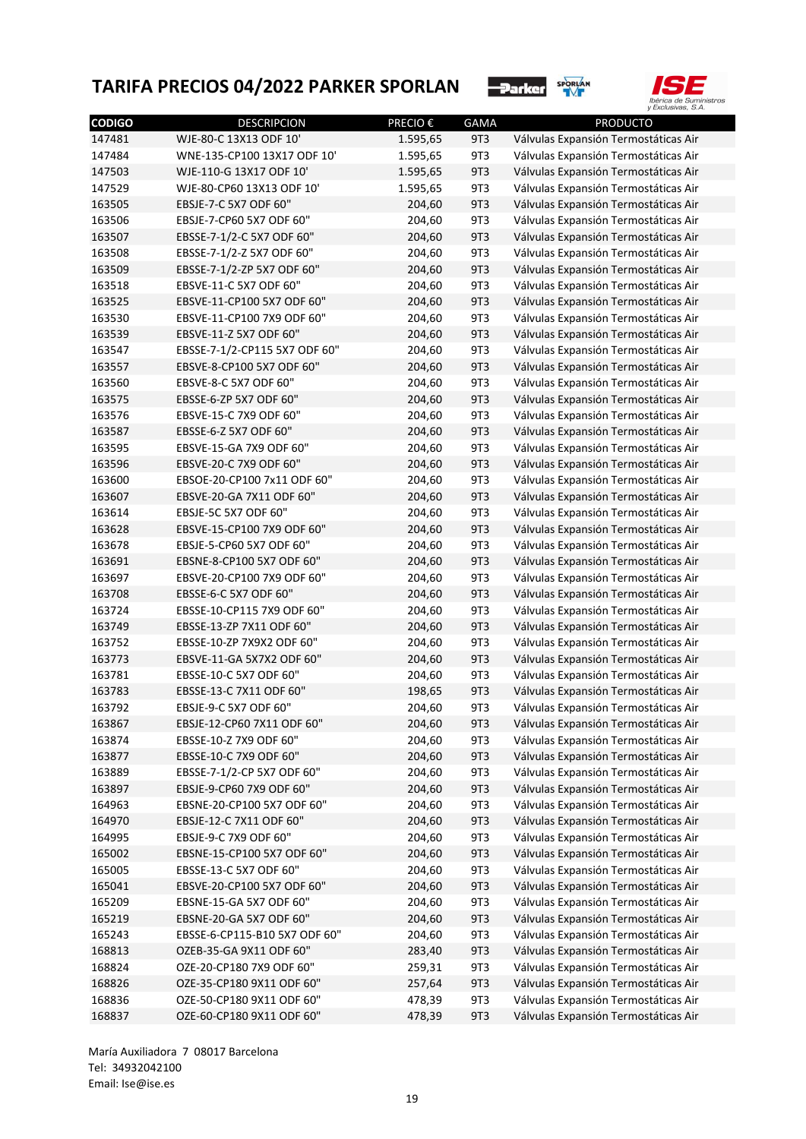



| <b>CODIGO</b> | <b>DESCRIPCION</b>            | <b>PRECIO €</b>  | <b>GAMA</b> | <b>PRODUCTO</b>                      |
|---------------|-------------------------------|------------------|-------------|--------------------------------------|
| 147481        | WJE-80-C 13X13 ODF 10'        | 1.595,65         | 9T3         | Válvulas Expansión Termostáticas Air |
| 147484        | WNE-135-CP100 13X17 ODF 10'   | 1.595,65         | 9T3         | Válvulas Expansión Termostáticas Air |
| 147503        | WJE-110-G 13X17 ODF 10'       | 1.595,65         | 9T3         | Válvulas Expansión Termostáticas Air |
| 147529        | WJE-80-CP60 13X13 ODF 10'     | 1.595,65         | 9T3         | Válvulas Expansión Termostáticas Air |
| 163505        | EBSJE-7-C 5X7 ODF 60"         | 204,60           | 9T3         | Válvulas Expansión Termostáticas Air |
| 163506        | EBSJE-7-CP60 5X7 ODF 60"      | 204,60           | 9T3         | Válvulas Expansión Termostáticas Air |
| 163507        | EBSSE-7-1/2-C 5X7 ODF 60"     | 204,60           | 9T3         | Válvulas Expansión Termostáticas Air |
| 163508        | EBSSE-7-1/2-Z 5X7 ODF 60"     | 204,60           | 9T3         | Válvulas Expansión Termostáticas Air |
| 163509        | EBSSE-7-1/2-ZP 5X7 ODF 60"    | 204,60           | 9T3         | Válvulas Expansión Termostáticas Air |
| 163518        | EBSVE-11-C 5X7 ODF 60"        | 204,60           | 9T3         | Válvulas Expansión Termostáticas Air |
| 163525        | EBSVE-11-CP100 5X7 ODF 60"    | 204,60           | 9T3         | Válvulas Expansión Termostáticas Air |
| 163530        | EBSVE-11-CP100 7X9 ODF 60"    | 204,60           | 9T3         | Válvulas Expansión Termostáticas Air |
| 163539        | EBSVE-11-Z 5X7 ODF 60"        | 204,60           | 9T3         | Válvulas Expansión Termostáticas Air |
| 163547        | EBSSE-7-1/2-CP115 5X7 ODF 60" | 204,60           | 9T3         | Válvulas Expansión Termostáticas Air |
| 163557        | EBSVE-8-CP100 5X7 ODF 60"     | 204,60           | 9T3         | Válvulas Expansión Termostáticas Air |
| 163560        | EBSVE-8-C 5X7 ODF 60"         | 204,60           | 9T3         | Válvulas Expansión Termostáticas Air |
| 163575        | EBSSE-6-ZP 5X7 ODF 60"        | 204,60           | 9T3         | Válvulas Expansión Termostáticas Air |
| 163576        | EBSVE-15-C 7X9 ODF 60"        | 204,60           | 9T3         | Válvulas Expansión Termostáticas Air |
| 163587        | EBSSE-6-Z 5X7 ODF 60"         | 204,60           | 9T3         | Válvulas Expansión Termostáticas Air |
| 163595        | EBSVE-15-GA 7X9 ODF 60"       | 204,60           | 9T3         | Válvulas Expansión Termostáticas Air |
| 163596        | EBSVE-20-C 7X9 ODF 60"        | 204,60           | 9T3         | Válvulas Expansión Termostáticas Air |
| 163600        | EBSOE-20-CP100 7x11 ODF 60"   | 204,60           | 9T3         | Válvulas Expansión Termostáticas Air |
| 163607        | EBSVE-20-GA 7X11 ODF 60"      | 204,60           | 9T3         | Válvulas Expansión Termostáticas Air |
| 163614        | EBSJE-5C 5X7 ODF 60"          | 204,60           | 9T3         | Válvulas Expansión Termostáticas Air |
| 163628        | EBSVE-15-CP100 7X9 ODF 60"    | 204,60           | 9T3         | Válvulas Expansión Termostáticas Air |
| 163678        | EBSJE-5-CP60 5X7 ODF 60"      | 204,60           | 9T3         | Válvulas Expansión Termostáticas Air |
| 163691        | EBSNE-8-CP100 5X7 ODF 60"     | 204,60           | 9T3         | Válvulas Expansión Termostáticas Air |
| 163697        | EBSVE-20-CP100 7X9 ODF 60"    | 204,60           | 9T3         | Válvulas Expansión Termostáticas Air |
| 163708        | EBSSE-6-C 5X7 ODF 60"         | 204,60           | 9T3         | Válvulas Expansión Termostáticas Air |
| 163724        | EBSSE-10-CP115 7X9 ODF 60"    | 204,60           | 9T3         | Válvulas Expansión Termostáticas Air |
| 163749        | EBSSE-13-ZP 7X11 ODF 60"      | 204,60           | 9T3         | Válvulas Expansión Termostáticas Air |
| 163752        | EBSSE-10-ZP 7X9X2 ODF 60"     | 204,60           | 9T3         | Válvulas Expansión Termostáticas Air |
| 163773        | EBSVE-11-GA 5X7X2 ODF 60"     | 204,60           | 9T3         | Válvulas Expansión Termostáticas Air |
| 163781        | EBSSE-10-C 5X7 ODF 60"        | 204,60           | 9T3         | Válvulas Expansión Termostáticas Air |
| 163783        | EBSSE-13-C 7X11 ODF 60"       | 198,65           | 9T3         | Válvulas Expansión Termostáticas Air |
| 163792        | EBSJE-9-C 5X7 ODF 60"         | 204,60           | 9T3         | Válvulas Expansión Termostáticas Air |
| 163867        | EBSJE-12-CP60 7X11 ODF 60"    | 204,60           | 9T3         | Válvulas Expansión Termostáticas Air |
|               | EBSSE-10-Z 7X9 ODF 60"        |                  |             | Válvulas Expansión Termostáticas Air |
| 163874        | EBSSE-10-C 7X9 ODF 60"        | 204,60<br>204,60 | 9T3<br>9T3  |                                      |
| 163877        | EBSSE-7-1/2-CP 5X7 ODF 60"    |                  |             | Válvulas Expansión Termostáticas Air |
| 163889        |                               | 204,60           | 9T3         | Válvulas Expansión Termostáticas Air |
| 163897        | EBSJE-9-CP60 7X9 ODF 60"      | 204,60           | 9T3         | Válvulas Expansión Termostáticas Air |
| 164963        | EBSNE-20-CP100 5X7 ODF 60"    | 204,60           | 9T3         | Válvulas Expansión Termostáticas Air |
| 164970        | EBSJE-12-C 7X11 ODF 60"       | 204,60           | 9T3         | Válvulas Expansión Termostáticas Air |
| 164995        | EBSJE-9-C 7X9 ODF 60"         | 204,60           | 9T3         | Válvulas Expansión Termostáticas Air |
| 165002        | EBSNE-15-CP100 5X7 ODF 60"    | 204,60           | 9T3         | Válvulas Expansión Termostáticas Air |
| 165005        | EBSSE-13-C 5X7 ODF 60"        | 204,60           | 9T3         | Válvulas Expansión Termostáticas Air |
| 165041        | EBSVE-20-CP100 5X7 ODF 60"    | 204,60           | 9T3         | Válvulas Expansión Termostáticas Air |
| 165209        | EBSNE-15-GA 5X7 ODF 60"       | 204,60           | 9T3         | Válvulas Expansión Termostáticas Air |
| 165219        | EBSNE-20-GA 5X7 ODF 60"       | 204,60           | 9T3         | Válvulas Expansión Termostáticas Air |
| 165243        | EBSSE-6-CP115-B10 5X7 ODF 60" | 204,60           | 9T3         | Válvulas Expansión Termostáticas Air |
| 168813        | OZEB-35-GA 9X11 ODF 60"       | 283,40           | 9T3         | Válvulas Expansión Termostáticas Air |
| 168824        | OZE-20-CP180 7X9 ODF 60"      | 259,31           | 9T3         | Válvulas Expansión Termostáticas Air |
| 168826        | OZE-35-CP180 9X11 ODF 60"     | 257,64           | 9T3         | Válvulas Expansión Termostáticas Air |
| 168836        | OZE-50-CP180 9X11 ODF 60"     | 478,39           | 9T3         | Válvulas Expansión Termostáticas Air |
| 168837        | OZE-60-CP180 9X11 ODF 60"     | 478,39           | 9T3         | Válvulas Expansión Termostáticas Air |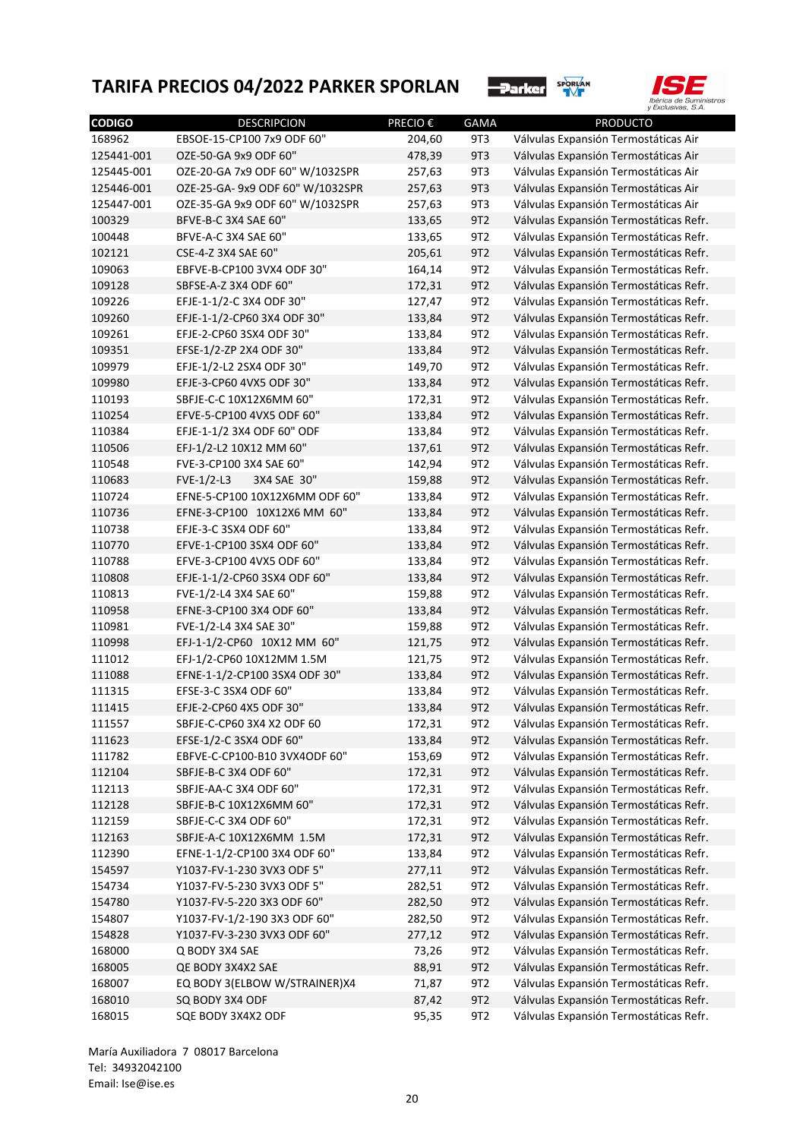



| <b>CODIGO</b> | <b>DESCRIPCION</b>                                | <b>PRECIO€</b> | <b>GAMA</b>     | <b>PRODUCTO</b>                        |
|---------------|---------------------------------------------------|----------------|-----------------|----------------------------------------|
| 168962        | EBSOE-15-CP100 7x9 ODF 60"                        | 204,60         | 9T3             | Válvulas Expansión Termostáticas Air   |
| 125441-001    | OZE-50-GA 9x9 ODF 60"                             | 478,39         | 9T3             | Válvulas Expansión Termostáticas Air   |
| 125445-001    | OZE-20-GA 7x9 ODF 60" W/1032SPR                   | 257,63         | 9T3             | Válvulas Expansión Termostáticas Air   |
| 125446-001    | OZE-25-GA-9x9 ODF 60" W/1032SPR                   | 257,63         | 9T3             | Válvulas Expansión Termostáticas Air   |
| 125447-001    | OZE-35-GA 9x9 ODF 60" W/1032SPR                   | 257,63         | 9T3             | Válvulas Expansión Termostáticas Air   |
| 100329        | BFVE-B-C 3X4 SAE 60"                              | 133,65         | 9T <sub>2</sub> | Válvulas Expansión Termostáticas Refr. |
| 100448        | BFVE-A-C 3X4 SAE 60"                              | 133,65         | 9T <sub>2</sub> | Válvulas Expansión Termostáticas Refr. |
| 102121        | CSE-4-Z 3X4 SAE 60"                               | 205,61         | 9T <sub>2</sub> | Válvulas Expansión Termostáticas Refr. |
| 109063        | EBFVE-B-CP100 3VX4 ODF 30"                        | 164,14         | 9T <sub>2</sub> | Válvulas Expansión Termostáticas Refr. |
| 109128        | SBFSE-A-Z 3X4 ODF 60"                             | 172,31         | 9T <sub>2</sub> | Válvulas Expansión Termostáticas Refr. |
| 109226        | EFJE-1-1/2-C 3X4 ODF 30"                          | 127,47         | 9T <sub>2</sub> | Válvulas Expansión Termostáticas Refr. |
| 109260        | EFJE-1-1/2-CP60 3X4 ODF 30"                       | 133,84         | 9T <sub>2</sub> | Válvulas Expansión Termostáticas Refr. |
| 109261        | EFJE-2-CP60 3SX4 ODF 30"                          | 133,84         | 9T <sub>2</sub> | Válvulas Expansión Termostáticas Refr. |
| 109351        | EFSE-1/2-ZP 2X4 ODF 30"                           | 133,84         | 9T <sub>2</sub> | Válvulas Expansión Termostáticas Refr. |
| 109979        | EFJE-1/2-L2 2SX4 ODF 30"                          | 149,70         | 9T <sub>2</sub> | Válvulas Expansión Termostáticas Refr. |
| 109980        | EFJE-3-CP60 4VX5 ODF 30"                          | 133,84         | 9T <sub>2</sub> | Válvulas Expansión Termostáticas Refr. |
| 110193        | SBFJE-C-C 10X12X6MM 60"                           | 172,31         | 9T <sub>2</sub> | Válvulas Expansión Termostáticas Refr. |
| 110254        | EFVE-5-CP100 4VX5 ODF 60"                         | 133,84         | 9T <sub>2</sub> | Válvulas Expansión Termostáticas Refr. |
| 110384        | EFJE-1-1/2 3X4 ODF 60" ODF                        | 133,84         | 9T <sub>2</sub> | Válvulas Expansión Termostáticas Refr. |
| 110506        | EFJ-1/2-L2 10X12 MM 60"                           | 137,61         | 9T <sub>2</sub> | Válvulas Expansión Termostáticas Refr. |
| 110548        | FVE-3-CP100 3X4 SAE 60"                           | 142,94         | 9T <sub>2</sub> | Válvulas Expansión Termostáticas Refr. |
| 110683        | $FVE-1/2-L3$<br>3X4 SAE 30"                       | 159,88         | 9T <sub>2</sub> | Válvulas Expansión Termostáticas Refr. |
| 110724        | EFNE-5-CP100 10X12X6MM ODF 60"                    | 133,84         | 9T <sub>2</sub> | Válvulas Expansión Termostáticas Refr. |
| 110736        | EFNE-3-CP100 10X12X6 MM 60"                       | 133,84         | 9T <sub>2</sub> | Válvulas Expansión Termostáticas Refr. |
| 110738        | EFJE-3-C 3SX4 ODF 60"                             | 133,84         | 9T <sub>2</sub> | Válvulas Expansión Termostáticas Refr. |
| 110770        | EFVE-1-CP100 3SX4 ODF 60"                         | 133,84         | 9T <sub>2</sub> | Válvulas Expansión Termostáticas Refr. |
| 110788        | EFVE-3-CP100 4VX5 ODF 60"                         | 133,84         | 9T <sub>2</sub> | Válvulas Expansión Termostáticas Refr. |
| 110808        | EFJE-1-1/2-CP60 3SX4 ODF 60"                      | 133,84         | 9T <sub>2</sub> | Válvulas Expansión Termostáticas Refr. |
| 110813        | FVE-1/2-L4 3X4 SAE 60"                            | 159,88         | 9T <sub>2</sub> | Válvulas Expansión Termostáticas Refr. |
| 110958        | EFNE-3-CP100 3X4 ODF 60"                          | 133,84         | 9T <sub>2</sub> | Válvulas Expansión Termostáticas Refr. |
| 110981        | FVE-1/2-L4 3X4 SAE 30"                            | 159,88         | 9T <sub>2</sub> | Válvulas Expansión Termostáticas Refr. |
| 110998        | EFJ-1-1/2-CP60 10X12 MM 60"                       | 121,75         | 9T <sub>2</sub> | Válvulas Expansión Termostáticas Refr. |
| 111012        | EFJ-1/2-CP60 10X12MM 1.5M                         | 121,75         | 9T <sub>2</sub> | Válvulas Expansión Termostáticas Refr. |
| 111088        | EFNE-1-1/2-CP100 3SX4 ODF 30"                     | 133,84         | 9T <sub>2</sub> | Válvulas Expansión Termostáticas Refr. |
| 111315        | EFSE-3-C 3SX4 ODF 60"                             | 133,84         | 9T <sub>2</sub> | Válvulas Expansión Termostáticas Refr. |
| 111415        | EFJE-2-CP60 4X5 ODF 30"                           | 133,84         | 9T <sub>2</sub> | Válvulas Expansión Termostáticas Refr. |
| 111557        | SBFJE-C-CP60 3X4 X2 ODF 60                        | 172,31         | 9T2             | Válvulas Expansión Termostáticas Refr. |
| 111623        | EFSE-1/2-C 3SX4 ODF 60"                           | 133,84         | 9T <sub>2</sub> | Válvulas Expansión Termostáticas Refr. |
| 111782        | EBFVE-C-CP100-B10 3VX4ODF 60"                     | 153,69         | 9T <sub>2</sub> | Válvulas Expansión Termostáticas Refr. |
| 112104        | SBFJE-B-C 3X4 ODF 60"                             | 172,31         | 9T2             | Válvulas Expansión Termostáticas Refr. |
|               |                                                   |                | 9T2             | Válvulas Expansión Termostáticas Refr. |
| 112113        | SBFJE-AA-C 3X4 ODF 60"<br>SBFJE-B-C 10X12X6MM 60" | 172,31         |                 |                                        |
| 112128        |                                                   | 172,31         | 9T <sub>2</sub> | Válvulas Expansión Termostáticas Refr. |
| 112159        | SBFJE-C-C 3X4 ODF 60"                             | 172,31         | 9T2             | Válvulas Expansión Termostáticas Refr. |
| 112163        | SBFJE-A-C 10X12X6MM 1.5M                          | 172,31         | 9T <sub>2</sub> | Válvulas Expansión Termostáticas Refr. |
| 112390        | EFNE-1-1/2-CP100 3X4 ODF 60"                      | 133,84         | 9T <sub>2</sub> | Válvulas Expansión Termostáticas Refr. |
| 154597        | Y1037-FV-1-230 3VX3 ODF 5"                        | 277,11         | 9T2             | Válvulas Expansión Termostáticas Refr. |
| 154734        | Y1037-FV-5-230 3VX3 ODF 5"                        | 282,51         | 9T <sub>2</sub> | Válvulas Expansión Termostáticas Refr. |
| 154780        | Y1037-FV-5-220 3X3 ODF 60"                        | 282,50         | 9T2             | Válvulas Expansión Termostáticas Refr. |
| 154807        | Y1037-FV-1/2-190 3X3 ODF 60"                      | 282,50         | 9T <sub>2</sub> | Válvulas Expansión Termostáticas Refr. |
| 154828        | Y1037-FV-3-230 3VX3 ODF 60"                       | 277,12         | 9T2             | Válvulas Expansión Termostáticas Refr. |
| 168000        | Q BODY 3X4 SAE                                    | 73,26          | 9T <sub>2</sub> | Válvulas Expansión Termostáticas Refr. |
| 168005        | QE BODY 3X4X2 SAE                                 | 88,91          | 9T2             | Válvulas Expansión Termostáticas Refr. |
| 168007        | EQ BODY 3(ELBOW W/STRAINER)X4                     | 71,87          | 9T <sub>2</sub> | Válvulas Expansión Termostáticas Refr. |
| 168010        | SQ BODY 3X4 ODF                                   | 87,42          | 9T2             | Válvulas Expansión Termostáticas Refr. |
| 168015        | SQE BODY 3X4X2 ODF                                | 95,35          | 9T2             | Válvulas Expansión Termostáticas Refr. |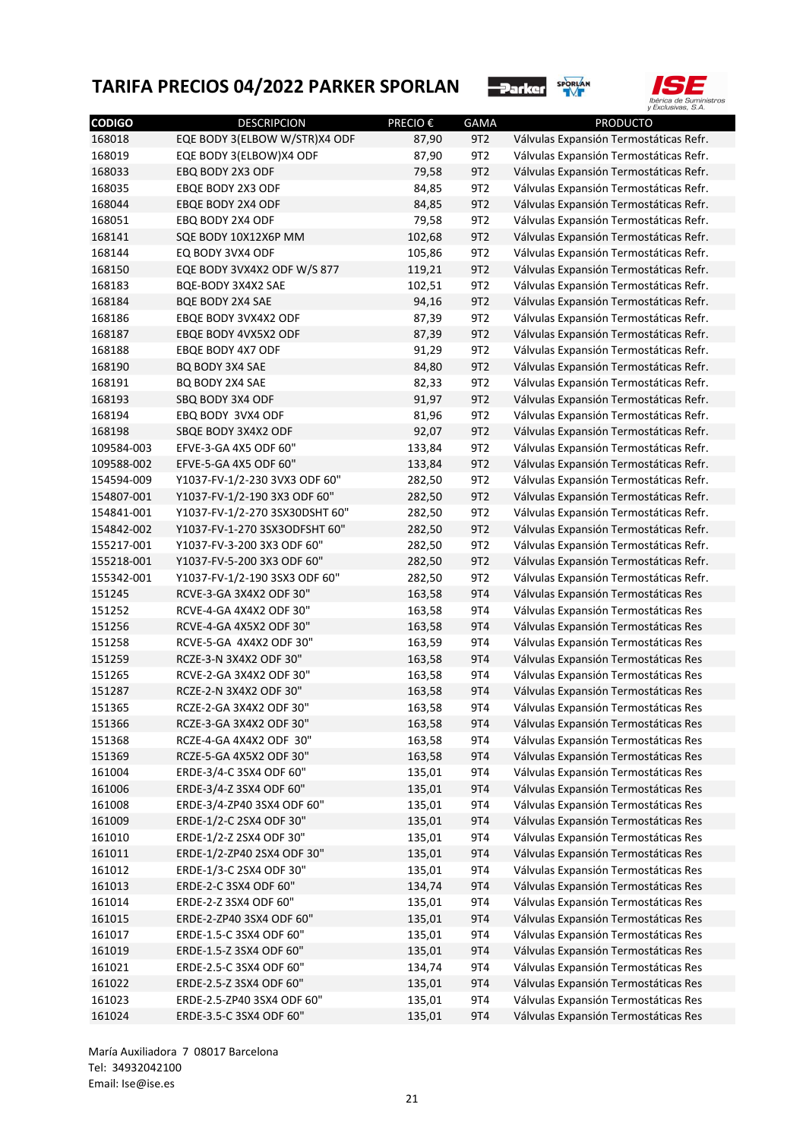



| <b>CODIGO</b>    | <b>DESCRIPCION</b>                                 | <b>PRECIO €</b> | <b>GAMA</b>     | <b>PRODUCTO</b>                        |
|------------------|----------------------------------------------------|-----------------|-----------------|----------------------------------------|
| 168018           | EQE BODY 3(ELBOW W/STR)X4 ODF                      | 87,90           | 9T <sub>2</sub> | Válvulas Expansión Termostáticas Refr. |
| 168019           | EQE BODY 3(ELBOW)X4 ODF                            | 87,90           | 9T2             | Válvulas Expansión Termostáticas Refr. |
| 168033           | EBQ BODY 2X3 ODF                                   | 79,58           | 9T2             | Válvulas Expansión Termostáticas Refr. |
| 168035           | EBQE BODY 2X3 ODF                                  | 84,85           | 9T2             | Válvulas Expansión Termostáticas Refr. |
| 168044           | EBQE BODY 2X4 ODF                                  | 84,85           | 9T2             | Válvulas Expansión Termostáticas Refr. |
| 168051           | EBQ BODY 2X4 ODF                                   | 79,58           | 9T2             | Válvulas Expansión Termostáticas Refr. |
| 168141           | SQE BODY 10X12X6P MM                               | 102,68          | 9T2             | Válvulas Expansión Termostáticas Refr. |
| 168144           | EQ BODY 3VX4 ODF                                   | 105,86          | 9T2             | Válvulas Expansión Termostáticas Refr. |
| 168150           | EQE BODY 3VX4X2 ODF W/S 877                        | 119,21          | 9T2             | Válvulas Expansión Termostáticas Refr. |
| 168183           | BQE-BODY 3X4X2 SAE                                 | 102,51          | 9T2             | Válvulas Expansión Termostáticas Refr. |
| 168184           | BQE BODY 2X4 SAE                                   | 94,16           | 9T2             | Válvulas Expansión Termostáticas Refr. |
| 168186           | EBQE BODY 3VX4X2 ODF                               | 87,39           | 9T2             | Válvulas Expansión Termostáticas Refr. |
| 168187           | EBQE BODY 4VX5X2 ODF                               | 87,39           | 9T <sub>2</sub> | Válvulas Expansión Termostáticas Refr. |
| 168188           | EBQE BODY 4X7 ODF                                  | 91,29           | 9T <sub>2</sub> | Válvulas Expansión Termostáticas Refr. |
| 168190           | <b>BQ BODY 3X4 SAE</b>                             | 84,80           | 9T2             | Válvulas Expansión Termostáticas Refr. |
| 168191           | BQ BODY 2X4 SAE                                    | 82,33           | 9T <sub>2</sub> | Válvulas Expansión Termostáticas Refr. |
| 168193           | SBQ BODY 3X4 ODF                                   | 91,97           | 9T2             | Válvulas Expansión Termostáticas Refr. |
| 168194           | EBQ BODY 3VX4 ODF                                  | 81,96           | 9T <sub>2</sub> | Válvulas Expansión Termostáticas Refr. |
| 168198           | SBQE BODY 3X4X2 ODF                                | 92,07           | 9T2             | Válvulas Expansión Termostáticas Refr. |
| 109584-003       | EFVE-3-GA 4X5 ODF 60"                              | 133,84          | 9T <sub>2</sub> | Válvulas Expansión Termostáticas Refr. |
| 109588-002       | EFVE-5-GA 4X5 ODF 60"                              | 133,84          | 9T <sub>2</sub> | Válvulas Expansión Termostáticas Refr. |
| 154594-009       | Y1037-FV-1/2-230 3VX3 ODF 60"                      | 282,50          | 9T <sub>2</sub> | Válvulas Expansión Termostáticas Refr. |
| 154807-001       | Y1037-FV-1/2-190 3X3 ODF 60"                       | 282,50          | 9T2             | Válvulas Expansión Termostáticas Refr. |
| 154841-001       | Y1037-FV-1/2-270 3SX30DSHT 60"                     | 282,50          | 9T <sub>2</sub> | Válvulas Expansión Termostáticas Refr. |
| 154842-002       | Y1037-FV-1-270 3SX3ODFSHT 60"                      | 282,50          | 9T2             | Válvulas Expansión Termostáticas Refr. |
| 155217-001       | Y1037-FV-3-200 3X3 ODF 60"                         | 282,50          | 9T <sub>2</sub> | Válvulas Expansión Termostáticas Refr. |
| 155218-001       | Y1037-FV-5-200 3X3 ODF 60"                         | 282,50          | 9T <sub>2</sub> | Válvulas Expansión Termostáticas Refr. |
| 155342-001       | Y1037-FV-1/2-190 3SX3 ODF 60"                      | 282,50          | 9T <sub>2</sub> | Válvulas Expansión Termostáticas Refr. |
| 151245           | RCVE-3-GA 3X4X2 ODF 30"                            | 163,58          | 9T4             | Válvulas Expansión Termostáticas Res   |
| 151252           | RCVE-4-GA 4X4X2 ODF 30"                            | 163,58          | 9T4             | Válvulas Expansión Termostáticas Res   |
| 151256           | RCVE-4-GA 4X5X2 ODF 30"                            | 163,58          | 9T4             | Válvulas Expansión Termostáticas Res   |
| 151258           | RCVE-5-GA 4X4X2 ODF 30"                            | 163,59          | 9T4             | Válvulas Expansión Termostáticas Res   |
| 151259           | RCZE-3-N 3X4X2 ODF 30"                             | 163,58          | 9T4             | Válvulas Expansión Termostáticas Res   |
| 151265           | RCVE-2-GA 3X4X2 ODF 30"                            | 163,58          | 9T4             | Válvulas Expansión Termostáticas Res   |
| 151287           | RCZE-2-N 3X4X2 ODF 30"                             | 163,58          | 9T4             | Válvulas Expansión Termostáticas Res   |
| 151365           | RCZE-2-GA 3X4X2 ODF 30"                            | 163,58          | 9T4             | Válvulas Expansión Termostáticas Res   |
| 151366           | RCZE-3-GA 3X4X2 ODF 30"                            | 163,58          | <b>9T4</b>      | Válvulas Expansión Termostáticas Res   |
| 151368           | RCZE-4-GA 4X4X2 ODF 30"                            | 163,58          | 9T4             | Válvulas Expansión Termostáticas Res   |
| 151369           | RCZE-5-GA 4X5X2 ODF 30"                            | 163,58          | 9T4             | Válvulas Expansión Termostáticas Res   |
| 161004           | ERDE-3/4-C 3SX4 ODF 60"                            | 135,01          | 9T4             | Válvulas Expansión Termostáticas Res   |
| 161006           | ERDE-3/4-Z 3SX4 ODF 60"                            | 135,01          | 9T4             | Válvulas Expansión Termostáticas Res   |
| 161008           | ERDE-3/4-ZP40 3SX4 ODF 60"                         | 135,01          | 9T4             | Válvulas Expansión Termostáticas Res   |
| 161009           | ERDE-1/2-C 2SX4 ODF 30"                            | 135,01          | 9T4             | Válvulas Expansión Termostáticas Res   |
| 161010           | ERDE-1/2-Z 2SX4 ODF 30"                            | 135,01          | 9T4             | Válvulas Expansión Termostáticas Res   |
| 161011           | ERDE-1/2-ZP40 2SX4 ODF 30"                         | 135,01          | 9T4             | Válvulas Expansión Termostáticas Res   |
| 161012           | ERDE-1/3-C 2SX4 ODF 30"                            | 135,01          | 9T4             | Válvulas Expansión Termostáticas Res   |
| 161013           | ERDE-2-C 3SX4 ODF 60"                              | 134,74          | 9T4             | Válvulas Expansión Termostáticas Res   |
| 161014           | ERDE-2-Z 3SX4 ODF 60"                              | 135,01          | 9T4             | Válvulas Expansión Termostáticas Res   |
|                  | ERDE-2-ZP40 3SX4 ODF 60"                           |                 | 9T4             |                                        |
| 161015           |                                                    | 135,01          |                 | Válvulas Expansión Termostáticas Res   |
| 161017<br>161019 | ERDE-1.5-C 3SX4 ODF 60"<br>ERDE-1.5-Z 3SX4 ODF 60" | 135,01          | 9T4<br>9T4      | Válvulas Expansión Termostáticas Res   |
|                  |                                                    | 135,01          |                 | Válvulas Expansión Termostáticas Res   |
| 161021           | ERDE-2.5-C 3SX4 ODF 60"                            | 134,74          | 9T4             | Válvulas Expansión Termostáticas Res   |
| 161022           | ERDE-2.5-Z 3SX4 ODF 60"                            | 135,01          | 9T4             | Válvulas Expansión Termostáticas Res   |
| 161023           | ERDE-2.5-ZP40 3SX4 ODF 60"                         | 135,01          | 9T4             | Válvulas Expansión Termostáticas Res   |
| 161024           | ERDE-3.5-C 3SX4 ODF 60"                            | 135,01          | <b>9T4</b>      | Válvulas Expansión Termostáticas Res   |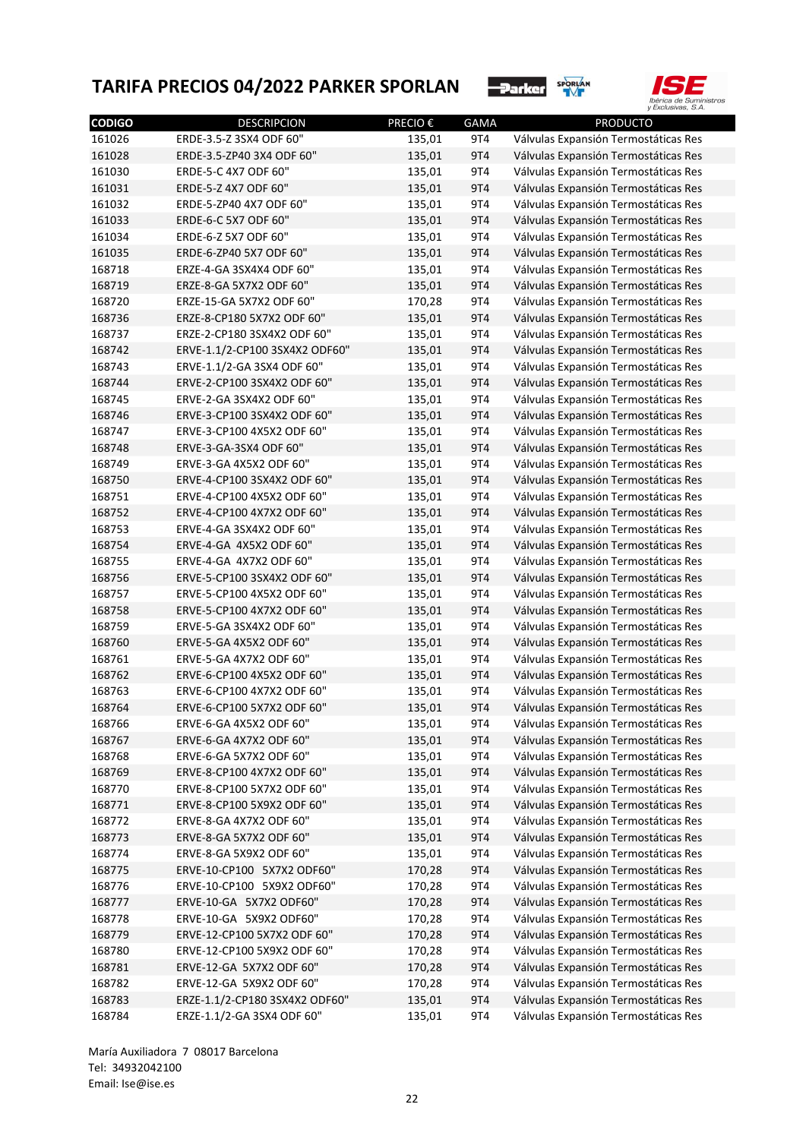



| <b>CODIGO</b>    | <b>DESCRIPCION</b>             | <b>PRECIO€</b> | <b>GAMA</b> | <b>PRODUCTO</b>                      |
|------------------|--------------------------------|----------------|-------------|--------------------------------------|
| 161026           | ERDE-3.5-Z 3SX4 ODF 60"        | 135,01         | 9T4         | Válvulas Expansión Termostáticas Res |
| 161028           | ERDE-3.5-ZP40 3X4 ODF 60"      | 135,01         | 9T4         | Válvulas Expansión Termostáticas Res |
| 161030           | ERDE-5-C 4X7 ODF 60"           | 135,01         | 9T4         | Válvulas Expansión Termostáticas Res |
| 161031           | ERDE-5-Z 4X7 ODF 60"           | 135,01         | 9T4         | Válvulas Expansión Termostáticas Res |
| 161032           | ERDE-5-ZP40 4X7 ODF 60"        | 135,01         | 9T4         | Válvulas Expansión Termostáticas Res |
| 161033           | ERDE-6-C 5X7 ODF 60"           | 135,01         | 9T4         | Válvulas Expansión Termostáticas Res |
| 161034           | ERDE-6-Z 5X7 ODF 60"           | 135,01         | 9T4         | Válvulas Expansión Termostáticas Res |
| 161035           | ERDE-6-ZP40 5X7 ODF 60"        | 135,01         | 9T4         | Válvulas Expansión Termostáticas Res |
| 168718           | ERZE-4-GA 3SX4X4 ODF 60"       | 135,01         | 9T4         | Válvulas Expansión Termostáticas Res |
| 168719           | ERZE-8-GA 5X7X2 ODF 60"        | 135,01         | 9T4         | Válvulas Expansión Termostáticas Res |
| 168720           | ERZE-15-GA 5X7X2 ODF 60"       | 170,28         | 9T4         | Válvulas Expansión Termostáticas Res |
| 168736           | ERZE-8-CP180 5X7X2 ODF 60"     | 135,01         | 9T4         | Válvulas Expansión Termostáticas Res |
| 168737           | ERZE-2-CP180 3SX4X2 ODF 60"    | 135,01         | 9T4         | Válvulas Expansión Termostáticas Res |
| 168742           | ERVE-1.1/2-CP100 3SX4X2 ODF60" | 135,01         | 9T4         | Válvulas Expansión Termostáticas Res |
| 168743           | ERVE-1.1/2-GA 3SX4 ODF 60"     | 135,01         | 9T4         | Válvulas Expansión Termostáticas Res |
| 168744           | ERVE-2-CP100 3SX4X2 ODF 60"    | 135,01         | 9T4         | Válvulas Expansión Termostáticas Res |
| 168745           | ERVE-2-GA 3SX4X2 ODF 60"       | 135,01         | 9T4         | Válvulas Expansión Termostáticas Res |
| 168746           | ERVE-3-CP100 3SX4X2 ODF 60"    | 135,01         | 9T4         | Válvulas Expansión Termostáticas Res |
| 168747           | ERVE-3-CP100 4X5X2 ODF 60"     | 135,01         | 9T4         | Válvulas Expansión Termostáticas Res |
| 168748           | ERVE-3-GA-3SX4 ODF 60"         | 135,01         | 9T4         | Válvulas Expansión Termostáticas Res |
| 168749           | ERVE-3-GA 4X5X2 ODF 60"        | 135,01         | 9T4         | Válvulas Expansión Termostáticas Res |
| 168750           | ERVE-4-CP100 3SX4X2 ODF 60"    | 135,01         | 9T4         | Válvulas Expansión Termostáticas Res |
| 168751           | ERVE-4-CP100 4X5X2 ODF 60"     | 135,01         | 9T4         | Válvulas Expansión Termostáticas Res |
| 168752           | ERVE-4-CP100 4X7X2 ODF 60"     | 135,01         | 9T4         | Válvulas Expansión Termostáticas Res |
| 168753           | ERVE-4-GA 3SX4X2 ODF 60"       | 135,01         | 9T4         | Válvulas Expansión Termostáticas Res |
| 168754           | ERVE-4-GA 4X5X2 ODF 60"        | 135,01         | 9T4         | Válvulas Expansión Termostáticas Res |
| 168755           | ERVE-4-GA 4X7X2 ODF 60"        | 135,01         | 9T4         | Válvulas Expansión Termostáticas Res |
| 168756           | ERVE-5-CP100 3SX4X2 ODF 60"    | 135,01         | 9T4         | Válvulas Expansión Termostáticas Res |
| 168757           | ERVE-5-CP100 4X5X2 ODF 60"     | 135,01         | 9T4         | Válvulas Expansión Termostáticas Res |
| 168758           | ERVE-5-CP100 4X7X2 ODF 60"     | 135,01         | 9T4         | Válvulas Expansión Termostáticas Res |
| 168759           | ERVE-5-GA 3SX4X2 ODF 60"       | 135,01         | 9T4         | Válvulas Expansión Termostáticas Res |
| 168760           | ERVE-5-GA 4X5X2 ODF 60"        | 135,01         | 9T4         | Válvulas Expansión Termostáticas Res |
| 168761           | ERVE-5-GA 4X7X2 ODF 60"        | 135,01         | 9T4         | Válvulas Expansión Termostáticas Res |
| 168762           | ERVE-6-CP100 4X5X2 ODF 60"     | 135,01         | 9T4         | Válvulas Expansión Termostáticas Res |
| 168763           | ERVE-6-CP100 4X7X2 ODF 60"     | 135,01         | 9T4         | Válvulas Expansión Termostáticas Res |
| 168764           | ERVE-6-CP100 5X7X2 ODF 60"     | 135,01         | 9T4         | Válvulas Expansión Termostáticas Res |
| 168766           | ERVE-6-GA 4X5X2 ODF 60"        | 135,01         | 9T4         | Válvulas Expansión Termostáticas Res |
| 168767           | ERVE-6-GA 4X7X2 ODF 60"        | 135,01         | 9T4         | Válvulas Expansión Termostáticas Res |
| 168768           | ERVE-6-GA 5X7X2 ODF 60"        | 135,01         | 9T4         | Válvulas Expansión Termostáticas Res |
| 168769           | ERVE-8-CP100 4X7X2 ODF 60"     | 135,01         | 9T4         | Válvulas Expansión Termostáticas Res |
| 168770           | ERVE-8-CP100 5X7X2 ODF 60"     | 135,01         | 9T4         | Válvulas Expansión Termostáticas Res |
|                  | ERVE-8-CP100 5X9X2 ODF 60"     | 135,01         | 9T4         | Válvulas Expansión Termostáticas Res |
| 168771<br>168772 | ERVE-8-GA 4X7X2 ODF 60"        | 135,01         | 9T4         | Válvulas Expansión Termostáticas Res |
|                  | ERVE-8-GA 5X7X2 ODF 60"        | 135,01         | 9T4         |                                      |
| 168773           | ERVE-8-GA 5X9X2 ODF 60"        |                |             | Válvulas Expansión Termostáticas Res |
| 168774           | ERVE-10-CP100 5X7X2 ODF60"     | 135,01         | 9T4         | Válvulas Expansión Termostáticas Res |
| 168775           |                                | 170,28         | 9T4         | Válvulas Expansión Termostáticas Res |
| 168776           | ERVE-10-CP100 5X9X2 ODF60"     | 170,28         | 9T4         | Válvulas Expansión Termostáticas Res |
| 168777           | ERVE-10-GA 5X7X2 ODF60"        | 170,28         | 9T4         | Válvulas Expansión Termostáticas Res |
| 168778           | ERVE-10-GA 5X9X2 ODF60"        | 170,28         | 9T4         | Válvulas Expansión Termostáticas Res |
| 168779           | ERVE-12-CP100 5X7X2 ODF 60"    | 170,28         | 9T4         | Válvulas Expansión Termostáticas Res |
| 168780           | ERVE-12-CP100 5X9X2 ODF 60"    | 170,28         | 9T4         | Válvulas Expansión Termostáticas Res |
| 168781           | ERVE-12-GA 5X7X2 ODF 60"       | 170,28         | 9T4         | Válvulas Expansión Termostáticas Res |
| 168782           | ERVE-12-GA 5X9X2 ODF 60"       | 170,28         | 9T4         | Válvulas Expansión Termostáticas Res |
| 168783           | ERZE-1.1/2-CP180 3SX4X2 ODF60" | 135,01         | 9T4         | Válvulas Expansión Termostáticas Res |
| 168784           | ERZE-1.1/2-GA 3SX4 ODF 60"     | 135,01         | 9T4         | Válvulas Expansión Termostáticas Res |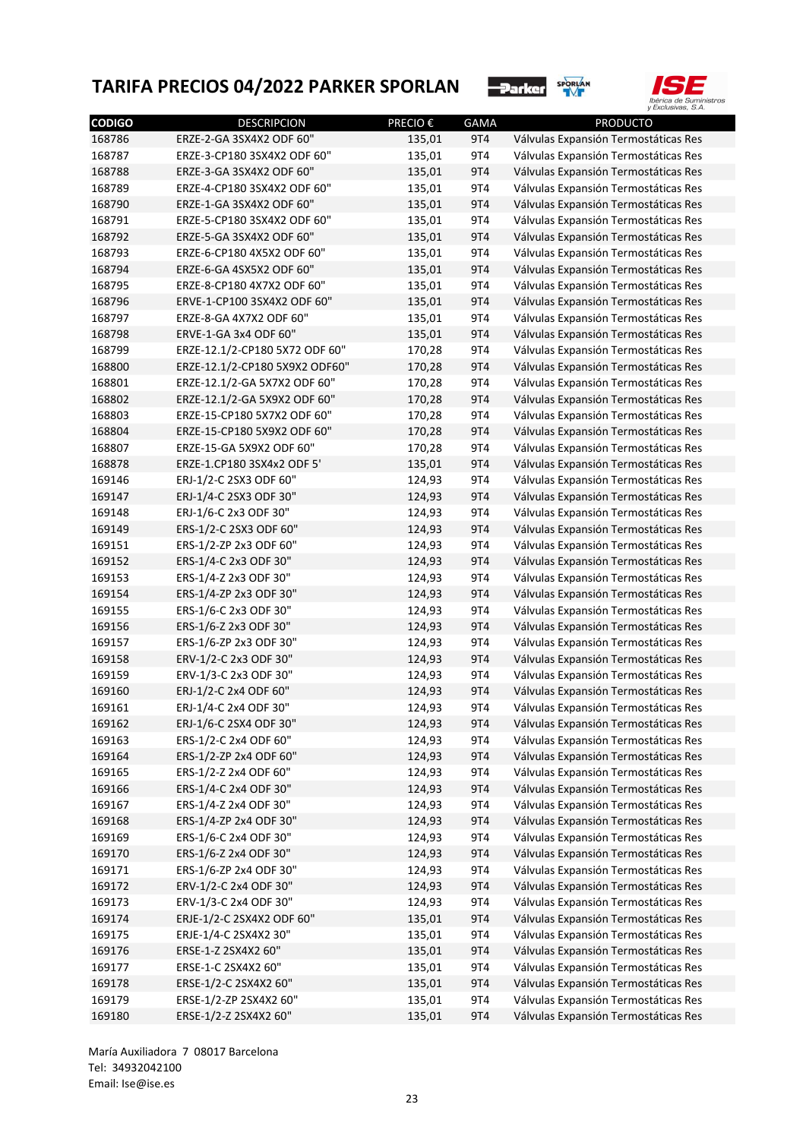



| <b>CODIGO</b> | <b>DESCRIPCION</b>             | <b>PRECIO€</b> | GAMA       | <b>PRODUCTO</b>                      |
|---------------|--------------------------------|----------------|------------|--------------------------------------|
| 168786        | ERZE-2-GA 3SX4X2 ODF 60"       | 135,01         | 9T4        | Válvulas Expansión Termostáticas Res |
| 168787        | ERZE-3-CP180 3SX4X2 ODF 60"    | 135,01         | 9T4        | Válvulas Expansión Termostáticas Res |
| 168788        | ERZE-3-GA 3SX4X2 ODF 60"       | 135,01         | 9T4        | Válvulas Expansión Termostáticas Res |
| 168789        | ERZE-4-CP180 3SX4X2 ODF 60"    | 135,01         | 9T4        | Válvulas Expansión Termostáticas Res |
| 168790        | ERZE-1-GA 3SX4X2 ODF 60"       | 135,01         | 9T4        | Válvulas Expansión Termostáticas Res |
| 168791        | ERZE-5-CP180 3SX4X2 ODF 60"    | 135,01         | 9T4        | Válvulas Expansión Termostáticas Res |
| 168792        | ERZE-5-GA 3SX4X2 ODF 60"       | 135,01         | 9T4        | Válvulas Expansión Termostáticas Res |
| 168793        | ERZE-6-CP180 4X5X2 ODF 60"     | 135,01         | 9T4        | Válvulas Expansión Termostáticas Res |
| 168794        | ERZE-6-GA 4SX5X2 ODF 60"       | 135,01         | 9T4        | Válvulas Expansión Termostáticas Res |
| 168795        | ERZE-8-CP180 4X7X2 ODF 60"     | 135,01         | 9T4        | Válvulas Expansión Termostáticas Res |
| 168796        | ERVE-1-CP100 3SX4X2 ODF 60"    | 135,01         | 9T4        | Válvulas Expansión Termostáticas Res |
| 168797        | ERZE-8-GA 4X7X2 ODF 60"        | 135,01         | 9T4        | Válvulas Expansión Termostáticas Res |
| 168798        | ERVE-1-GA 3x4 ODF 60"          | 135,01         | 9T4        | Válvulas Expansión Termostáticas Res |
| 168799        | ERZE-12.1/2-CP180 5X72 ODF 60" | 170,28         | 9T4        | Válvulas Expansión Termostáticas Res |
| 168800        | ERZE-12.1/2-CP180 5X9X2 ODF60" | 170,28         | 9T4        | Válvulas Expansión Termostáticas Res |
| 168801        | ERZE-12.1/2-GA 5X7X2 ODF 60"   | 170,28         | 9T4        | Válvulas Expansión Termostáticas Res |
| 168802        | ERZE-12.1/2-GA 5X9X2 ODF 60"   | 170,28         | 9T4        | Válvulas Expansión Termostáticas Res |
| 168803        | ERZE-15-CP180 5X7X2 ODF 60"    | 170,28         | 9T4        | Válvulas Expansión Termostáticas Res |
| 168804        | ERZE-15-CP180 5X9X2 ODF 60"    | 170,28         | 9T4        | Válvulas Expansión Termostáticas Res |
| 168807        | ERZE-15-GA 5X9X2 ODF 60"       | 170,28         | 9T4        | Válvulas Expansión Termostáticas Res |
| 168878        | ERZE-1.CP180 3SX4x2 ODF 5'     | 135,01         | 9T4        | Válvulas Expansión Termostáticas Res |
| 169146        | ERJ-1/2-C 2SX3 ODF 60"         | 124,93         | 9T4        | Válvulas Expansión Termostáticas Res |
| 169147        | ERJ-1/4-C 2SX3 ODF 30"         | 124,93         | 9T4        | Válvulas Expansión Termostáticas Res |
| 169148        | ERJ-1/6-C 2x3 ODF 30"          | 124,93         | 9T4        | Válvulas Expansión Termostáticas Res |
| 169149        | ERS-1/2-C 2SX3 ODF 60"         | 124,93         | 9T4        | Válvulas Expansión Termostáticas Res |
| 169151        | ERS-1/2-ZP 2x3 ODF 60"         | 124,93         | 9T4        | Válvulas Expansión Termostáticas Res |
| 169152        | ERS-1/4-C 2x3 ODF 30"          | 124,93         | 9T4        | Válvulas Expansión Termostáticas Res |
| 169153        | ERS-1/4-Z 2x3 ODF 30"          | 124,93         | 9T4        | Válvulas Expansión Termostáticas Res |
| 169154        | ERS-1/4-ZP 2x3 ODF 30"         | 124,93         | 9T4        | Válvulas Expansión Termostáticas Res |
| 169155        | ERS-1/6-C 2x3 ODF 30"          | 124,93         | 9T4        | Válvulas Expansión Termostáticas Res |
| 169156        | ERS-1/6-Z 2x3 ODF 30"          | 124,93         | 9T4        | Válvulas Expansión Termostáticas Res |
| 169157        | ERS-1/6-ZP 2x3 ODF 30"         | 124,93         | 9T4        | Válvulas Expansión Termostáticas Res |
| 169158        | ERV-1/2-C 2x3 ODF 30"          | 124,93         | 9T4        | Válvulas Expansión Termostáticas Res |
| 169159        | ERV-1/3-C 2x3 ODF 30"          | 124,93         | 9T4        | Válvulas Expansión Termostáticas Res |
| 169160        | ERJ-1/2-C 2x4 ODF 60"          | 124,93         | 9T4        | Válvulas Expansión Termostáticas Res |
| 169161        | ERJ-1/4-C 2x4 ODF 30"          | 124,93         | 9T4        | Válvulas Expansión Termostáticas Res |
| 169162        | ERJ-1/6-C 2SX4 ODF 30"         | 124,93         | <b>9T4</b> | Válvulas Expansión Termostáticas Res |
| 169163        | ERS-1/2-C 2x4 ODF 60"          | 124,93         | 9T4        | Válvulas Expansión Termostáticas Res |
| 169164        | ERS-1/2-ZP 2x4 ODF 60"         | 124,93         | 9T4        | Válvulas Expansión Termostáticas Res |
| 169165        | ERS-1/2-Z 2x4 ODF 60"          | 124,93         | 9T4        | Válvulas Expansión Termostáticas Res |
| 169166        | ERS-1/4-C 2x4 ODF 30"          | 124,93         | 9T4        | Válvulas Expansión Termostáticas Res |
| 169167        | ERS-1/4-Z 2x4 ODF 30"          | 124,93         | 9T4        | Válvulas Expansión Termostáticas Res |
| 169168        | ERS-1/4-ZP 2x4 ODF 30"         | 124,93         | 9T4        | Válvulas Expansión Termostáticas Res |
| 169169        | ERS-1/6-C 2x4 ODF 30"          | 124,93         | 9T4        | Válvulas Expansión Termostáticas Res |
| 169170        | ERS-1/6-Z 2x4 ODF 30"          | 124,93         | 9T4        | Válvulas Expansión Termostáticas Res |
| 169171        | ERS-1/6-ZP 2x4 ODF 30"         | 124,93         | 9T4        | Válvulas Expansión Termostáticas Res |
| 169172        | ERV-1/2-C 2x4 ODF 30"          | 124,93         | 9T4        | Válvulas Expansión Termostáticas Res |
| 169173        | ERV-1/3-C 2x4 ODF 30"          | 124,93         | 9T4        | Válvulas Expansión Termostáticas Res |
| 169174        | ERJE-1/2-C 2SX4X2 ODF 60"      | 135,01         | 9T4        | Válvulas Expansión Termostáticas Res |
| 169175        | ERJE-1/4-C 2SX4X2 30"          | 135,01         | 9T4        | Válvulas Expansión Termostáticas Res |
| 169176        | ERSE-1-Z 2SX4X2 60"            | 135,01         | 9T4        | Válvulas Expansión Termostáticas Res |
| 169177        | ERSE-1-C 2SX4X2 60"            | 135,01         | 9T4        | Válvulas Expansión Termostáticas Res |
| 169178        | ERSE-1/2-C 2SX4X2 60"          | 135,01         | 9T4        | Válvulas Expansión Termostáticas Res |
| 169179        | ERSE-1/2-ZP 2SX4X2 60"         | 135,01         | 9T4        | Válvulas Expansión Termostáticas Res |
| 169180        | ERSE-1/2-Z 2SX4X2 60"          | 135,01         | 9T4        | Válvulas Expansión Termostáticas Res |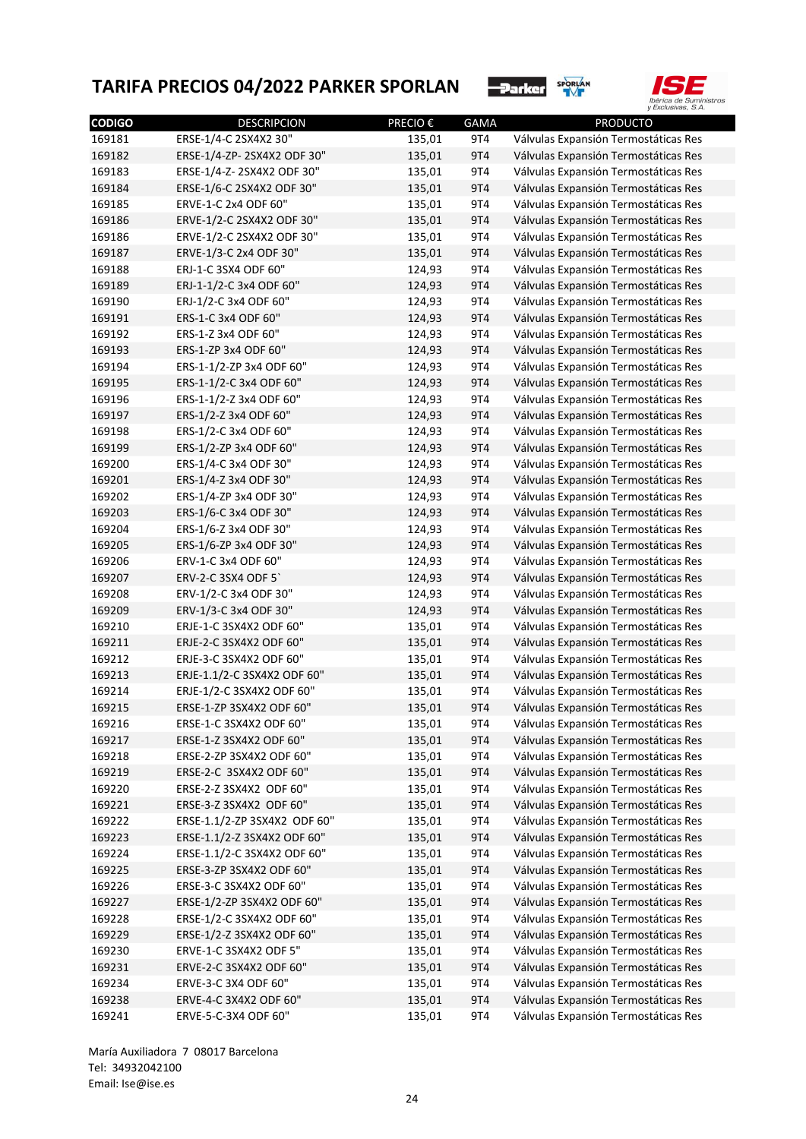



| <b>CODIGO</b> | <b>DESCRIPCION</b>           | PRECIO € | <b>GAMA</b> | <b>PRODUCTO</b>                      |
|---------------|------------------------------|----------|-------------|--------------------------------------|
| 169181        | ERSE-1/4-C 2SX4X2 30"        | 135,01   | 9T4         | Válvulas Expansión Termostáticas Res |
| 169182        | ERSE-1/4-ZP-2SX4X2 ODF 30"   | 135,01   | 9T4         | Válvulas Expansión Termostáticas Res |
| 169183        | ERSE-1/4-Z-2SX4X2 ODF 30"    | 135,01   | 9T4         | Válvulas Expansión Termostáticas Res |
| 169184        | ERSE-1/6-C 2SX4X2 ODF 30"    | 135,01   | 9T4         | Válvulas Expansión Termostáticas Res |
| 169185        | ERVE-1-C 2x4 ODF 60"         | 135,01   | 9T4         | Válvulas Expansión Termostáticas Res |
| 169186        | ERVE-1/2-C 2SX4X2 ODF 30"    | 135,01   | 9T4         | Válvulas Expansión Termostáticas Res |
| 169186        | ERVE-1/2-C 2SX4X2 ODF 30"    | 135,01   | 9T4         | Válvulas Expansión Termostáticas Res |
| 169187        | ERVE-1/3-C 2x4 ODF 30"       | 135,01   | 9T4         | Válvulas Expansión Termostáticas Res |
| 169188        | ERJ-1-C 3SX4 ODF 60"         | 124,93   | 9T4         | Válvulas Expansión Termostáticas Res |
| 169189        | ERJ-1-1/2-C 3x4 ODF 60"      | 124,93   | 9T4         | Válvulas Expansión Termostáticas Res |
| 169190        | ERJ-1/2-C 3x4 ODF 60"        | 124,93   | 9T4         | Válvulas Expansión Termostáticas Res |
| 169191        | ERS-1-C 3x4 ODF 60"          | 124,93   | 9T4         | Válvulas Expansión Termostáticas Res |
| 169192        | ERS-1-Z 3x4 ODF 60"          | 124,93   | 9T4         | Válvulas Expansión Termostáticas Res |
| 169193        | ERS-1-ZP 3x4 ODF 60"         | 124,93   | 9T4         | Válvulas Expansión Termostáticas Res |
| 169194        | ERS-1-1/2-ZP 3x4 ODF 60"     | 124,93   | 9T4         | Válvulas Expansión Termostáticas Res |
| 169195        | ERS-1-1/2-C 3x4 ODF 60"      | 124,93   | 9T4         | Válvulas Expansión Termostáticas Res |
| 169196        | ERS-1-1/2-Z 3x4 ODF 60"      | 124,93   | 9T4         | Válvulas Expansión Termostáticas Res |
| 169197        | ERS-1/2-Z 3x4 ODF 60"        | 124,93   | 9T4         | Válvulas Expansión Termostáticas Res |
| 169198        | ERS-1/2-C 3x4 ODF 60"        | 124,93   | 9T4         | Válvulas Expansión Termostáticas Res |
| 169199        | ERS-1/2-ZP 3x4 ODF 60"       | 124,93   | 9T4         | Válvulas Expansión Termostáticas Res |
| 169200        | ERS-1/4-C 3x4 ODF 30"        | 124,93   | 9T4         | Válvulas Expansión Termostáticas Res |
| 169201        | ERS-1/4-Z 3x4 ODF 30"        | 124,93   | 9T4         | Válvulas Expansión Termostáticas Res |
| 169202        | ERS-1/4-ZP 3x4 ODF 30"       | 124,93   | 9T4         | Válvulas Expansión Termostáticas Res |
| 169203        | ERS-1/6-C 3x4 ODF 30"        | 124,93   | 9T4         | Válvulas Expansión Termostáticas Res |
| 169204        | ERS-1/6-Z 3x4 ODF 30"        | 124,93   | 9T4         | Válvulas Expansión Termostáticas Res |
| 169205        | ERS-1/6-ZP 3x4 ODF 30"       | 124,93   | 9T4         | Válvulas Expansión Termostáticas Res |
| 169206        | ERV-1-C 3x4 ODF 60"          | 124,93   | 9T4         | Válvulas Expansión Termostáticas Res |
| 169207        | ERV-2-C 3SX4 ODF 5           | 124,93   | 9T4         | Válvulas Expansión Termostáticas Res |
| 169208        | ERV-1/2-C 3x4 ODF 30"        | 124,93   | 9T4         | Válvulas Expansión Termostáticas Res |
| 169209        | ERV-1/3-C 3x4 ODF 30"        | 124,93   | 9T4         | Válvulas Expansión Termostáticas Res |
| 169210        | ERJE-1-C 3SX4X2 ODF 60"      | 135,01   | 9T4         | Válvulas Expansión Termostáticas Res |
| 169211        | ERJE-2-C 3SX4X2 ODF 60"      | 135,01   | 9T4         | Válvulas Expansión Termostáticas Res |
| 169212        | ERJE-3-C 3SX4X2 ODF 60"      | 135,01   | 9T4         | Válvulas Expansión Termostáticas Res |
| 169213        | ERJE-1.1/2-C 3SX4X2 ODF 60"  | 135,01   | 9T4         | Válvulas Expansión Termostáticas Res |
| 169214        | ERJE-1/2-C 3SX4X2 ODF 60"    | 135,01   | 9T4         | Válvulas Expansión Termostáticas Res |
| 169215        | ERSE-1-ZP 3SX4X2 ODF 60"     | 135,01   | 9T4         | Válvulas Expansión Termostáticas Res |
| 169216        | ERSE-1-C 3SX4X2 ODF 60"      | 135,01   |             | Válvulas Expansión Termostáticas Res |
| 169217        | ERSE-1-Z 3SX4X2 ODF 60"      | 135,01   | 914<br>9T4  | Válvulas Expansión Termostáticas Res |
| 169218        | ERSE-2-ZP 3SX4X2 ODF 60"     | 135,01   | 9T4         | Válvulas Expansión Termostáticas Res |
| 169219        | ERSE-2-C 3SX4X2 ODF 60"      | 135,01   | 9T4         | Válvulas Expansión Termostáticas Res |
| 169220        | ERSE-2-Z 3SX4X2 ODF 60"      | 135,01   | 9T4         | Válvulas Expansión Termostáticas Res |
| 169221        | ERSE-3-Z 3SX4X2 ODF 60"      | 135,01   | 9T4         | Válvulas Expansión Termostáticas Res |
|               |                              |          |             | Válvulas Expansión Termostáticas Res |
| 169222        | ERSE-1.1/2-ZP 3SX4X2 ODF 60" | 135,01   | 9T4         |                                      |
| 169223        | ERSE-1.1/2-Z 3SX4X2 ODF 60"  | 135,01   | 9T4         | Válvulas Expansión Termostáticas Res |
| 169224        | ERSE-1.1/2-C 3SX4X2 ODF 60"  | 135,01   | 9T4         | Válvulas Expansión Termostáticas Res |
| 169225        | ERSE-3-ZP 3SX4X2 ODF 60"     | 135,01   | 9T4         | Válvulas Expansión Termostáticas Res |
| 169226        | ERSE-3-C 3SX4X2 ODF 60"      | 135,01   | 9T4         | Válvulas Expansión Termostáticas Res |
| 169227        | ERSE-1/2-ZP 3SX4X2 ODF 60"   | 135,01   | 9T4         | Válvulas Expansión Termostáticas Res |
| 169228        | ERSE-1/2-C 3SX4X2 ODF 60"    | 135,01   | 9T4         | Válvulas Expansión Termostáticas Res |
| 169229        | ERSE-1/2-Z 3SX4X2 ODF 60"    | 135,01   | 9T4         | Válvulas Expansión Termostáticas Res |
| 169230        | ERVE-1-C 3SX4X2 ODF 5"       | 135,01   | 9T4         | Válvulas Expansión Termostáticas Res |
| 169231        | ERVE-2-C 3SX4X2 ODF 60"      | 135,01   | 9T4         | Válvulas Expansión Termostáticas Res |
| 169234        | ERVE-3-C 3X4 ODF 60"         | 135,01   | 9T4         | Válvulas Expansión Termostáticas Res |
| 169238        | ERVE-4-C 3X4X2 ODF 60"       | 135,01   | 9T4         | Válvulas Expansión Termostáticas Res |
| 169241        | ERVE-5-C-3X4 ODF 60"         | 135,01   | 9T4         | Válvulas Expansión Termostáticas Res |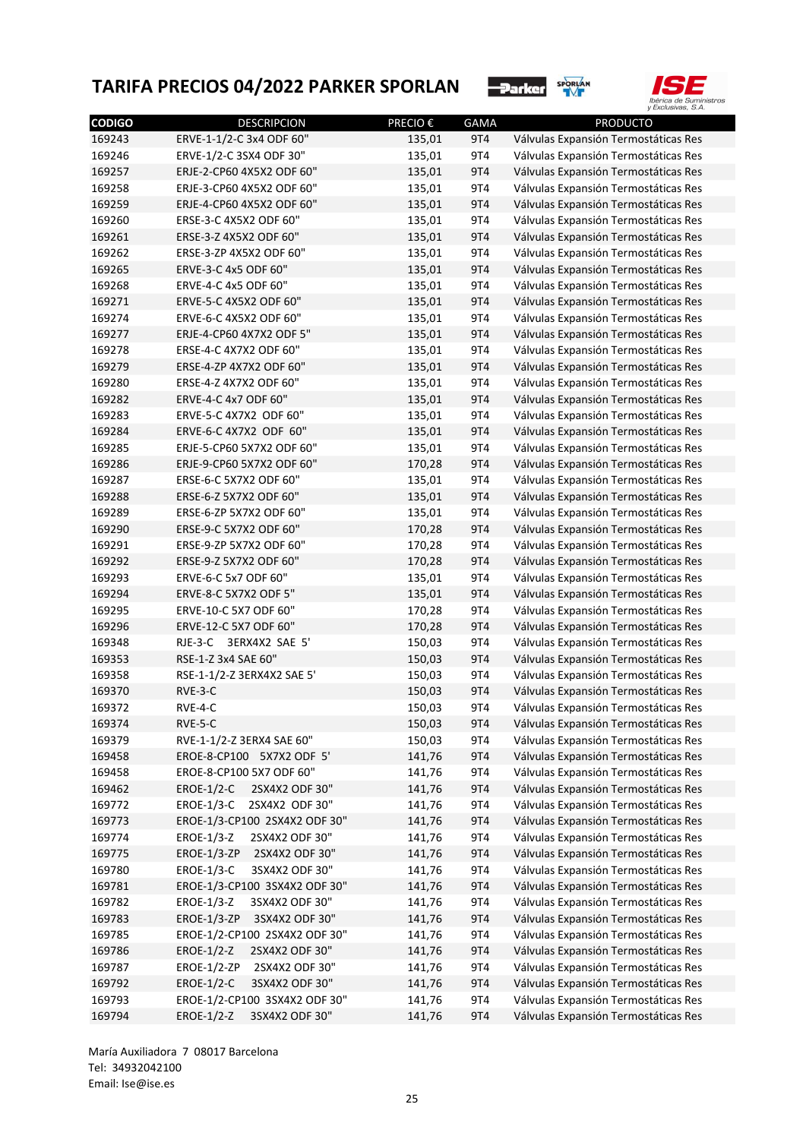



| <b>CODIGO</b> | <b>DESCRIPCION</b>                   | PRECIO € | <b>GAMA</b> | PRODUCTO                             |
|---------------|--------------------------------------|----------|-------------|--------------------------------------|
| 169243        | ERVE-1-1/2-C 3x4 ODF 60"             | 135,01   | 9T4         | Válvulas Expansión Termostáticas Res |
| 169246        | ERVE-1/2-C 3SX4 ODF 30"              | 135,01   | 9T4         | Válvulas Expansión Termostáticas Res |
| 169257        | ERJE-2-CP60 4X5X2 ODF 60"            | 135,01   | 9T4         | Válvulas Expansión Termostáticas Res |
| 169258        | ERJE-3-CP60 4X5X2 ODF 60"            | 135,01   | 9T4         | Válvulas Expansión Termostáticas Res |
| 169259        | ERJE-4-CP60 4X5X2 ODF 60"            | 135,01   | 9T4         | Válvulas Expansión Termostáticas Res |
| 169260        | ERSE-3-C 4X5X2 ODF 60"               | 135,01   | 9T4         | Válvulas Expansión Termostáticas Res |
| 169261        | ERSE-3-Z 4X5X2 ODF 60"               | 135,01   | 9T4         | Válvulas Expansión Termostáticas Res |
| 169262        | ERSE-3-ZP 4X5X2 ODF 60"              | 135,01   | 9T4         | Válvulas Expansión Termostáticas Res |
| 169265        | ERVE-3-C 4x5 ODF 60"                 | 135,01   | 9T4         | Válvulas Expansión Termostáticas Res |
| 169268        | ERVE-4-C 4x5 ODF 60"                 | 135,01   | 9T4         | Válvulas Expansión Termostáticas Res |
| 169271        | ERVE-5-C 4X5X2 ODF 60"               | 135,01   | 9T4         | Válvulas Expansión Termostáticas Res |
| 169274        | ERVE-6-C 4X5X2 ODF 60"               | 135,01   | 9T4         | Válvulas Expansión Termostáticas Res |
| 169277        | ERJE-4-CP60 4X7X2 ODF 5"             | 135,01   | 9T4         | Válvulas Expansión Termostáticas Res |
| 169278        | ERSE-4-C 4X7X2 ODF 60"               | 135,01   | 9T4         | Válvulas Expansión Termostáticas Res |
| 169279        | ERSE-4-ZP 4X7X2 ODF 60"              | 135,01   | 9T4         | Válvulas Expansión Termostáticas Res |
| 169280        | ERSE-4-Z 4X7X2 ODF 60"               | 135,01   | 9T4         | Válvulas Expansión Termostáticas Res |
| 169282        | ERVE-4-C 4x7 ODF 60"                 | 135,01   | 9T4         | Válvulas Expansión Termostáticas Res |
| 169283        | ERVE-5-C 4X7X2 ODF 60"               | 135,01   | 9T4         | Válvulas Expansión Termostáticas Res |
| 169284        | ERVE-6-C 4X7X2 ODF 60"               | 135,01   | 9T4         | Válvulas Expansión Termostáticas Res |
| 169285        | ERJE-5-CP60 5X7X2 ODF 60"            | 135,01   | 9T4         | Válvulas Expansión Termostáticas Res |
| 169286        | ERJE-9-CP60 5X7X2 ODF 60"            | 170,28   | 9T4         | Válvulas Expansión Termostáticas Res |
| 169287        | ERSE-6-C 5X7X2 ODF 60"               | 135,01   | 9T4         | Válvulas Expansión Termostáticas Res |
| 169288        | ERSE-6-Z 5X7X2 ODF 60"               | 135,01   | 9T4         | Válvulas Expansión Termostáticas Res |
| 169289        | ERSE-6-ZP 5X7X2 ODF 60"              | 135,01   | 9T4         | Válvulas Expansión Termostáticas Res |
| 169290        | ERSE-9-C 5X7X2 ODF 60"               | 170,28   | 9T4         | Válvulas Expansión Termostáticas Res |
| 169291        | ERSE-9-ZP 5X7X2 ODF 60"              | 170,28   | 9T4         | Válvulas Expansión Termostáticas Res |
| 169292        | ERSE-9-Z 5X7X2 ODF 60"               | 170,28   | 9T4         | Válvulas Expansión Termostáticas Res |
| 169293        | ERVE-6-C 5x7 ODF 60"                 | 135,01   | 9T4         | Válvulas Expansión Termostáticas Res |
| 169294        | ERVE-8-C 5X7X2 ODF 5"                | 135,01   | 9T4         | Válvulas Expansión Termostáticas Res |
| 169295        | ERVE-10-C 5X7 ODF 60"                | 170,28   | 9T4         | Válvulas Expansión Termostáticas Res |
| 169296        | ERVE-12-C 5X7 ODF 60"                | 170,28   | 9T4         | Válvulas Expansión Termostáticas Res |
| 169348        | RJE-3-C 3ERX4X2 SAE 5'               | 150,03   | 9T4         | Válvulas Expansión Termostáticas Res |
| 169353        | RSE-1-Z 3x4 SAE 60"                  | 150,03   | 9T4         | Válvulas Expansión Termostáticas Res |
| 169358        | RSE-1-1/2-Z 3ERX4X2 SAE 5'           | 150,03   | 9T4         | Válvulas Expansión Termostáticas Res |
| 169370        | RVE-3-C                              | 150,03   | 9T4         | Válvulas Expansión Termostáticas Res |
| 169372        | RVE-4-C                              | 150,03   | 9T4         | Válvulas Expansión Termostáticas Res |
| 169374        | RVE-5-C                              | 150,03   | <b>9T4</b>  | Válvulas Expansión Termostáticas Res |
| 169379        | RVE-1-1/2-Z 3ERX4 SAE 60"            | 150,03   | 9T4         | Válvulas Expansión Termostáticas Res |
| 169458        | EROE-8-CP100 5X7X2 ODF 5'            | 141,76   | 9T4         | Válvulas Expansión Termostáticas Res |
| 169458        | EROE-8-CP100 5X7 ODF 60"             | 141,76   | 9T4         | Válvulas Expansión Termostáticas Res |
| 169462        | <b>EROE-1/2-C</b><br>2SX4X2 ODF 30"  | 141,76   | 9T4         | Válvulas Expansión Termostáticas Res |
| 169772        | EROE-1/3-C<br>2SX4X2 ODF 30"         | 141,76   | 9T4         | Válvulas Expansión Termostáticas Res |
|               | EROE-1/3-CP100 2SX4X2 ODF 30"        |          |             |                                      |
| 169773        |                                      | 141,76   | 9T4         | Válvulas Expansión Termostáticas Res |
| 169774        | EROE-1/3-Z<br>2SX4X2 ODF 30"         | 141,76   | 9T4         | Válvulas Expansión Termostáticas Res |
| 169775        | <b>EROE-1/3-ZP</b><br>2SX4X2 ODF 30" | 141,76   | 9T4         | Válvulas Expansión Termostáticas Res |
| 169780        | <b>EROE-1/3-C</b><br>3SX4X2 ODF 30"  | 141,76   | 9T4         | Válvulas Expansión Termostáticas Res |
| 169781        | EROE-1/3-CP100 3SX4X2 ODF 30"        | 141,76   | 9T4         | Válvulas Expansión Termostáticas Res |
| 169782        | EROE-1/3-Z<br>3SX4X2 ODF 30"         | 141,76   | 9T4         | Válvulas Expansión Termostáticas Res |
| 169783        | <b>EROE-1/3-ZP</b><br>3SX4X2 ODF 30" | 141,76   | 9T4         | Válvulas Expansión Termostáticas Res |
| 169785        | EROE-1/2-CP100 2SX4X2 ODF 30"        | 141,76   | 9T4         | Válvulas Expansión Termostáticas Res |
| 169786        | EROE-1/2-Z<br>2SX4X2 ODF 30"         | 141,76   | 9T4         | Válvulas Expansión Termostáticas Res |
| 169787        | <b>EROE-1/2-ZP</b><br>2SX4X2 ODF 30" | 141,76   | 9T4         | Válvulas Expansión Termostáticas Res |
| 169792        | <b>EROE-1/2-C</b><br>3SX4X2 ODF 30"  | 141,76   | 9T4         | Válvulas Expansión Termostáticas Res |
| 169793        | EROE-1/2-CP100 3SX4X2 ODF 30"        | 141,76   | 9T4         | Válvulas Expansión Termostáticas Res |
| 169794        | EROE-1/2-Z<br>3SX4X2 ODF 30"         | 141,76   | 9T4         | Válvulas Expansión Termostáticas Res |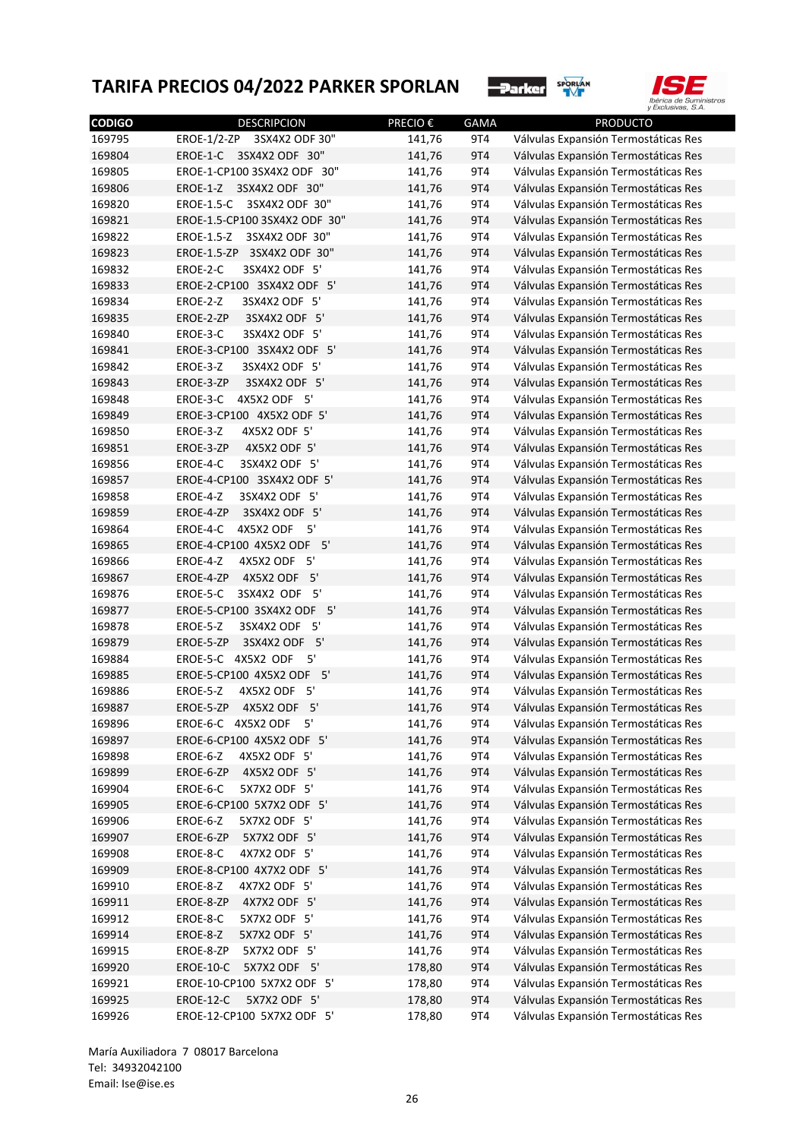



| <b>CODIGO</b> | <b>DESCRIPCION</b>                   | <b>PRECIO€</b> | <b>GAMA</b> | <b>PRODUCTO</b>                                                              |
|---------------|--------------------------------------|----------------|-------------|------------------------------------------------------------------------------|
| 169795        | <b>EROE-1/2-ZP</b><br>3SX4X2 ODF 30" | 141,76         | 9T4         | Válvulas Expansión Termostáticas Res                                         |
| 169804        | EROE-1-C<br>3SX4X2 ODF 30"           | 141,76         | 9T4         | Válvulas Expansión Termostáticas Res                                         |
| 169805        | EROE-1-CP100 3SX4X2 ODF 30"          | 141,76         | 9T4         | Válvulas Expansión Termostáticas Res                                         |
| 169806        | EROE-1-Z<br>3SX4X2 ODF 30"           | 141,76         | 9T4         | Válvulas Expansión Termostáticas Res                                         |
| 169820        | EROE-1.5-C<br>3SX4X2 ODF 30"         | 141,76         | 9T4         | Válvulas Expansión Termostáticas Res                                         |
| 169821        | EROE-1.5-CP100 3SX4X2 ODF 30"        | 141,76         | 9T4         | Válvulas Expansión Termostáticas Res                                         |
| 169822        | EROE-1.5-Z<br>3SX4X2 ODF 30"         | 141,76         | 9T4         | Válvulas Expansión Termostáticas Res                                         |
| 169823        | EROE-1.5-ZP<br>3SX4X2 ODF 30"        | 141,76         | 9T4         | Válvulas Expansión Termostáticas Res                                         |
| 169832        | EROE-2-C<br>3SX4X2 ODF 5'            | 141,76         | 9T4         | Válvulas Expansión Termostáticas Res                                         |
| 169833        | EROE-2-CP100 3SX4X2 ODF 5'           | 141,76         | 9T4         | Válvulas Expansión Termostáticas Res                                         |
| 169834        | EROE-2-Z<br>3SX4X2 ODF 5'            | 141,76         | 9T4         | Válvulas Expansión Termostáticas Res                                         |
| 169835        | 3SX4X2 ODF 5'<br>EROE-2-ZP           | 141,76         | 9T4         | Válvulas Expansión Termostáticas Res                                         |
| 169840        | 3SX4X2 ODF 5'<br>EROE-3-C            | 141,76         | 9T4         | Válvulas Expansión Termostáticas Res                                         |
| 169841        | EROE-3-CP100 3SX4X2 ODF 5'           | 141,76         | 9T4         | Válvulas Expansión Termostáticas Res                                         |
| 169842        | EROE-3-Z<br>3SX4X2 ODF 5'            | 141,76         | 9T4         | Válvulas Expansión Termostáticas Res                                         |
| 169843        | 3SX4X2 ODF 5'<br>EROE-3-ZP           | 141,76         | 9T4         | Válvulas Expansión Termostáticas Res                                         |
| 169848        | 4X5X2 ODF 5'<br>EROE-3-C             | 141,76         | 9T4         | Válvulas Expansión Termostáticas Res                                         |
| 169849        | EROE-3-CP100 4X5X2 ODF 5'            | 141,76         | 9T4         | Válvulas Expansión Termostáticas Res                                         |
| 169850        | EROE-3-Z<br>4X5X2 ODF 5'             | 141,76         | 9T4         | Válvulas Expansión Termostáticas Res                                         |
| 169851        | 4X5X2 ODF 5'<br>EROE-3-ZP            | 141,76         | 9T4         | Válvulas Expansión Termostáticas Res                                         |
| 169856        | 3SX4X2 ODF 5'<br>EROE-4-C            | 141,76         | 9T4         | Válvulas Expansión Termostáticas Res                                         |
| 169857        | EROE-4-CP100 3SX4X2 ODF 5'           | 141,76         | 9T4         | Válvulas Expansión Termostáticas Res                                         |
| 169858        | 3SX4X2 ODF 5'<br>EROE-4-Z            | 141,76         | 9T4         | Válvulas Expansión Termostáticas Res                                         |
| 169859        | 3SX4X2 ODF 5'<br>EROE-4-ZP           | 141,76         | 9T4         | Válvulas Expansión Termostáticas Res                                         |
| 169864        | EROE-4-C<br>4X5X2 ODF<br>5'          | 141,76         | 9T4         | Válvulas Expansión Termostáticas Res                                         |
| 169865        | EROE-4-CP100 4X5X2 ODF 5'            | 141,76         | 9T4         | Válvulas Expansión Termostáticas Res                                         |
| 169866        | 5'<br>EROE-4-Z<br>4X5X2 ODF          | 141,76         | 9T4         | Válvulas Expansión Termostáticas Res                                         |
| 169867        | 4X5X2 ODF 5'<br>EROE-4-ZP            | 141,76         | 9T4         | Válvulas Expansión Termostáticas Res                                         |
| 169876        | 3SX4X2 ODF<br>- 5'<br>EROE-5-C       | 141,76         | 9T4         | Válvulas Expansión Termostáticas Res                                         |
| 169877        | EROE-5-CP100 3SX4X2 ODF 5'           | 141,76         | 9T4         | Válvulas Expansión Termostáticas Res                                         |
| 169878        | EROE-5-Z<br>3SX4X2 ODF 5'            | 141,76         | 9T4         | Válvulas Expansión Termostáticas Res                                         |
| 169879        | 5'<br>EROE-5-ZP<br>3SX4X2 ODF        | 141,76         | 9T4         | Válvulas Expansión Termostáticas Res                                         |
| 169884        | EROE-5-C 4X5X2 ODF<br>5'             | 141,76         | 9T4         | Válvulas Expansión Termostáticas Res                                         |
| 169885        | 5'<br>EROE-5-CP100 4X5X2 ODF         | 141,76         | 9T4         | Válvulas Expansión Termostáticas Res                                         |
| 169886        | 5'<br>EROE-5-Z<br>4X5X2 ODF          | 141,76         | 9T4         | Válvulas Expansión Termostáticas Res                                         |
| 169887        | 4X5X2 ODF 5'<br>EROE-5-ZP            | 141,76         | 9T4         | Válvulas Expansión Termostáticas Res                                         |
| 169896        | EROE-6-C 4X5X2 ODF<br>5'             | 141,76         | 9T4         | Válvulas Expansión Termostáticas Res                                         |
|               | EROE-6-CP100 4X5X2 ODF 5'            | 141,76         |             |                                                                              |
| 169897        | 4X5X2 ODF 5'<br>EROE-6-Z             | 141,76         | 9T4<br>9T4  | Válvulas Expansión Termostáticas Res                                         |
| 169898        | 4X5X2 ODF 5'<br>EROE-6-ZP            |                | <b>9T4</b>  | Válvulas Expansión Termostáticas Res                                         |
| 169899        | 5X7X2 ODF 5'                         | 141,76         | 9T4         | Válvulas Expansión Termostáticas Res<br>Válvulas Expansión Termostáticas Res |
| 169904        | EROE-6-C                             | 141,76         |             |                                                                              |
| 169905        | EROE-6-CP100 5X7X2 ODF 5'            | 141,76         | 9T4         | Válvulas Expansión Termostáticas Res                                         |
| 169906        | 5X7X2 ODF 5'<br>EROE-6-Z             | 141,76         | 9T4         | Válvulas Expansión Termostáticas Res                                         |
| 169907        | 5X7X2 ODF 5'<br>EROE-6-ZP            | 141,76         | 9T4         | Válvulas Expansión Termostáticas Res                                         |
| 169908        | 4X7X2 ODF 5'<br>EROE-8-C             | 141,76         | 9T4         | Válvulas Expansión Termostáticas Res                                         |
| 169909        | EROE-8-CP100 4X7X2 ODF 5'            | 141,76         | 9T4         | Válvulas Expansión Termostáticas Res                                         |
| 169910        | 4X7X2 ODF 5'<br>EROE-8-Z             | 141,76         | 9T4         | Válvulas Expansión Termostáticas Res                                         |
| 169911        | 4X7X2 ODF 5'<br>EROE-8-ZP            | 141,76         | 9T4         | Válvulas Expansión Termostáticas Res                                         |
| 169912        | 5X7X2 ODF 5'<br>EROE-8-C             | 141,76         | 9T4         | Válvulas Expansión Termostáticas Res                                         |
| 169914        | 5X7X2 ODF 5'<br>EROE-8-Z             | 141,76         | 9T4         | Válvulas Expansión Termostáticas Res                                         |
| 169915        | 5X7X2 ODF 5'<br>EROE-8-ZP            | 141,76         | 9T4         | Válvulas Expansión Termostáticas Res                                         |
| 169920        | 5X7X2 ODF 5'<br>EROE-10-C            | 178,80         | 9T4         | Válvulas Expansión Termostáticas Res                                         |
| 169921        | EROE-10-CP100 5X7X2 ODF 5'           | 178,80         | 9T4         | Válvulas Expansión Termostáticas Res                                         |
| 169925        | EROE-12-C<br>5X7X2 ODF 5'            | 178,80         | 9T4         | Válvulas Expansión Termostáticas Res                                         |
| 169926        | EROE-12-CP100 5X7X2 ODF 5'           | 178,80         | 9T4         | Válvulas Expansión Termostáticas Res                                         |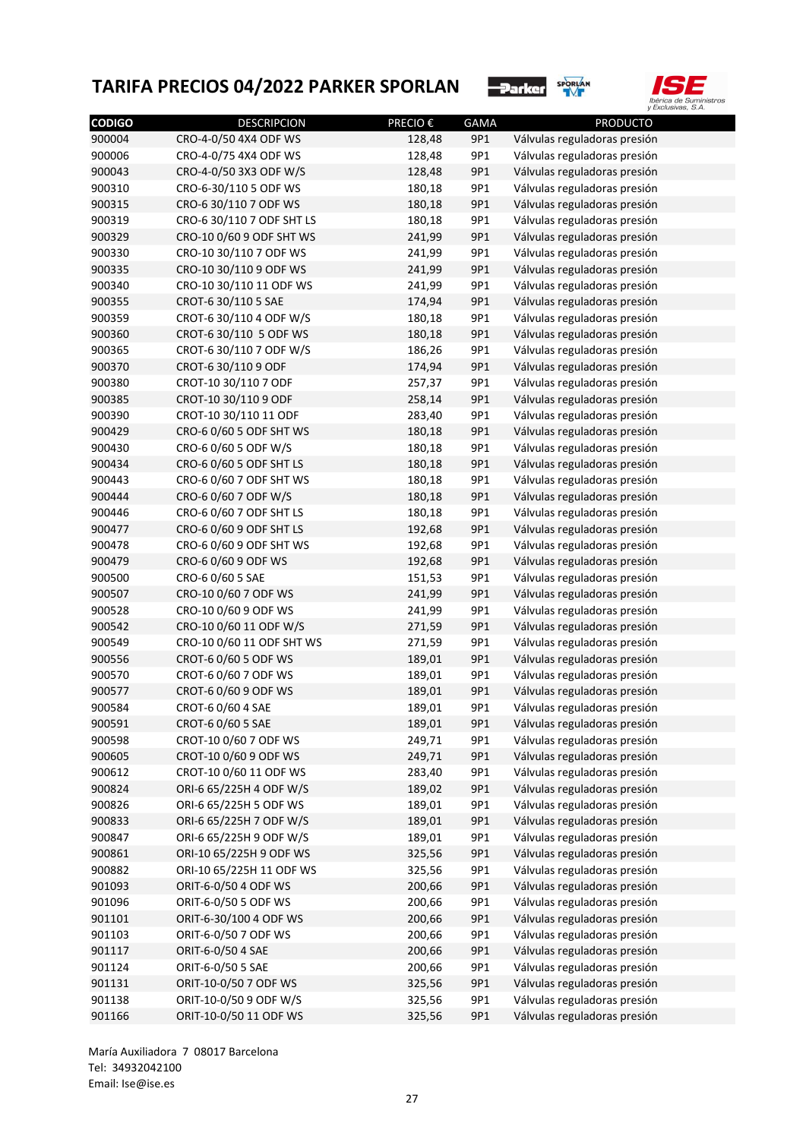



| <b>CODIGO</b> | <b>DESCRIPCION</b>        | PRECIO € | <b>GAMA</b> | <b>PRODUCTO</b>              |
|---------------|---------------------------|----------|-------------|------------------------------|
| 900004        | CRO-4-0/50 4X4 ODF WS     | 128,48   | 9P1         | Válvulas reguladoras presión |
| 900006        | CRO-4-0/75 4X4 ODF WS     | 128,48   | 9P1         | Válvulas reguladoras presión |
| 900043        | CRO-4-0/50 3X3 ODF W/S    | 128,48   | 9P1         | Válvulas reguladoras presión |
| 900310        | CRO-6-30/110 5 ODF WS     | 180,18   | 9P1         | Válvulas reguladoras presión |
| 900315        | CRO-6 30/110 7 ODF WS     | 180,18   | 9P1         | Válvulas reguladoras presión |
| 900319        | CRO-6 30/110 7 ODF SHT LS | 180,18   | 9P1         | Válvulas reguladoras presión |
| 900329        | CRO-10 0/60 9 ODF SHT WS  | 241,99   | 9P1         | Válvulas reguladoras presión |
| 900330        | CRO-10 30/110 7 ODF WS    | 241,99   | 9P1         | Válvulas reguladoras presión |
| 900335        | CRO-10 30/110 9 ODF WS    | 241,99   | 9P1         | Válvulas reguladoras presión |
| 900340        | CRO-10 30/110 11 ODF WS   | 241,99   | 9P1         | Válvulas reguladoras presión |
| 900355        | CROT-6 30/110 5 SAE       | 174,94   | 9P1         | Válvulas reguladoras presión |
| 900359        | CROT-6 30/110 4 ODF W/S   | 180,18   | 9P1         | Válvulas reguladoras presión |
| 900360        | CROT-6 30/110 5 ODF WS    | 180,18   | 9P1         | Válvulas reguladoras presión |
| 900365        | CROT-6 30/110 7 ODF W/S   | 186,26   | 9P1         | Válvulas reguladoras presión |
| 900370        | CROT-6 30/110 9 ODF       | 174,94   | 9P1         | Válvulas reguladoras presión |
| 900380        | CROT-10 30/110 7 ODF      | 257,37   | 9P1         | Válvulas reguladoras presión |
| 900385        | CROT-10 30/110 9 ODF      | 258,14   | 9P1         | Válvulas reguladoras presión |
| 900390        | CROT-10 30/110 11 ODF     | 283,40   | 9P1         | Válvulas reguladoras presión |
| 900429        | CRO-6 0/60 5 ODF SHT WS   | 180,18   | 9P1         | Válvulas reguladoras presión |
| 900430        | CRO-6 0/60 5 ODF W/S      | 180,18   | 9P1         | Válvulas reguladoras presión |
| 900434        | CRO-6 0/60 5 ODF SHT LS   | 180,18   | 9P1         | Válvulas reguladoras presión |
| 900443        | CRO-6 0/60 7 ODF SHT WS   | 180,18   | 9P1         | Válvulas reguladoras presión |
| 900444        | CRO-6 0/60 7 ODF W/S      | 180,18   | 9P1         | Válvulas reguladoras presión |
| 900446        | CRO-6 0/60 7 ODF SHT LS   | 180,18   | 9P1         | Válvulas reguladoras presión |
| 900477        | CRO-6 0/60 9 ODF SHT LS   | 192,68   | 9P1         | Válvulas reguladoras presión |
| 900478        | CRO-6 0/60 9 ODF SHT WS   | 192,68   | 9P1         | Válvulas reguladoras presión |
| 900479        | CRO-6 0/60 9 ODF WS       | 192,68   | 9P1         | Válvulas reguladoras presión |
| 900500        | CRO-6 0/60 5 SAE          | 151,53   | 9P1         | Válvulas reguladoras presión |
| 900507        | CRO-10 0/60 7 ODF WS      | 241,99   | 9P1         | Válvulas reguladoras presión |
| 900528        | CRO-10 0/60 9 ODF WS      | 241,99   | 9P1         | Válvulas reguladoras presión |
| 900542        | CRO-10 0/60 11 ODF W/S    | 271,59   | 9P1         | Válvulas reguladoras presión |
| 900549        | CRO-10 0/60 11 ODF SHT WS | 271,59   | 9P1         | Válvulas reguladoras presión |
| 900556        | CROT-6 0/60 5 ODF WS      | 189,01   | 9P1         | Válvulas reguladoras presión |
| 900570        | CROT-6 0/60 7 ODF WS      | 189,01   | 9P1         | Válvulas reguladoras presión |
| 900577        | CROT-6 0/60 9 ODF WS      | 189,01   | 9P1         | Válvulas reguladoras presión |
| 900584        | CROT-6 0/60 4 SAE         | 189,01   | 9P1         | Válvulas reguladoras presión |
| 900591        | CROT-6 0/60 5 SAE         | 189,01   | 9P1         | Válvulas reguladoras presión |
| 900598        | CROT-10 0/60 7 ODF WS     | 249,71   | 9P1         | Válvulas reguladoras presión |
| 900605        | CROT-10 0/60 9 ODF WS     | 249,71   | 9P1         | Válvulas reguladoras presión |
| 900612        | CROT-10 0/60 11 ODF WS    | 283,40   | 9P1         | Válvulas reguladoras presión |
| 900824        | ORI-6 65/225H 4 ODF W/S   | 189,02   | 9P1         | Válvulas reguladoras presión |
| 900826        | ORI-6 65/225H 5 ODF WS    | 189,01   | 9P1         | Válvulas reguladoras presión |
| 900833        | ORI-6 65/225H 7 ODF W/S   | 189,01   | 9P1         | Válvulas reguladoras presión |
| 900847        | ORI-6 65/225H 9 ODF W/S   | 189,01   | 9P1         | Válvulas reguladoras presión |
| 900861        | ORI-10 65/225H 9 ODF WS   | 325,56   | 9P1         | Válvulas reguladoras presión |
| 900882        | ORI-10 65/225H 11 ODF WS  | 325,56   | 9P1         | Válvulas reguladoras presión |
| 901093        | ORIT-6-0/50 4 ODF WS      | 200,66   | 9P1         | Válvulas reguladoras presión |
| 901096        | ORIT-6-0/50 5 ODF WS      | 200,66   | 9P1         | Válvulas reguladoras presión |
| 901101        | ORIT-6-30/100 4 ODF WS    | 200,66   | 9P1         | Válvulas reguladoras presión |
| 901103        | ORIT-6-0/50 7 ODF WS      | 200,66   | 9P1         | Válvulas reguladoras presión |
| 901117        | ORIT-6-0/50 4 SAE         | 200,66   | 9P1         | Válvulas reguladoras presión |
| 901124        | ORIT-6-0/50 5 SAE         | 200,66   | 9P1         | Válvulas reguladoras presión |
| 901131        | ORIT-10-0/50 7 ODF WS     | 325,56   | 9P1         | Válvulas reguladoras presión |
| 901138        | ORIT-10-0/50 9 ODF W/S    | 325,56   | 9P1         | Válvulas reguladoras presión |
|               |                           |          |             |                              |
| 901166        | ORIT-10-0/50 11 ODF WS    | 325,56   | 9P1         | Válvulas reguladoras presión |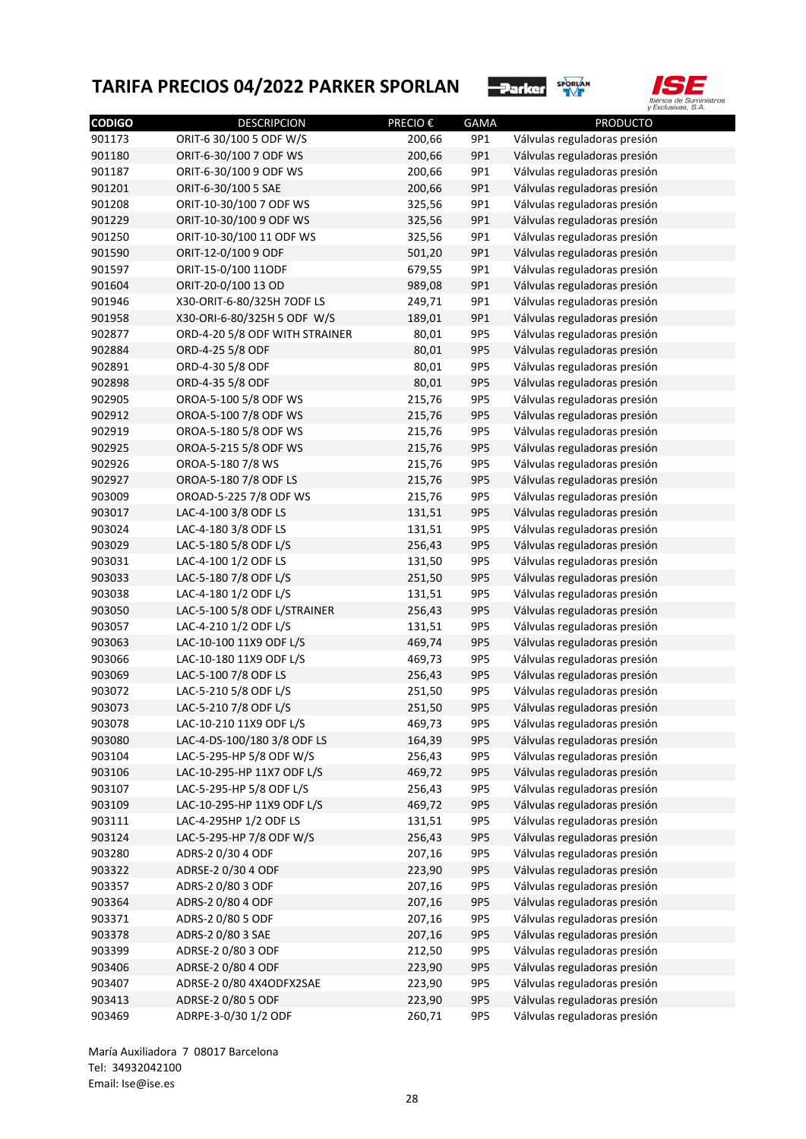



| <b>CODIGO</b> | <b>DESCRIPCION</b>             | PRECIO €         | GAMA | <b>PRODUCTO</b>              |
|---------------|--------------------------------|------------------|------|------------------------------|
| 901173        | ORIT-6 30/100 5 ODF W/S        | 200,66           | 9P1  | Válvulas reguladoras presión |
| 901180        | ORIT-6-30/100 7 ODF WS         | 200,66           | 9P1  | Válvulas reguladoras presión |
| 901187        | ORIT-6-30/100 9 ODF WS         | 200,66           | 9P1  | Válvulas reguladoras presión |
| 901201        | ORIT-6-30/100 5 SAE            | 200,66           | 9P1  | Válvulas reguladoras presión |
| 901208        | ORIT-10-30/100 7 ODF WS        | 325,56           | 9P1  | Válvulas reguladoras presión |
| 901229        | ORIT-10-30/100 9 ODF WS        | 325,56           | 9P1  | Válvulas reguladoras presión |
| 901250        | ORIT-10-30/100 11 ODF WS       | 325,56           | 9P1  | Válvulas reguladoras presión |
| 901590        | ORIT-12-0/100 9 ODF            | 501,20           | 9P1  | Válvulas reguladoras presión |
| 901597        | ORIT-15-0/100 11ODF            | 679,55           | 9P1  | Válvulas reguladoras presión |
| 901604        | ORIT-20-0/100 13 OD            | 989,08           | 9P1  | Válvulas reguladoras presión |
| 901946        | X30-ORIT-6-80/325H 7ODF LS     | 249,71           | 9P1  | Válvulas reguladoras presión |
| 901958        | X30-ORI-6-80/325H 5 ODF W/S    | 189,01           | 9P1  | Válvulas reguladoras presión |
| 902877        | ORD-4-20 5/8 ODF WITH STRAINER | 80,01            | 9P5  | Válvulas reguladoras presión |
| 902884        | ORD-4-25 5/8 ODF               | 80,01            | 9P5  | Válvulas reguladoras presión |
| 902891        | ORD-4-30 5/8 ODF               | 80,01            | 9P5  | Válvulas reguladoras presión |
| 902898        | ORD-4-35 5/8 ODF               | 80,01            | 9P5  | Válvulas reguladoras presión |
| 902905        | OROA-5-100 5/8 ODF WS          | 215,76           | 9P5  | Válvulas reguladoras presión |
| 902912        | OROA-5-100 7/8 ODF WS          | 215,76           | 9P5  | Válvulas reguladoras presión |
| 902919        | OROA-5-180 5/8 ODF WS          | 215,76           | 9P5  | Válvulas reguladoras presión |
| 902925        | OROA-5-215 5/8 ODF WS          | 215,76           | 9P5  | Válvulas reguladoras presión |
| 902926        | OROA-5-180 7/8 WS              | 215,76           | 9P5  | Válvulas reguladoras presión |
| 902927        | OROA-5-180 7/8 ODF LS          | 215,76           | 9P5  | Válvulas reguladoras presión |
| 903009        | OROAD-5-225 7/8 ODF WS         | 215,76           | 9P5  | Válvulas reguladoras presión |
| 903017        | LAC-4-100 3/8 ODF LS           | 131,51           | 9P5  | Válvulas reguladoras presión |
| 903024        | LAC-4-180 3/8 ODF LS           | 131,51           | 9P5  | Válvulas reguladoras presión |
| 903029        | LAC-5-180 5/8 ODF L/S          | 256,43           | 9P5  | Válvulas reguladoras presión |
| 903031        | LAC-4-100 1/2 ODF LS           | 131,50           | 9P5  | Válvulas reguladoras presión |
| 903033        | LAC-5-180 7/8 ODF L/S          | 251,50           | 9P5  | Válvulas reguladoras presión |
| 903038        | LAC-4-180 1/2 ODF L/S          | 131,51           | 9P5  | Válvulas reguladoras presión |
| 903050        | LAC-5-100 5/8 ODF L/STRAINER   | 256,43           | 9P5  | Válvulas reguladoras presión |
| 903057        | LAC-4-210 1/2 ODF L/S          | 131,51           | 9P5  | Válvulas reguladoras presión |
| 903063        | LAC-10-100 11X9 ODF L/S        | 469,74           | 9P5  | Válvulas reguladoras presión |
| 903066        | LAC-10-180 11X9 ODF L/S        | 469,73           | 9P5  | Válvulas reguladoras presión |
| 903069        | LAC-5-100 7/8 ODF LS           | 256,43           | 9P5  | Válvulas reguladoras presión |
| 903072        | LAC-5-210 5/8 ODF L/S          | 251,50           | 9P5  | Válvulas reguladoras presión |
|               |                                |                  |      |                              |
| 903073        | LAC-5-210 7/8 ODF L/S          | 251,50<br>469,73 | 9P5  | Válvulas reguladoras presión |
| 903078        | LAC-10-210 11X9 ODF L/S        |                  | 9P5  | Válvulas reguladoras presión |
| 903080        | LAC-4-DS-100/180 3/8 ODF LS    | 164,39           | 9P5  | Válvulas reguladoras presión |
| 903104        | LAC-5-295-HP 5/8 ODF W/S       | 256,43           | 9P5  | Válvulas reguladoras presión |
| 903106        | LAC-10-295-HP 11X7 ODF L/S     | 469,72           | 9P5  | Válvulas reguladoras presión |
| 903107        | LAC-5-295-HP 5/8 ODF L/S       | 256,43           | 9P5  | Válvulas reguladoras presión |
| 903109        | LAC-10-295-HP 11X9 ODF L/S     | 469,72           | 9P5  | Válvulas reguladoras presión |
| 903111        | LAC-4-295HP 1/2 ODF LS         | 131,51           | 9P5  | Válvulas reguladoras presión |
| 903124        | LAC-5-295-HP 7/8 ODF W/S       | 256,43           | 9P5  | Válvulas reguladoras presión |
| 903280        | ADRS-2 0/30 4 ODF              | 207,16           | 9P5  | Válvulas reguladoras presión |
| 903322        | ADRSE-2 0/30 4 ODF             | 223,90           | 9P5  | Válvulas reguladoras presión |
| 903357        | ADRS-2 0/80 3 ODF              | 207,16           | 9P5  | Válvulas reguladoras presión |
| 903364        | ADRS-2 0/80 4 ODF              | 207,16           | 9P5  | Válvulas reguladoras presión |
| 903371        | ADRS-2 0/80 5 ODF              | 207,16           | 9P5  | Válvulas reguladoras presión |
| 903378        | ADRS-2 0/80 3 SAE              | 207,16           | 9P5  | Válvulas reguladoras presión |
| 903399        | ADRSE-2 0/80 3 ODF             | 212,50           | 9P5  | Válvulas reguladoras presión |
| 903406        | ADRSE-2 0/80 4 ODF             | 223,90           | 9P5  | Válvulas reguladoras presión |
| 903407        | ADRSE-2 0/80 4X4ODFX2SAE       | 223,90           | 9P5  | Válvulas reguladoras presión |
| 903413        | ADRSE-2 0/80 5 ODF             | 223,90           | 9P5  | Válvulas reguladoras presión |
| 903469        | ADRPE-3-0/30 1/2 ODF           | 260,71           | 9P5  | Válvulas reguladoras presión |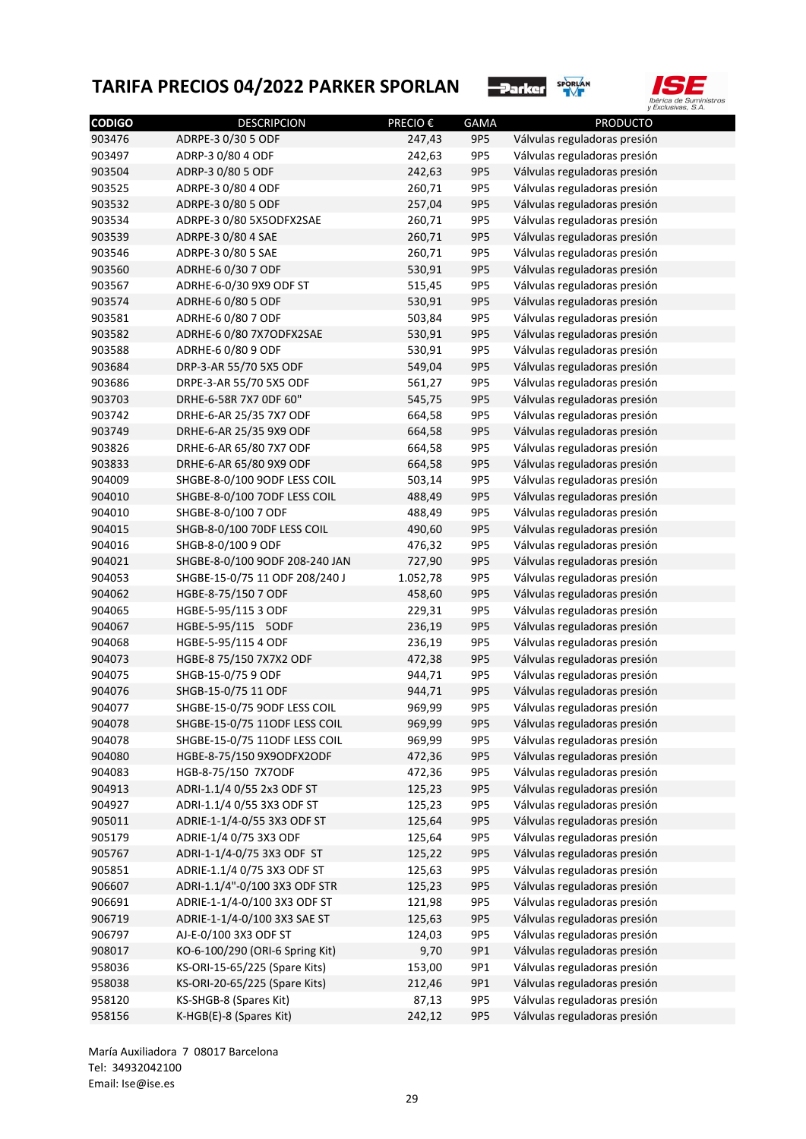



| <b>CODIGO</b> | <b>DESCRIPCION</b>              | PRECIO € | <b>GAMA</b> | <b>PRODUCTO</b>              |
|---------------|---------------------------------|----------|-------------|------------------------------|
| 903476        | ADRPE-3 0/30 5 ODF              | 247,43   | 9P5         | Válvulas reguladoras presión |
| 903497        | ADRP-3 0/80 4 ODF               | 242,63   | 9P5         | Válvulas reguladoras presión |
| 903504        | ADRP-3 0/80 5 ODF               | 242,63   | 9P5         | Válvulas reguladoras presión |
| 903525        | ADRPE-3 0/80 4 ODF              | 260,71   | 9P5         | Válvulas reguladoras presión |
| 903532        | ADRPE-3 0/80 5 ODF              | 257,04   | 9P5         | Válvulas reguladoras presión |
| 903534        | ADRPE-3 0/80 5X5ODFX2SAE        | 260,71   | 9P5         | Válvulas reguladoras presión |
| 903539        | ADRPE-3 0/80 4 SAE              | 260,71   | 9P5         | Válvulas reguladoras presión |
| 903546        | ADRPE-3 0/80 5 SAE              | 260,71   | 9P5         | Válvulas reguladoras presión |
| 903560        | ADRHE-6 0/30 7 ODF              | 530,91   | 9P5         | Válvulas reguladoras presión |
| 903567        | ADRHE-6-0/30 9X9 ODF ST         | 515,45   | 9P5         | Válvulas reguladoras presión |
| 903574        | ADRHE-6 0/80 5 ODF              | 530,91   | 9P5         | Válvulas reguladoras presión |
| 903581        | ADRHE-6 0/80 7 ODF              | 503,84   | 9P5         | Válvulas reguladoras presión |
| 903582        | ADRHE-6 0/80 7X7ODFX2SAE        | 530,91   | 9P5         | Válvulas reguladoras presión |
| 903588        | ADRHE-6 0/80 9 ODF              | 530,91   | 9P5         | Válvulas reguladoras presión |
| 903684        | DRP-3-AR 55/70 5X5 ODF          | 549,04   | 9P5         | Válvulas reguladoras presión |
| 903686        | DRPE-3-AR 55/70 5X5 ODF         | 561,27   | 9P5         | Válvulas reguladoras presión |
| 903703        | DRHE-6-58R 7X7 ODF 60"          | 545,75   | 9P5         | Válvulas reguladoras presión |
| 903742        | DRHE-6-AR 25/35 7X7 ODF         | 664,58   | 9P5         | Válvulas reguladoras presión |
| 903749        | DRHE-6-AR 25/35 9X9 ODF         | 664,58   | 9P5         | Válvulas reguladoras presión |
| 903826        | DRHE-6-AR 65/80 7X7 ODF         | 664,58   | 9P5         | Válvulas reguladoras presión |
| 903833        | DRHE-6-AR 65/80 9X9 ODF         | 664,58   | 9P5         | Válvulas reguladoras presión |
| 904009        | SHGBE-8-0/100 9ODF LESS COIL    | 503,14   | 9P5         | Válvulas reguladoras presión |
| 904010        | SHGBE-8-0/100 7ODF LESS COIL    | 488,49   | 9P5         | Válvulas reguladoras presión |
| 904010        | SHGBE-8-0/100 7 ODF             | 488,49   | 9P5         | Válvulas reguladoras presión |
| 904015        | SHGB-8-0/100 70DF LESS COIL     | 490,60   | 9P5         | Válvulas reguladoras presión |
| 904016        | SHGB-8-0/100 9 ODF              | 476,32   | 9P5         | Válvulas reguladoras presión |
| 904021        | SHGBE-8-0/100 9ODF 208-240 JAN  | 727,90   | 9P5         | Válvulas reguladoras presión |
| 904053        | SHGBE-15-0/75 11 ODF 208/240 J  | 1.052,78 | 9P5         | Válvulas reguladoras presión |
| 904062        | HGBE-8-75/150 7 ODF             | 458,60   | 9P5         | Válvulas reguladoras presión |
| 904065        | HGBE-5-95/115 3 ODF             | 229,31   | 9P5         | Válvulas reguladoras presión |
| 904067        | HGBE-5-95/115 5ODF              | 236,19   | 9P5         | Válvulas reguladoras presión |
| 904068        | HGBE-5-95/115 4 ODF             | 236,19   | 9P5         | Válvulas reguladoras presión |
| 904073        | HGBE-8 75/150 7X7X2 ODF         | 472,38   | 9P5         | Válvulas reguladoras presión |
| 904075        | SHGB-15-0/75 9 ODF              | 944,71   | 9P5         | Válvulas reguladoras presión |
| 904076        | SHGB-15-0/75 11 ODF             | 944,71   | 9P5         | Válvulas reguladoras presión |
| 904077        | SHGBE-15-0/75 9ODF LESS COIL    | 969,99   | 9P5         | Válvulas reguladoras presión |
| 904078        | SHGBE-15-0/75 11ODF LESS COIL   | 969,99   | 9P5         | Válvulas reguladoras presión |
| 904078        | SHGBE-15-0/75 11ODF LESS COIL   | 969,99   | 9P5         | Válvulas reguladoras presión |
| 904080        | HGBE-8-75/150 9X9ODFX2ODF       | 472,36   | 9P5         | Válvulas reguladoras presión |
| 904083        | HGB-8-75/150 7X7ODF             | 472,36   | 9P5         | Válvulas reguladoras presión |
| 904913        | ADRI-1.1/4 0/55 2x3 ODF ST      | 125,23   | 9P5         | Válvulas reguladoras presión |
| 904927        | ADRI-1.1/4 0/55 3X3 ODF ST      | 125,23   | 9P5         | Válvulas reguladoras presión |
| 905011        | ADRIE-1-1/4-0/55 3X3 ODF ST     | 125,64   | 9P5         | Válvulas reguladoras presión |
| 905179        | ADRIE-1/4 0/75 3X3 ODF          | 125,64   | 9P5         | Válvulas reguladoras presión |
| 905767        | ADRI-1-1/4-0/75 3X3 ODF ST      | 125,22   | 9P5         | Válvulas reguladoras presión |
| 905851        | ADRIE-1.1/4 0/75 3X3 ODF ST     | 125,63   | 9P5         | Válvulas reguladoras presión |
| 906607        | ADRI-1.1/4"-0/100 3X3 ODF STR   | 125,23   | 9P5         | Válvulas reguladoras presión |
| 906691        | ADRIE-1-1/4-0/100 3X3 ODF ST    | 121,98   | 9P5         | Válvulas reguladoras presión |
|               |                                 |          |             |                              |
| 906719        | ADRIE-1-1/4-0/100 3X3 SAE ST    | 125,63   | 9P5         | Válvulas reguladoras presión |
| 906797        | AJ-E-0/100 3X3 ODF ST           | 124,03   | 9P5         | Válvulas reguladoras presión |
| 908017        | KO-6-100/290 (ORI-6 Spring Kit) | 9,70     | 9P1         | Válvulas reguladoras presión |
| 958036        | KS-ORI-15-65/225 (Spare Kits)   | 153,00   | 9P1         | Válvulas reguladoras presión |
| 958038        | KS-ORI-20-65/225 (Spare Kits)   | 212,46   | 9P1         | Válvulas reguladoras presión |
| 958120        | KS-SHGB-8 (Spares Kit)          | 87,13    | 9P5         | Válvulas reguladoras presión |
| 958156        | K-HGB(E)-8 (Spares Kit)         | 242,12   | 9P5         | Válvulas reguladoras presión |